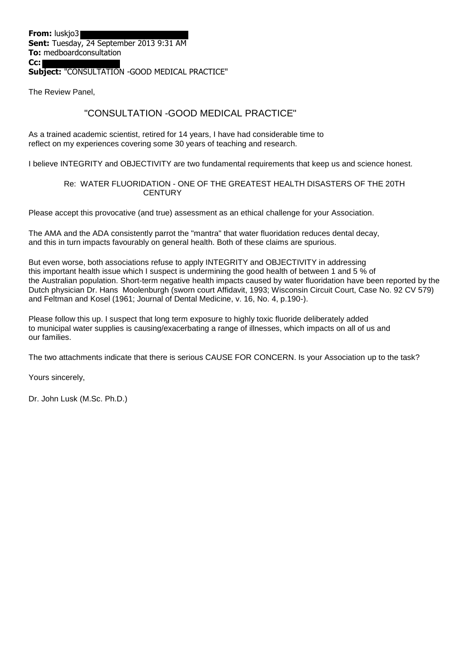#### **Subject:** "CONSULTATION -GOOD MEDICAL PRACTICE"

The Review Panel,

**Cc:**

#### "CONSULTATION -GOOD MEDICAL PRACTICE"

As a trained academic scientist, retired for 14 years, I have had considerable time to reflect on my experiences covering some 30 years of teaching and research.

I believe INTEGRITY and OBJECTIVITY are two fundamental requirements that keep us and science honest.

#### Re: WATER FLUORIDATION - ONE OF THE GREATEST HEALTH DISASTERS OF THE 20TH **CENTURY**

Please accept this provocative (and true) assessment as an ethical challenge for your Association.

The AMA and the ADA consistently parrot the "mantra" that water fluoridation reduces dental decay, and this in turn impacts favourably on general health. Both of these claims are spurious.

But even worse, both associations refuse to apply INTEGRITY and OBJECTIVITY in addressing this important health issue which I suspect is undermining the good health of between 1 and 5 % of the Australian population. Short-term negative health impacts caused by water fluoridation have been reported by the Dutch physician Dr. Hans Moolenburgh (sworn court Affidavit, 1993; Wisconsin Circuit Court, Case No. 92 CV 579) and Feltman and Kosel (1961; Journal of Dental Medicine, v. 16, No. 4, p.190-).

Please follow this up. I suspect that long term exposure to highly toxic fluoride deliberately added to municipal water supplies is causing/exacerbating a range of illnesses, which impacts on all of us and our families.

The two attachments indicate that there is serious CAUSE FOR CONCERN. Is your Association up to the task?

Yours sincerely,

Dr. John Lusk (M.Sc. Ph.D.)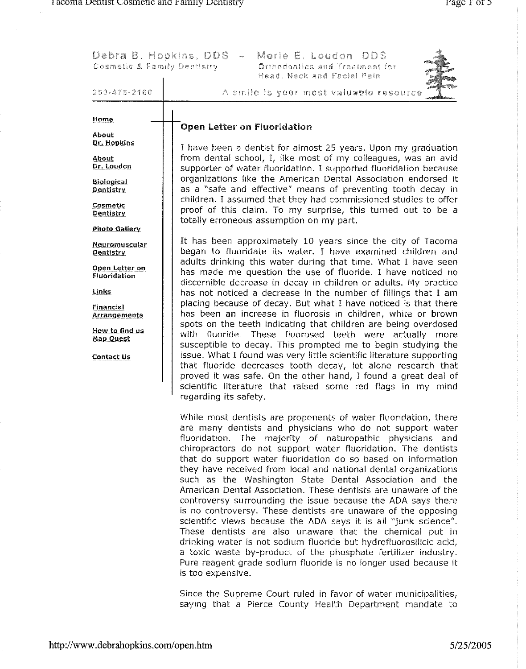| Cosmetic & Family Dentistry                                                                                                                                   | Debra B. Hopkins, DDS-<br>Merle E. Loudon, DDS<br>Orthodontics and Treatment for<br>Head, Neck and Facial Pain                                                                                                                                                                                                                                                                                                                                                                                                                                                                                                                                                                                                                                                                                                                                                                                                                                                                                                                       |  |  |  |  |  |
|---------------------------------------------------------------------------------------------------------------------------------------------------------------|--------------------------------------------------------------------------------------------------------------------------------------------------------------------------------------------------------------------------------------------------------------------------------------------------------------------------------------------------------------------------------------------------------------------------------------------------------------------------------------------------------------------------------------------------------------------------------------------------------------------------------------------------------------------------------------------------------------------------------------------------------------------------------------------------------------------------------------------------------------------------------------------------------------------------------------------------------------------------------------------------------------------------------------|--|--|--|--|--|
| 253-475-2160                                                                                                                                                  | A smile is your most valuable resource                                                                                                                                                                                                                                                                                                                                                                                                                                                                                                                                                                                                                                                                                                                                                                                                                                                                                                                                                                                               |  |  |  |  |  |
| Home<br>About<br>Dr. Hopkins<br>About<br>Dr. Loudon<br><b>Biological</b>                                                                                      | <b>Open Letter on Fluoridation</b><br>I have been a dentist for almost 25 years. Upon my graduation<br>from dental school, I, like most of my colleagues, was an avid<br>supporter of water fluoridation. I supported fluoridation because<br>organizations like the American Dental Association endorsed it                                                                                                                                                                                                                                                                                                                                                                                                                                                                                                                                                                                                                                                                                                                         |  |  |  |  |  |
| Dentistry<br>Cosmetic<br>Dentistry<br><b>Photo Gallery</b>                                                                                                    | as a "safe and effective" means of preventing tooth decay in<br>children. I assumed that they had commissioned studies to offer<br>proof of this claim. To my surprise, this turned out to be a<br>totally erroneous assumption on my part.                                                                                                                                                                                                                                                                                                                                                                                                                                                                                                                                                                                                                                                                                                                                                                                          |  |  |  |  |  |
| Neuromuscular<br><b>Dentistry</b><br>Open Letter on<br>Fluoridation<br>Links<br>Financial<br>Arrangements<br>How to find us<br><b>Map Quest</b><br>Contact Us | It has been approximately 10 years since the city of Tacoma<br>began to fluoridate its water. I have examined children and<br>adults drinking this water during that time. What I have seen<br>has made me question the use of fluoride. I have noticed no<br>discernible decrease in decay in children or adults. My practice<br>has not noticed a decrease in the number of fillings that I am<br>placing because of decay. But what I have noticed is that there<br>has been an increase in fluorosis in children, white or brown<br>spots on the teeth indicating that children are being overdosed<br>with fluoride. These fluorosed teeth were actually more<br>susceptible to decay. This prompted me to begin studying the<br>issue. What I found was very little scientific literature supporting<br>that fluoride decreases tooth decay, let alone research that<br>proved it was safe. On the other hand, I found a great deal of<br>scientific literature that raised some red flags in my mind<br>regarding its safety. |  |  |  |  |  |
|                                                                                                                                                               | While most dentists are proponents of water fluoridation, there<br>are many dentists and physicians who do not support water<br>fluoridation. The majority of naturopathic physicians and<br>chiropractors do not support water fluoridation. The dentists<br>that do support water fluoridation do so based on information<br>they have received from local and national dental organizations<br>such as the Washington State Dental Association and the<br>American Dental Association. These dentists are unaware of the<br>controversy surrounding the issue because the ADA says there<br>is no controversy. These dentists are unaware of the opposing<br>scientific views because the ADA says it is all "junk science".<br>These dentists are also unaware that the chemical put in<br>drinking water is not sodium fluoride but hydrofluorosilicic acid,<br>a toxic waste by-product of the phosphate fertilizer industry.<br>Pure reagent grade sodium fluoride is no longer used because it<br>is too expensive.          |  |  |  |  |  |

Since the Supreme Court ruled in favor of water municipalities, saying that a Pierce County Health Department mandate to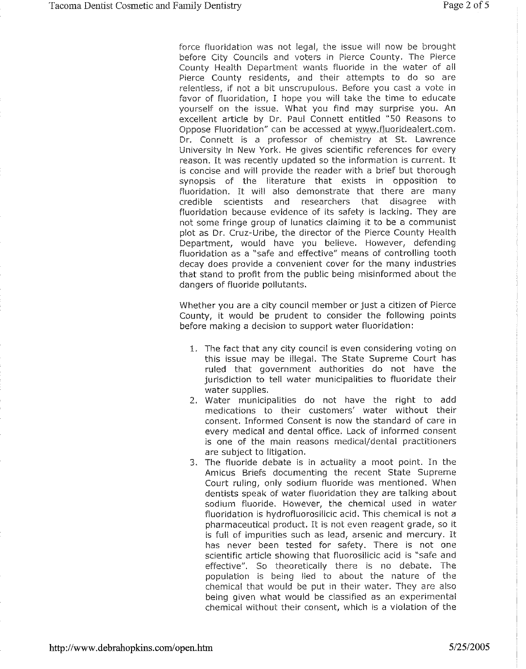force fluoridation was not legal, the issue will now be brought before City Councils and voters in Pierce County. The Pierce County Health Department wants fluoride in the water of all Pierce County residents, and their attempts to do so are relentless, if not a bit unscrupulous. Before you cast a vote in favor of fluoridation, I hope you will take the time to educate vourself on the issue. What you find may surprise you. An excellent article by Dr. Paul Connett entitled "50 Reasons to Oppose Fluoridation" can be accessed at www.fluoridealert.com. Dr. Connett is a professor of chemistry at St. Lawrence University in New York. He gives scientific references for every reason. It was recently updated so the information is current. It is concise and will provide the reader with a brief but thorough synopsis of the literature that exists in opposition to fluoridation. It will also demonstrate that there are many credible scientists and researchers that disagree with fluoridation because evidence of its safety is lacking. They are not some fringe group of lunatics claiming it to be a communist plot as Dr. Cruz-Uribe, the director of the Pierce County Health Department, would have you believe. However, defending fluoridation as a "safe and effective" means of controlling tooth decay does provide a convenient cover for the many industries that stand to profit from the public being misinformed about the dangers of fluoride pollutants.

Whether you are a city council member or just a citizen of Pierce County, it would be prudent to consider the following points before making a decision to support water fluoridation:

- 1. The fact that any city council is even considering voting on this issue may be illegal. The State Supreme Court has ruled that government authorities do not have the jurisdiction to tell water municipalities to fluoridate their water supplies.
- 2. Water municipalities do not have the right to add medications to their customers' water without their consent. Informed Consent is now the standard of care in every medical and dental office. Lack of informed consent is one of the main reasons medical/dental practitioners are subject to litigation.
- 3. The fluoride debate is in actuality a moot point. In the Amicus Briefs documenting the recent State Supreme Court ruling, only sodium fluoride was mentioned. When dentists speak of water fluoridation they are talking about sodium fluoride. However, the chemical used in water fluoridation is hydrofluorosilicic acid. This chemical is not a pharmaceutical product. It is not even reagent grade, so it is full of impurities such as lead, arsenic and mercury. It has never been tested for safety. There is not one scientific article showing that fluorosilicic acid is "safe and effective". So theoretically there is no debate. The population is being lied to about the nature of the chemical that would be put in their water. They are also being given what would be classified as an experimental chemical without their consent, which is a violation of the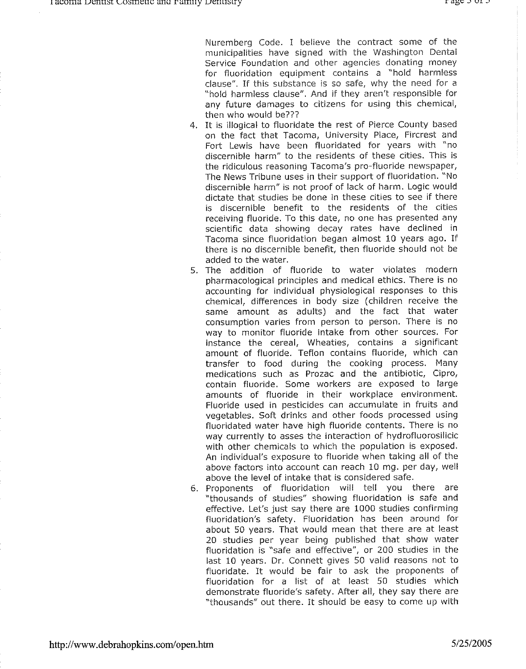Nuremberg Code. I believe the contract some of the municipalities have signed with the Washington Dental Service Foundation and other agencies donating money for fluoridation equipment contains a "hold harmless clause". If this substance is so safe, why the need for a "hold harmless clause". And if they aren't responsible for any future damages to citizens for using this chemical, then who would be???

- 4. It is illogical to fluoridate the rest of Pierce County based on the fact that Tacoma, University Place, Fircrest and Fort Lewis have been fluoridated for years with "no discernible harm" to the residents of these cities. This is the ridiculous reasoning Tacoma's pro-fluoride newspaper, The News Tribune uses in their support of fluoridation. "No discernible harm" is not proof of lack of harm. Logic would dictate that studies be done in these cities to see if there is discernible benefit to the residents of the cities receiving fluoride. To this date, no one has presented any scientific data showing decay rates have declined in Tacoma since fluoridation began almost 10 years ago. If there is no discernible benefit, then fluoride should not be added to the water.
- 5. The addition of fluoride to water violates modern pharmacological principles and medical ethics. There is no accounting for individual physiological responses to this chemical, differences in body size (children receive the same amount as adults) and the fact that water consumption varies from person to person. There is no way to monitor fluoride intake from other sources. For instance the cereal, Wheaties, contains a significant amount of fluoride. Teflon contains fluoride, which can transfer to food during the cooking process. Many medications such as Prozac and the antibiotic, Cipro, contain fluoride. Some workers are exposed to large amounts of fluoride in their workplace environment. Fluoride used in pesticides can accumulate in fruits and vegetables. Soft drinks and other foods processed using fluoridated water have high fluoride contents. There is no way currently to asses the interaction of hydrofluorosilicic with other chemicals to which the population is exposed. An individual's exposure to fluoride when taking all of the above factors into account can reach 10 mg. per day, well above the level of intake that is considered safe.
- 6. Proponents of fluoridation will tell you there are "thousands of studies" showing fluoridation is safe and effective. Let's just say there are 1000 studies confirming fluoridation's safety. Fluoridation has been around for about 50 years. That would mean that there are at least 20 studies per year being published that show water fluoridation is "safe and effective", or 200 studies in the last 10 years. Dr. Connett gives 50 valid reasons not to fluoridate. It would be fair to ask the proponents of fluoridation for a list of at least 50 studies which demonstrate fluoride's safety. After all, they say there are "thousands" out there. It should be easy to come up with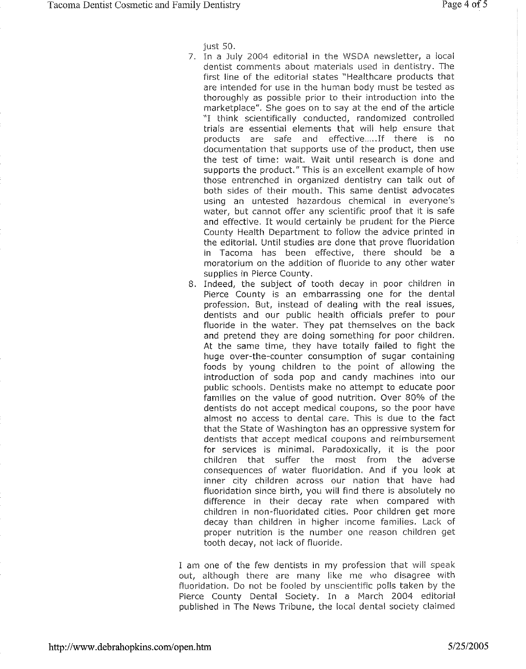just 50.

- 7. In a July 2004 editorial in the WSDA newsletter, a local dentist comments about materials used in dentistry. The first line of the editorial states "Healthcare products that are intended for use in the human body must be tested as thoroughly as possible prior to their introduction into the marketplace". She goes on to say at the end of the article "I think scientifically conducted, randomized controlled trials are essential elements that will help ensure that products are safe and effective.....If there is no documentation that supports use of the product, then use the test of time: wait. Wait until research is done and supports the product." This is an excellent example of how those entrenched in organized dentistry can talk out of both sides of their mouth. This same dentist advocates using an untested hazardous chemical in everyone's water, but cannot offer any scientific proof that it is safe and effective. It would certainly be prudent for the Pierce County Health Department to follow the advice printed in the editorial. Until studies are done that prove fluoridation in Tacoma has been effective, there should be a moratorium on the addition of fluoride to any other water supplies in Pierce County.
- 8. Indeed, the subject of tooth decay in poor children in Pierce County is an embarrassing one for the dental profession. But, instead of dealing with the real issues, dentists and our public health officials prefer to pour fluoride in the water. They pat themselves on the back and pretend they are doing something for poor children. At the same time, they have totally failed to fight the huge over-the-counter consumption of sugar containing foods by young children to the point of allowing the introduction of soda pop and candy machines into our public schools. Dentists make no attempt to educate poor families on the value of good nutrition. Over 80% of the dentists do not accept medical coupons, so the poor have almost no access to dental care. This is due to the fact that the State of Washington has an oppressive system for dentists that accept medical coupons and reimbursement for services is minimal. Paradoxically, it is the poor children that suffer the most from the adverse consequences of water fluoridation. And if you look at inner city children across our nation that have had fluoridation since birth, you will find there is absolutely no difference in their decay rate when compared with children in non-fluoridated cities. Poor children get more decay than children in higher income families. Lack of proper nutrition is the number one reason children get tooth decay, not lack of fluoride.

I am one of the few dentists in my profession that will speak out, although there are many like me who disagree with fluoridation. Do not be fooled by unscientific polls taken by the Pierce County Dental Society. In a March 2004 editorial published in The News Tribune, the local dental society claimed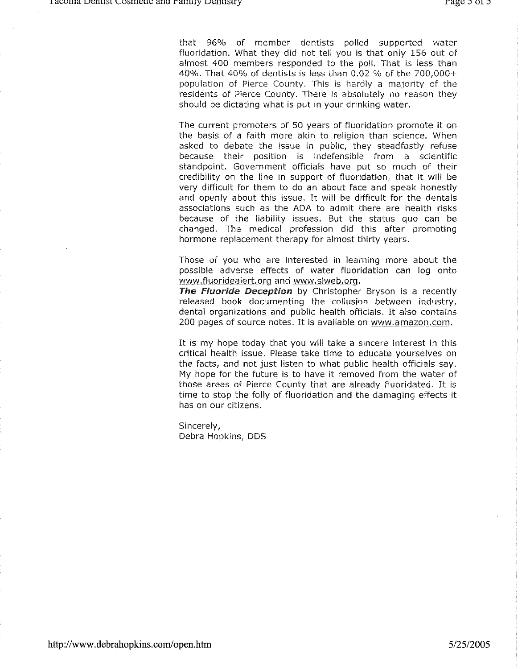that 96% of member dentists polled supported water fluoridation. What they did not tell you is that only 156 out of almost 400 members responded to the poll. That is less than 40%. That 40% of dentists is less than 0.02 % of the 700,000+ population of Pierce County. This is hardly a majority of the residents of Pierce County. There is absolutely no reason they should be dictating what is put in your drinking water.

The current promoters of 50 years of fluoridation promote it on the basis of a faith more akin to religion than science. When asked to debate the issue in public, they steadfastly refuse because their position is indefensible from a scientific standpoint. Government officials have put so much of their credibility on the line in support of fluoridation, that it will be very difficult for them to do an about face and speak honestly and openly about this issue. It will be difficult for the dentals associations such as the ADA to admit there are health risks because of the liability issues. But the status quo can be changed. The medical profession did this after promoting hormone replacement therapy for almost thirty years.

Those of you who are interested in learning more about the possible adverse effects of water fluoridation can log onto www.fluoridealert.org and www.slweb.org.

The Fluoride Deception by Christopher Bryson is a recently released book documenting the collusion between industry, dental organizations and public health officials. It also contains 200 pages of source notes. It is available on www.amazon.com.

It is my hope today that you will take a sincere interest in this critical health issue. Please take time to educate yourselves on the facts, and not just listen to what public health officials say. My hope for the future is to have it removed from the water of those areas of Pierce County that are already fluoridated. It is time to stop the folly of fluoridation and the damaging effects it has on our citizens.

Sincerely, Debra Hopkins, DDS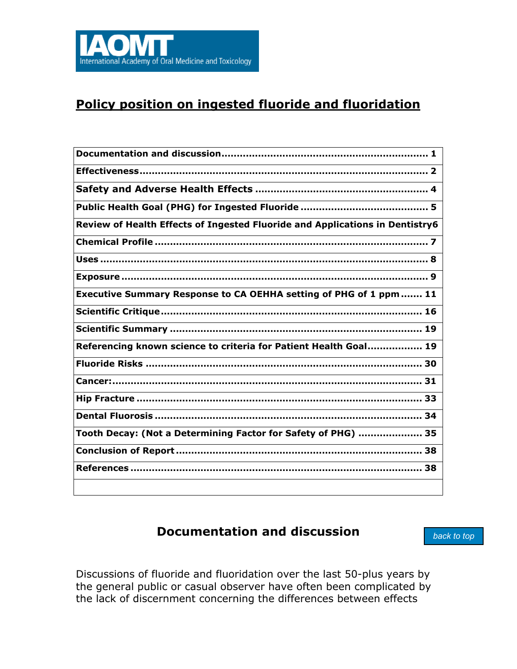<span id="page-6-0"></span>

# **Policy position on ingested fluoride and fluoridation**

| Review of Health Effects of Ingested Fluoride and Applications in Dentistry6 |
|------------------------------------------------------------------------------|
|                                                                              |
|                                                                              |
|                                                                              |
| Executive Summary Response to CA OEHHA setting of PHG of 1 ppm  11           |
|                                                                              |
|                                                                              |
| Referencing known science to criteria for Patient Health Goal 19             |
| <u> 1989 - Johann Stoff, amerikansk politiker (* 1908)</u>                   |
|                                                                              |
|                                                                              |
|                                                                              |
| Tooth Decay: (Not a Determining Factor for Safety of PHG)  35                |
|                                                                              |
|                                                                              |
|                                                                              |

## **Documentation and discussion**

*back to top*

Discussions of fluoride and fluoridation over the last 50-plus years by the general public or casual observer have often been complicated by the lack of discernment concerning the differences between effects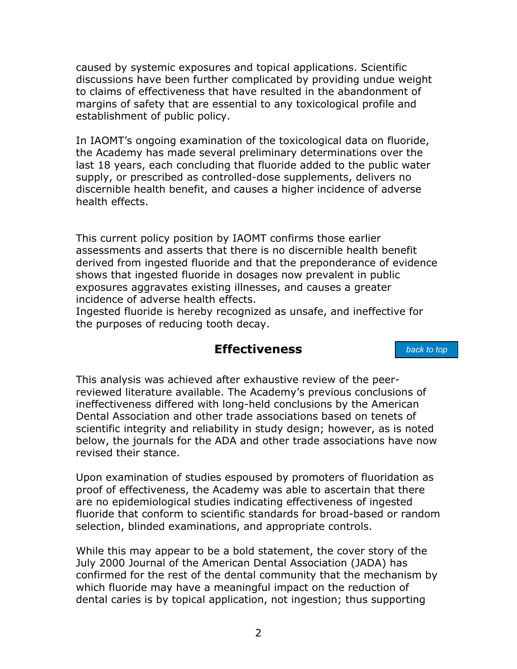<span id="page-7-1"></span><span id="page-7-0"></span>caused by systemic exposures and topical applications. Scientific discussions have been further complicated by providing undue weight to claims of effectiveness that have resulted in the abandonment of margins of safety that are essential to any toxicological profile and establishment of public policy.

In IAOMT's ongoing examination of the toxicological data on fluoride, the Academy has made several preliminary determinations over the last 18 years, each concluding that fluoride added to the public water supply, or prescribed as controlled-dose supplements, delivers no discernible health benefit, and causes a higher incidence of adverse health effects.

This current policy position by IAOMT confirms those earlier assessments and asserts that there is no discernible health benefit derived from ingested fluoride and that the preponderance of evidence shows that ingested fluoride in dosages now prevalent in public exposures aggravates existing illnesses, and causes a greater incidence of adverse health effects.

Ingested fluoride is hereby recognized as unsafe, and ineffective for the purposes of reducing tooth decay.

## **Effectiveness**

*back to top*

This analysis was achieved after exhaustive review of the peerreviewed literature available. The Academy's previous conclusions of ineffectiveness differed with long-held conclusions by the American Dental Association and other trade associations based on tenets of scientific integrity and reliability in study design; however, as is noted below, the journals for the ADA and other trade associations have now revised their stance.

Upon examination of studies espoused by promoters of fluoridation as proof of effectiveness, the Academy was able to ascertain that there are no epidemiological studies indicating effectiveness of ingested fluoride that conform to scientific standards for broad-based or random selection, blinded examinations, and appropriate controls.

While this may appear to be a bold statement, the cover story of the July 2000 Journal of the American Dental Association (JADA) has confirmed for the rest of the dental community that the mechanism by which fluoride may have a meaningful impact on the reduction of dental caries is by topical application, not ingestion; thus supporting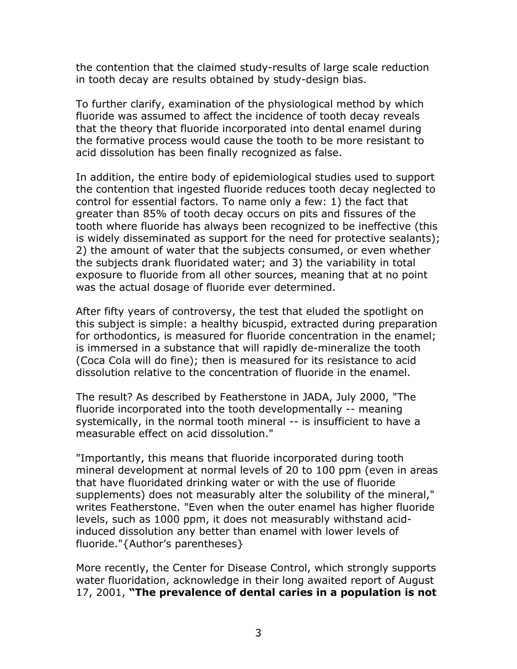the contention that the claimed study-results of large scale reduction in tooth decay are results obtained by study-design bias.

To further clarify, examination of the physiological method by which fluoride was assumed to affect the incidence of tooth decay reveals that the theory that fluoride incorporated into dental enamel during the formative process would cause the tooth to be more resistant to acid dissolution has been finally recognized as false.

In addition, the entire body of epidemiological studies used to support the contention that ingested fluoride reduces tooth decay neglected to control for essential factors. To name only a few: 1) the fact that greater than 85% of tooth decay occurs on pits and fissures of the tooth where fluoride has always been recognized to be ineffective (this is widely disseminated as support for the need for protective sealants); 2) the amount of water that the subjects consumed, or even whether the subjects drank fluoridated water; and 3) the variability in total exposure to fluoride from all other sources, meaning that at no point was the actual dosage of fluoride ever determined.

After fifty years of controversy, the test that eluded the spotlight on this subject is simple: a healthy bicuspid, extracted during preparation for orthodontics, is measured for fluoride concentration in the enamel; is immersed in a substance that will rapidly de-mineralize the tooth (Coca Cola will do fine); then is measured for its resistance to acid dissolution relative to the concentration of fluoride in the enamel.

The result? As described by Featherstone in JADA, July 2000, "The fluoride incorporated into the tooth developmentally -- meaning systemically, in the normal tooth mineral -- is insufficient to have a measurable effect on acid dissolution."

"Importantly, this means that fluoride incorporated during tooth mineral development at normal levels of 20 to 100 ppm (even in areas that have fluoridated drinking water or with the use of fluoride supplements) does not measurably alter the solubility of the mineral," writes Featherstone. "Even when the outer enamel has higher fluoride levels, such as 1000 ppm, it does not measurably withstand acidinduced dissolution any better than enamel with lower levels of fluoride."{Author's parentheses}

More recently, the Center for Disease Control, which strongly supports water fluoridation, acknowledge in their long awaited report of August 17, 2001, **"The prevalence of dental caries in a population is not**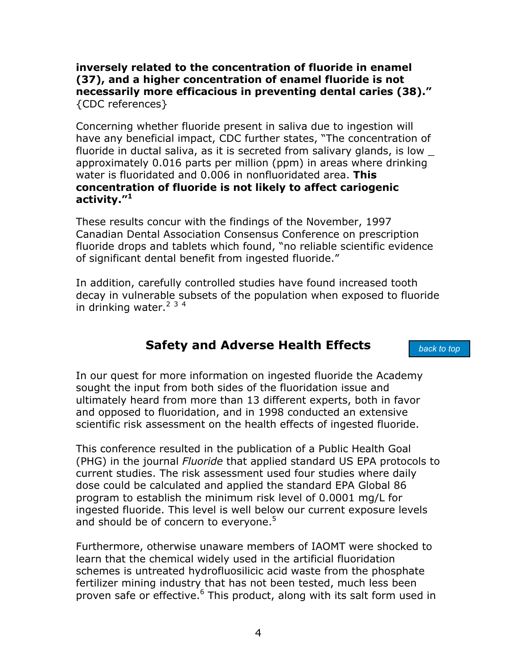<span id="page-9-1"></span><span id="page-9-0"></span>**inversely related to the concentration of fluoride in enamel (37), and a higher concentration of enamel fluoride is not necessarily more efficacious in preventing dental caries (38)."**  {CDC references}

Concerning whether fluoride present in saliva due to ingestion will have any beneficial impact, CDC further states, "The concentration of fluoride in ductal saliva, as it is secreted from salivary glands, is low \_ approximately 0.016 parts per million (ppm) in areas where drinking water is fluoridated and 0.006 in nonfluoridated area. **This concentration of fluoride is not likely to affect cariogenic activity."[1](#page-67-0)**

These results concur with the findings of the November, 1997 Canadian Dental Association Consensus Conference on prescription fluoride drops and tablets which found, "no reliable scientific evidence of significant dental benefit from ingested fluoride."

In addition, carefully controlled studies have found increased tooth decay in vulnerable subsets of the population when exposed to fluoride in drinking water.<sup>[2](#page-67-1) [3](#page-67-1)4</sup>

## **Safety and Adverse Health Effects**

*back to top*

In our quest for more information on ingested fluoride the Academy sought the input from both sides of the fluoridation issue and ultimately heard from more than 13 different experts, both in favor and opposed to fluoridation, and in 1998 conducted an extensive scientific risk assessment on the health effects of ingested fluoride.

This conference resulted in the publication of a Public Health Goal (PHG) in the journal *Fluoride* that applied standard US EPA protocols to current studies. The risk assessment used four studies where daily dose could be calculated and applied the standard EPA Global 86 program to establish the minimum risk level of 0.0001 mg/L for ingested fluoride. This level is well below our current exposure levels and should be of concern to everyone.<sup>[5](#page-67-2)</sup>

Furthermore, otherwise unaware members of IAOMT were shocked to learn that the chemical widely used in the artificial fluoridation schemes is untreated hydrofluosilicic acid waste from the phosphate fertilizer mining industry that has not been tested, much less been proven safe or effective.<sup>6</sup> This product, along with its salt form used in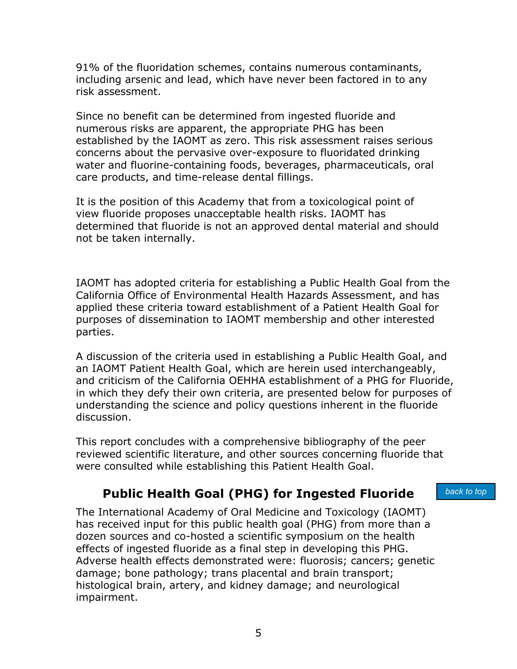<span id="page-10-1"></span><span id="page-10-0"></span>91% of the fluoridation schemes, contains numerous contaminants, including arsenic and lead, which have never been factored in to any risk assessment.

Since no benefit can be determined from ingested fluoride and numerous risks are apparent, the appropriate PHG has been established by the IAOMT as zero. This risk assessment raises serious concerns about the pervasive over-exposure to fluoridated drinking water and fluorine-containing foods, beverages, pharmaceuticals, oral care products, and time-release dental fillings.

It is the position of this Academy that from a toxicological point of view fluoride proposes unacceptable health risks. IAOMT has determined that fluoride is not an approved dental material and should not be taken internally.

IAOMT has adopted criteria for establishing a Public Health Goal from the California Office of Environmental Health Hazards Assessment, and has applied these criteria toward establishment of a Patient Health Goal for purposes of dissemination to IAOMT membership and other interested parties.

A discussion of the criteria used in establishing a Public Health Goal, and an IAOMT Patient Health Goal, which are herein used interchangeably, and criticism of the California OEHHA establishment of a PHG for Fluoride, in which they defy their own criteria, are presented below for purposes of understanding the science and policy questions inherent in the fluoride discussion.

This report concludes with a comprehensive bibliography of the peer reviewed scientific literature, and other sources concerning fluoride that were consulted while establishing this Patient Health Goal.

# **Public Health Goal (PHG) for Ingested Fluoride**

*back to top*

The International Academy of Oral Medicine and Toxicology (IAOMT) has received input for this public health goal (PHG) from more than a dozen sources and co-hosted a scientific symposium on the health effects of ingested fluoride as a final step in developing this PHG. Adverse health effects demonstrated were: fluorosis; cancers; genetic damage; bone pathology; trans placental and brain transport; histological brain, artery, and kidney damage; and neurological impairment.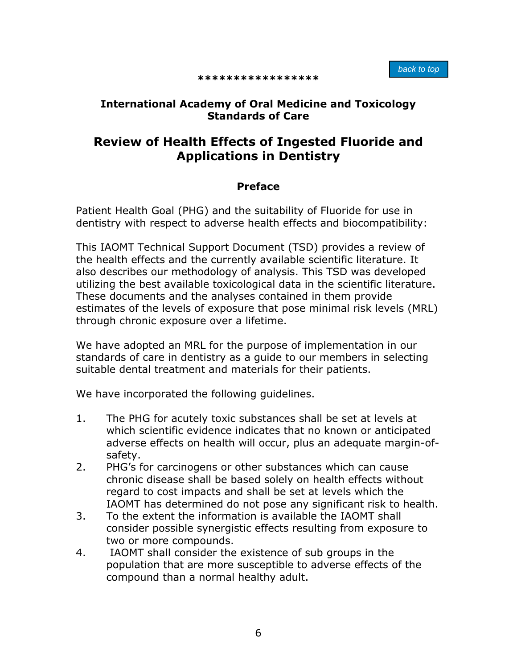#### **\*\*\*\*\*\*\*\*\*\*\*\*\*\*\*\*\***

### <span id="page-11-1"></span><span id="page-11-0"></span>**International Academy of Oral Medicine and Toxicology Standards of Care**

## **Review of Health Effects of Ingested Fluoride and Applications in Dentistry**

#### **Preface**

Patient Health Goal (PHG) and the suitability of Fluoride for use in dentistry with respect to adverse health effects and biocompatibility:

This IAOMT Technical Support Document (TSD) provides a review of the health effects and the currently available scientific literature. It also describes our methodology of analysis. This TSD was developed utilizing the best available toxicological data in the scientific literature. These documents and the analyses contained in them provide estimates of the levels of exposure that pose minimal risk levels (MRL) through chronic exposure over a lifetime.

We have adopted an MRL for the purpose of implementation in our standards of care in dentistry as a guide to our members in selecting suitable dental treatment and materials for their patients.

We have incorporated the following guidelines.

- 1. The PHG for acutely toxic substances shall be set at levels at which scientific evidence indicates that no known or anticipated adverse effects on health will occur, plus an adequate margin-ofsafety.
- 2. PHG's for carcinogens or other substances which can cause chronic disease shall be based solely on health effects without regard to cost impacts and shall be set at levels which the IAOMT has determined do not pose any significant risk to health.
- 3. To the extent the information is available the IAOMT shall consider possible synergistic effects resulting from exposure to two or more compounds.
- 4. IAOMT shall consider the existence of sub groups in the population that are more susceptible to adverse effects of the compound than a normal healthy adult.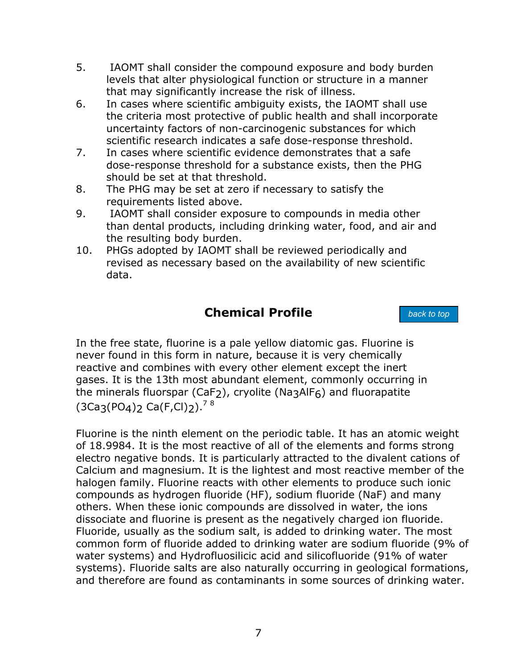- <span id="page-12-1"></span><span id="page-12-0"></span>5. IAOMT shall consider the compound exposure and body burden levels that alter physiological function or structure in a manner that may significantly increase the risk of illness.
- 6. In cases where scientific ambiguity exists, the IAOMT shall use the criteria most protective of public health and shall incorporate uncertainty factors of non-carcinogenic substances for which scientific research indicates a safe dose-response threshold.
- 7. In cases where scientific evidence demonstrates that a safe dose-response threshold for a substance exists, then the PHG should be set at that threshold.
- 8. The PHG may be set at zero if necessary to satisfy the requirements listed above.
- 9. IAOMT shall consider exposure to compounds in media other than dental products, including drinking water, food, and air and the resulting body burden.
- 10. PHGs adopted by IAOMT shall be reviewed periodically and revised as necessary based on the availability of new scientific data.

## **Chemical Profile**

*back to top*

In the free state, fluorine is a pale yellow diatomic gas. Fluorine is never found in this form in nature, because it is very chemically reactive and combines with every other element except the inert gases. It is the 13th most abundant element, commonly occurring in the minerals fluorspar (CaF<sub>2</sub>), cryolite (Na3AlF<sub>6</sub>) and fluorapatite  $(3Ca_3(PO_4)$ <sub>2</sub> Ca(F,Cl)<sub>2</sub>).<sup>[7](#page-67-4)[8](#page-67-5)</sup>

Fluorine is the ninth element on the periodic table. It has an atomic weight of 18.9984. It is the most reactive of all of the elements and forms strong electro negative bonds. It is particularly attracted to the divalent cations of Calcium and magnesium. It is the lightest and most reactive member of the halogen family. Fluorine reacts with other elements to produce such ionic compounds as hydrogen fluoride (HF), sodium fluoride (NaF) and many others. When these ionic compounds are dissolved in water, the ions dissociate and fluorine is present as the negatively charged ion fluoride. Fluoride, usually as the sodium salt, is added to drinking water. The most common form of fluoride added to drinking water are sodium fluoride (9% of water systems) and Hydrofluosilicic acid and silicofluoride (91% of water systems). Fluoride salts are also naturally occurring in geological formations, and therefore are found as contaminants in some sources of drinking water.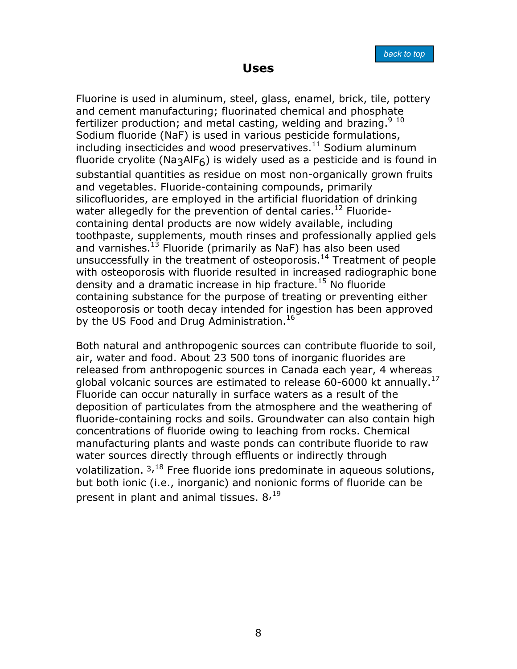**Uses** 

<span id="page-13-1"></span><span id="page-13-0"></span>Fluorine is used in aluminum, steel, glass, enamel, brick, tile, pottery and cement manufacturing; fluorinated chemical and phosphate fertilizer production; and metal casting, welding and brazing.<sup>[9](#page-67-6) [10](#page-67-7)</sup> Sodium fluoride (NaF) is used in various pesticide formulations, including insecticides and wood preservatives. $11$  Sodium aluminum fluoride cryolite (Na3AlF6) is widely used as a pesticide and is found in substantial quantities as residue on most non-organically grown fruits and vegetables. Fluoride-containing compounds, primarily silicofluorides, are employed in the artificial fluoridation of drinking water allegedly for the prevention of dental caries.<sup>12</sup> Fluoridecontaining dental products are now widely available, including toothpaste, supplements, mouth rinses and professionally applied gels and varnishes.<sup>[13](#page-67-10)</sup> Fluoride (primarily as NaF) has also been used unsuccessfully in the treatment of osteoporosis.<sup>14</sup> Treatment of people with osteoporosis with fluoride resulted in increased radiographic bone density and a dramatic increase in hip fracture.<sup>15</sup> No fluoride containing substance for the purpose of treating or preventing either osteoporosis or tooth decay intended for ingestion has been approved by the US Food and Drug Administration.<sup>16</sup>

Both natural and anthropogenic sources can contribute fluoride to soil, air, water and food. About 23 500 tons of inorganic fluorides are released from anthropogenic sources in Canada each year, 4 whereas global volcanic sources are estimated to release 60-6000 kt annually.<sup>17</sup> Fluoride can occur naturally in surface waters as a result of the deposition of particulates from the atmosphere and the weathering of fluoride-containing rocks and soils. Groundwater can also contain high concentrations of fluoride owing to leaching from rocks. Chemical manufacturing plants and waste ponds can contribute fluoride to raw water sources directly through effluents or indirectly through volatilization.  $3,18$  Free fluoride ions predominate in aqueous solutions, but both ionic (i.e., inorganic) and nonionic forms of fluoride can be present in plant and animal tissues.  $8<sup>19</sup>$  $8<sup>19</sup>$  $8<sup>19</sup>$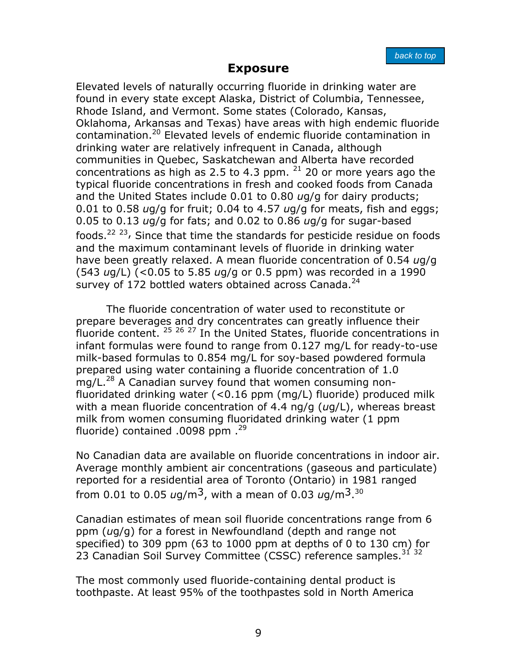## **Exposure**

<span id="page-14-1"></span><span id="page-14-0"></span>Elevated levels of naturally occurring fluoride in drinking water are found in every state except Alaska, District of Columbia, Tennessee, Rhode Island, and Vermont. Some states (Colorado, Kansas, Oklahoma, Arkansas and Texas) have areas with high endemic fluoride contamination.[20 E](#page-67-7)levated levels of endemic fluoride contamination in drinking water are relatively infrequent in Canada, although communities in Quebec, Saskatchewan and Alberta have recorded concentrations as high as 2.5 to 4.3 ppm.  $21$  20 or more years ago the typical fluoride concentrations in fresh and cooked foods from Canada and the United States include 0.01 to 0.80 *u*g/g for dairy products; 0.01 to 0.58 *u*g/g for fruit; 0.04 to 4.57 *u*g/g for meats, fish and eggs; 0.05 to 0.13 *u*g/g for fats; and 0.02 to 0.86 *u*g/g for sugar-based foods.<sup>[22](#page-67-18) 23</sup>, Since that time the standards for pesticide residue on foods and the maximum contaminant levels of fluoride in drinking water have been greatly relaxed. A mean fluoride concentration of 0.54 *u*g/g (543 *u*g/L) (<0.05 to 5.85 *u*g/g or 0.5 ppm) was recorded in a 1990 survey of 172 bottled waters obtained across Canada. $^{24}$  $^{24}$  $^{24}$ 

The fluoride concentration of water used to reconstitute or prepare beverages and dry concentrates can greatly influence their fluoride content.  $25 \times 26 \times 27$  $25 \times 26 \times 27$  $25 \times 26 \times 27$  $25 \times 26 \times 27$  In the United States, fluoride concentrations in infant formulas were found to range from 0.127 mg/L for ready-to-use milk-based formulas to 0.854 mg/L for soy-based powdered formula prepared using water containing a fluoride concentration of 1.0 mg/L.<sup>28</sup> A Canadian survey found that women consuming nonfluoridated drinking water (<0.16 ppm (mg/L) fluoride) produced milk with a mean fluoride concentration of 4.4 ng/g (*u*g/L), whereas breast milk from women consuming fluoridated drinking water (1 ppm fluoride) contained .0098 ppm .<sup>[29](#page-67-22)</sup>

No Canadian data are available on fluoride concentrations in indoor air. Average monthly ambient air concentrations (gaseous and particulate) reported for a residential area of Toronto (Ontario) in 1981 ranged from 0.01 to 0.05 *u*g/m3, with a mean of 0.03 *u*g/m3. [30](#page-67-23)

Canadian estimates of mean soil fluoride concentrations range from 6 ppm (*u*g/g) for a forest in Newfoundland (depth and range not specified) to 309 ppm (63 to 1000 ppm at depths of 0 to 130 cm) for 23 Canadian Soil Survey Committee (CSSC) reference samples.<sup>[31](#page-67-24) [32](#page-67-24)</sup>

The most commonly used fluoride-containing dental product is toothpaste. At least 95% of the toothpastes sold in North America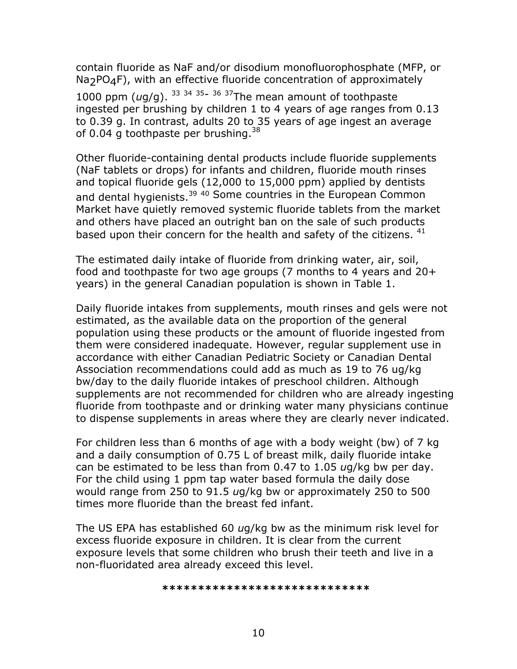contain fluoride as NaF and/or disodium monofluorophosphate (MFP, or  $Na<sub>2</sub>PO<sub>4</sub>F$ ), with an effective fluoride concentration of approximately

1000 ppm (*u*g/g). [33](#page-67-25) [34](#page-67-25) [35-](#page-67-25) 36 [37Th](#page-67-25)e mean amount of toothpaste ingested per brushing by children 1 to 4 years of age ranges from 0.13 to 0.39 g. In contrast, adults 20 to 35 years of age ingest an average of 0.04 g toothpaste per brushing. $^{38}$  $^{38}$  $^{38}$ 

Other fluoride-containing dental products include fluoride supplements (NaF tablets or drops) for infants and children, fluoride mouth rinses and topical fluoride gels (12,000 to 15,000 ppm) applied by dentists and dental hygienists.<sup>[39](#page-67-27) 40</sup> Some countries in the European Common Market have quietly removed systemic fluoride tablets from the market and others have placed an outright ban on the sale of such products based upon their concern for the health and safety of the citizens. <sup>41</sup>

The estimated daily intake of fluoride from drinking water, air, soil, food and toothpaste for two age groups (7 months to 4 years and 20+ years) in the general Canadian population is shown in Table 1.

Daily fluoride intakes from supplements, mouth rinses and gels were not estimated, as the available data on the proportion of the general population using these products or the amount of fluoride ingested from them were considered inadequate. However, regular supplement use in accordance with either Canadian Pediatric Society or Canadian Dental Association recommendations could add as much as 19 to 76 ug/kg bw/day to the daily fluoride intakes of preschool children. Although supplements are not recommended for children who are already ingesting fluoride from toothpaste and or drinking water many physicians continue to dispense supplements in areas where they are clearly never indicated.

For children less than 6 months of age with a body weight (bw) of 7 kg and a daily consumption of 0.75 L of breast milk, daily fluoride intake can be estimated to be less than from 0.47 to 1.05 *u*g/kg bw per day. For the child using 1 ppm tap water based formula the daily dose would range from 250 to 91.5 *u*g/kg bw or approximately 250 to 500 times more fluoride than the breast fed infant.

The US EPA has established 60 *u*g/kg bw as the minimum risk level for excess fluoride exposure in children. It is clear from the current exposure levels that some children who brush their teeth and live in a non-fluoridated area already exceed this level.

**\*\*\*\*\*\*\*\*\*\*\*\*\*\*\*\*\*\*\*\*\*\*\*\*\*\*\*\*\***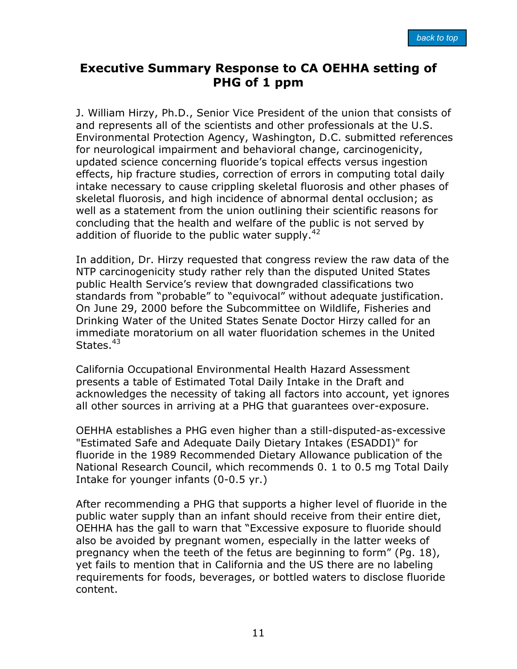## <span id="page-16-1"></span><span id="page-16-0"></span>**Executive Summary Response to CA OEHHA setting of PHG of 1 ppm**

J. William Hirzy, Ph.D., Senior Vice President of the union that consists of and represents all of the scientists and other professionals at the U.S. Environmental Protection Agency, Washington, D.C. submitted references for neurological impairment and behavioral change, carcinogenicity, updated science concerning fluoride's topical effects versus ingestion effects, hip fracture studies, correction of errors in computing total daily intake necessary to cause crippling skeletal fluorosis and other phases of skeletal fluorosis, and high incidence of abnormal dental occlusion; as well as a statement from the union outlining their scientific reasons for concluding that the health and welfare of the public is not served by addition of fluoride to the public water supply.  $42^{\circ}$ 

In addition, Dr. Hirzy requested that congress review the raw data of the NTP carcinogenicity study rather rely than the disputed United States public Health Service's review that downgraded classifications two standards from "probable" to "equivocal" without adequate justification. On June 29, 2000 before the Subcommittee on Wildlife, Fisheries and Drinking Water of the United States Senate Doctor Hirzy called for an immediate moratorium on all water fluoridation schemes in the United States.<sup>[43](#page-67-29)</sup>

California Occupational Environmental Health Hazard Assessment presents a table of Estimated Total Daily Intake in the Draft and acknowledges the necessity of taking all factors into account, yet ignores all other sources in arriving at a PHG that guarantees over-exposure.

OEHHA establishes a PHG even higher than a still-disputed-as-excessive "Estimated Safe and Adequate Daily Dietary Intakes (ESADDI)" for fluoride in the 1989 Recommended Dietary Allowance publication of the National Research Council, which recommends 0. 1 to 0.5 mg Total Daily Intake for younger infants (0-0.5 yr.)

After recommending a PHG that supports a higher level of fluoride in the public water supply than an infant should receive from their entire diet, OEHHA has the gall to warn that "Excessive exposure to fluoride should also be avoided by pregnant women, especially in the latter weeks of pregnancy when the teeth of the fetus are beginning to form" (Pg. 18), yet fails to mention that in California and the US there are no labeling requirements for foods, beverages, or bottled waters to disclose fluoride content.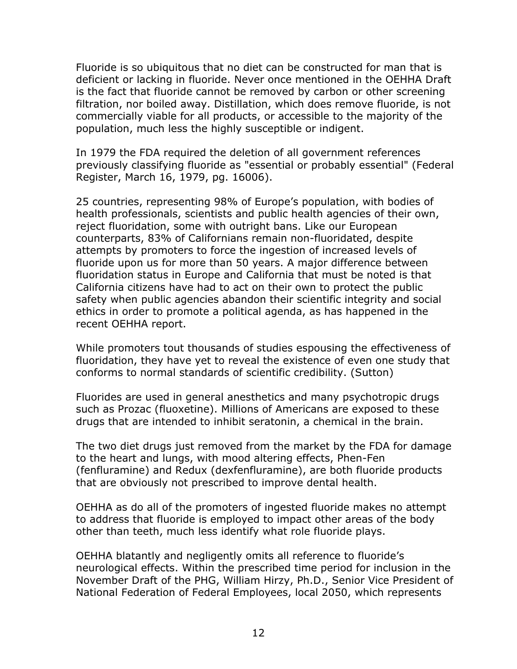Fluoride is so ubiquitous that no diet can be constructed for man that is deficient or lacking in fluoride. Never once mentioned in the OEHHA Draft is the fact that fluoride cannot be removed by carbon or other screening filtration, nor boiled away. Distillation, which does remove fluoride, is not commercially viable for all products, or accessible to the majority of the population, much less the highly susceptible or indigent.

In 1979 the FDA required the deletion of all government references previously classifying fluoride as "essential or probably essential" (Federal Register, March 16, 1979, pg. 16006).

25 countries, representing 98% of Europe's population, with bodies of health professionals, scientists and public health agencies of their own, reject fluoridation, some with outright bans. Like our European counterparts, 83% of Californians remain non-fluoridated, despite attempts by promoters to force the ingestion of increased levels of fluoride upon us for more than 50 years. A major difference between fluoridation status in Europe and California that must be noted is that California citizens have had to act on their own to protect the public safety when public agencies abandon their scientific integrity and social ethics in order to promote a political agenda, as has happened in the recent OEHHA report.

While promoters tout thousands of studies espousing the effectiveness of fluoridation, they have yet to reveal the existence of even one study that conforms to normal standards of scientific credibility. (Sutton)

Fluorides are used in general anesthetics and many psychotropic drugs such as Prozac (fluoxetine). Millions of Americans are exposed to these drugs that are intended to inhibit seratonin, a chemical in the brain.

The two diet drugs just removed from the market by the FDA for damage to the heart and lungs, with mood altering effects, Phen-Fen (fenfluramine) and Redux (dexfenfluramine), are both fluoride products that are obviously not prescribed to improve dental health.

OEHHA as do all of the promoters of ingested fluoride makes no attempt to address that fluoride is employed to impact other areas of the body other than teeth, much less identify what role fluoride plays.

OEHHA blatantly and negligently omits all reference to fluoride's neurological effects. Within the prescribed time period for inclusion in the November Draft of the PHG, William Hirzy, Ph.D., Senior Vice President of National Federation of Federal Employees, local 2050, which represents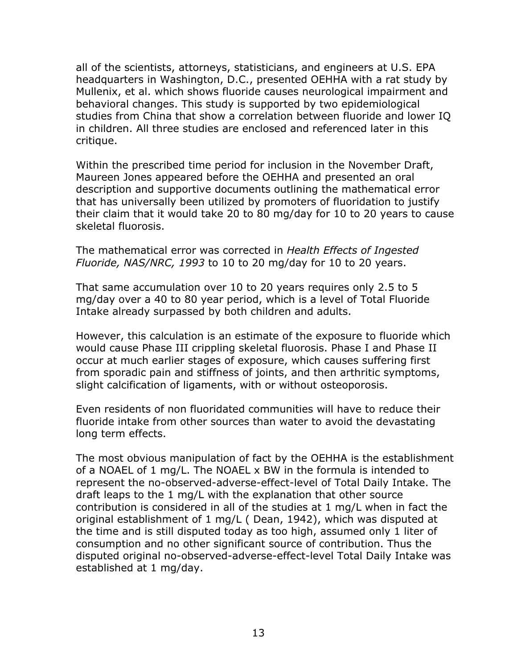all of the scientists, attorneys, statisticians, and engineers at U.S. EPA headquarters in Washington, D.C., presented OEHHA with a rat study by Mullenix, et al. which shows fluoride causes neurological impairment and behavioral changes. This study is supported by two epidemiological studies from China that show a correlation between fluoride and lower IQ in children. All three studies are enclosed and referenced later in this critique.

Within the prescribed time period for inclusion in the November Draft, Maureen Jones appeared before the OEHHA and presented an oral description and supportive documents outlining the mathematical error that has universally been utilized by promoters of fluoridation to justify their claim that it would take 20 to 80 mg/day for 10 to 20 years to cause skeletal fluorosis.

The mathematical error was corrected in *Health Effects of Ingested Fluoride, NAS/NRC, 1993* to 10 to 20 mg/day for 10 to 20 years.

That same accumulation over 10 to 20 years requires only 2.5 to 5 mg/day over a 40 to 80 year period, which is a level of Total Fluoride Intake already surpassed by both children and adults.

However, this calculation is an estimate of the exposure to fluoride which would cause Phase III crippling skeletal fluorosis. Phase I and Phase II occur at much earlier stages of exposure, which causes suffering first from sporadic pain and stiffness of joints, and then arthritic symptoms, slight calcification of ligaments, with or without osteoporosis.

Even residents of non fluoridated communities will have to reduce their fluoride intake from other sources than water to avoid the devastating long term effects.

The most obvious manipulation of fact by the OEHHA is the establishment of a NOAEL of 1 mg/L. The NOAEL x BW in the formula is intended to represent the no-observed-adverse-effect-level of Total Daily Intake. The draft leaps to the 1 mg/L with the explanation that other source contribution is considered in all of the studies at 1 mg/L when in fact the original establishment of 1 mg/L ( Dean, 1942), which was disputed at the time and is still disputed today as too high, assumed only 1 liter of consumption and no other significant source of contribution. Thus the disputed original no-observed-adverse-effect-level Total Daily Intake was established at 1 mg/day.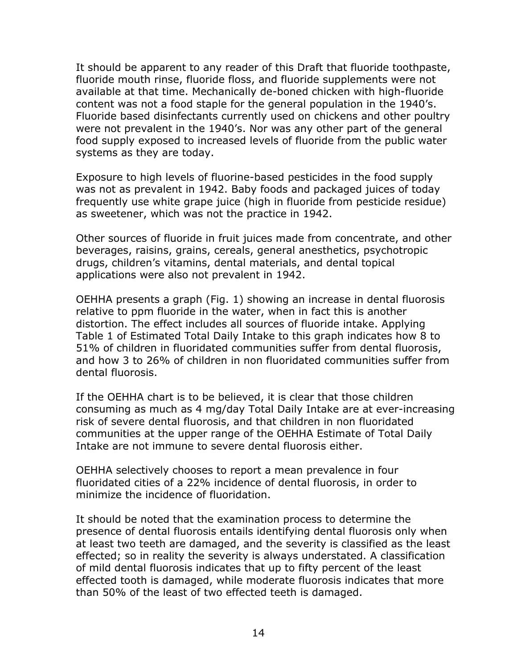It should be apparent to any reader of this Draft that fluoride toothpaste, fluoride mouth rinse, fluoride floss, and fluoride supplements were not available at that time. Mechanically de-boned chicken with high-fluoride content was not a food staple for the general population in the 1940's. Fluoride based disinfectants currently used on chickens and other poultry were not prevalent in the 1940's. Nor was any other part of the general food supply exposed to increased levels of fluoride from the public water systems as they are today.

Exposure to high levels of fluorine-based pesticides in the food supply was not as prevalent in 1942. Baby foods and packaged juices of today frequently use white grape juice (high in fluoride from pesticide residue) as sweetener, which was not the practice in 1942.

Other sources of fluoride in fruit juices made from concentrate, and other beverages, raisins, grains, cereals, general anesthetics, psychotropic drugs, children's vitamins, dental materials, and dental topical applications were also not prevalent in 1942.

OEHHA presents a graph (Fig. 1) showing an increase in dental fluorosis relative to ppm fluoride in the water, when in fact this is another distortion. The effect includes all sources of fluoride intake. Applying Table 1 of Estimated Total Daily Intake to this graph indicates how 8 to 51% of children in fluoridated communities suffer from dental fluorosis, and how 3 to 26% of children in non fluoridated communities suffer from dental fluorosis.

If the OEHHA chart is to be believed, it is clear that those children consuming as much as 4 mg/day Total Daily Intake are at ever-increasing risk of severe dental fluorosis, and that children in non fluoridated communities at the upper range of the OEHHA Estimate of Total Daily Intake are not immune to severe dental fluorosis either.

OEHHA selectively chooses to report a mean prevalence in four fluoridated cities of a 22% incidence of dental fluorosis, in order to minimize the incidence of fluoridation.

It should be noted that the examination process to determine the presence of dental fluorosis entails identifying dental fluorosis only when at least two teeth are damaged, and the severity is classified as the least effected; so in reality the severity is always understated. A classification of mild dental fluorosis indicates that up to fifty percent of the least effected tooth is damaged, while moderate fluorosis indicates that more than 50% of the least of two effected teeth is damaged.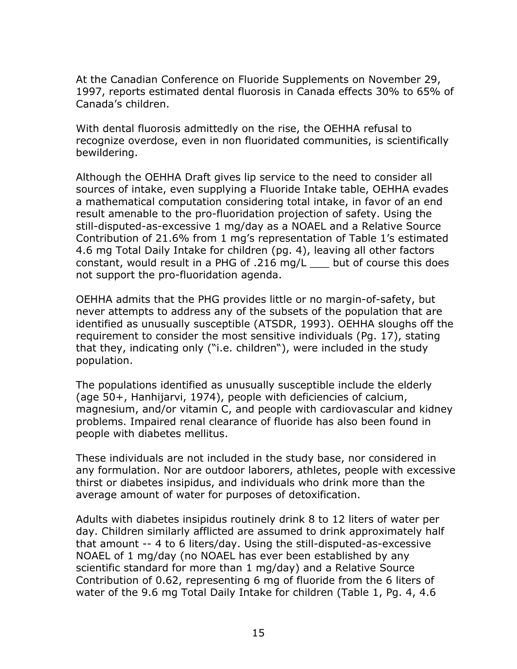At the Canadian Conference on Fluoride Supplements on November 29, 1997, reports estimated dental fluorosis in Canada effects 30% to 65% of Canada's children.

With dental fluorosis admittedly on the rise, the OEHHA refusal to recognize overdose, even in non fluoridated communities, is scientifically bewildering.

Although the OEHHA Draft gives lip service to the need to consider all sources of intake, even supplying a Fluoride Intake table, OEHHA evades a mathematical computation considering total intake, in favor of an end result amenable to the pro-fluoridation projection of safety. Using the still-disputed-as-excessive 1 mg/day as a NOAEL and a Relative Source Contribution of 21.6% from 1 mg's representation of Table 1's estimated 4.6 mg Total Daily Intake for children (pg. 4), leaving all other factors constant, would result in a PHG of .216 mg/L \_\_\_ but of course this does not support the pro-fluoridation agenda.

OEHHA admits that the PHG provides little or no margin-of-safety, but never attempts to address any of the subsets of the population that are identified as unusually susceptible (ATSDR, 1993). OEHHA sloughs off the requirement to consider the most sensitive individuals (Pg. 17), stating that they, indicating only ("i.e. children"), were included in the study population.

The populations identified as unusually susceptible include the elderly (age 50+, Hanhijarvi, 1974), people with deficiencies of calcium, magnesium, and/or vitamin C, and people with cardiovascular and kidney problems. Impaired renal clearance of fluoride has also been found in people with diabetes mellitus.

These individuals are not included in the study base, nor considered in any formulation. Nor are outdoor laborers, athletes, people with excessive thirst or diabetes insipidus, and individuals who drink more than the average amount of water for purposes of detoxification.

Adults with diabetes insipidus routinely drink 8 to 12 liters of water per day. Children similarly afflicted are assumed to drink approximately half that amount -- 4 to 6 liters/day. Using the still-disputed-as-excessive NOAEL of 1 mg/day (no NOAEL has ever been established by any scientific standard for more than 1 mg/day) and a Relative Source Contribution of 0.62, representing 6 mg of fluoride from the 6 liters of water of the 9.6 mg Total Daily Intake for children (Table 1, Pg. 4, 4.6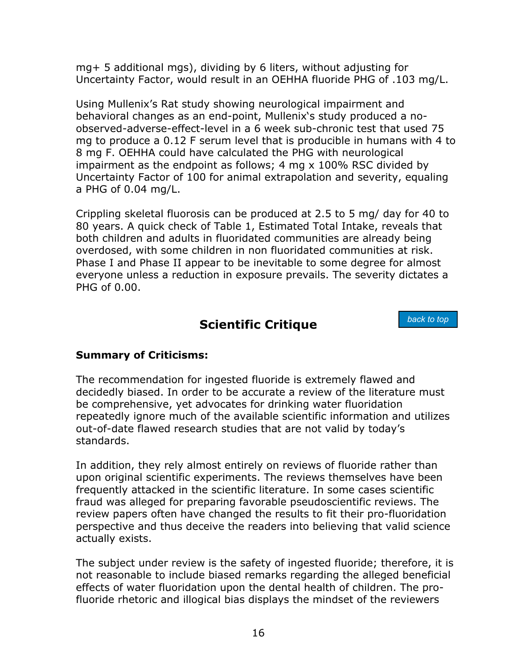<span id="page-21-1"></span><span id="page-21-0"></span>mg+ 5 additional mgs), dividing by 6 liters, without adjusting for Uncertainty Factor, would result in an OEHHA fluoride PHG of .103 mg/L.

Using Mullenix's Rat study showing neurological impairment and behavioral changes as an end-point, Mullenix's study produced a noobserved-adverse-effect-level in a 6 week sub-chronic test that used 75 mg to produce a 0.12 F serum level that is producible in humans with 4 to 8 mg F. OEHHA could have calculated the PHG with neurological impairment as the endpoint as follows; 4 mg x 100% RSC divided by Uncertainty Factor of 100 for animal extrapolation and severity, equaling a PHG of 0.04 mg/L.

Crippling skeletal fluorosis can be produced at 2.5 to 5 mg/ day for 40 to 80 years. A quick check of Table 1, Estimated Total Intake, reveals that both children and adults in fluoridated communities are already being overdosed, with some children in non fluoridated communities at risk. Phase I and Phase II appear to be inevitable to some degree for almost everyone unless a reduction in exposure prevails. The severity dictates a PHG of 0.00.

## **Scientific Critique**

*back to top*

## **Summary of Criticisms:**

The recommendation for ingested fluoride is extremely flawed and decidedly biased. In order to be accurate a review of the literature must be comprehensive, yet advocates for drinking water fluoridation repeatedly ignore much of the available scientific information and utilizes out-of-date flawed research studies that are not valid by today's standards.

In addition, they rely almost entirely on reviews of fluoride rather than upon original scientific experiments. The reviews themselves have been frequently attacked in the scientific literature. In some cases scientific fraud was alleged for preparing favorable pseudoscientific reviews. The review papers often have changed the results to fit their pro-fluoridation perspective and thus deceive the readers into believing that valid science actually exists.

The subject under review is the safety of ingested fluoride; therefore, it is not reasonable to include biased remarks regarding the alleged beneficial effects of water fluoridation upon the dental health of children. The profluoride rhetoric and illogical bias displays the mindset of the reviewers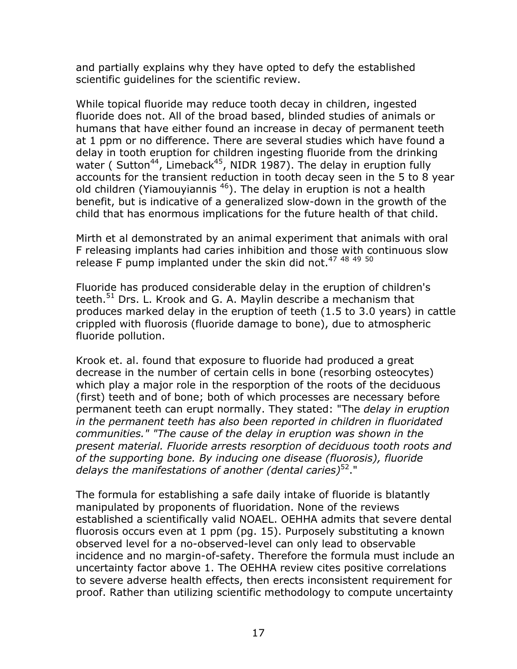and partially explains why they have opted to defy the established scientific guidelines for the scientific review.

While topical fluoride may reduce tooth decay in children, ingested fluoride does not. All of the broad based, blinded studies of animals or humans that have either found an increase in decay of permanent teeth at 1 ppm or no difference. There are several studies which have found a delay in tooth eruption for children ingesting fluoride from the drinking water ( Sutton<sup>44</sup>, Limeback<sup>45</sup>, NIDR 1987). The delay in eruption fully accounts for the transient reduction in tooth decay seen in the 5 to 8 year old children (Yiamouyiannis  $46$ ). The delay in eruption is not a health benefit, but is indicative of a generalized slow-down in the growth of the child that has enormous implications for the future health of that child.

Mirth et al demonstrated by an animal experiment that animals with oral F releasing implants had caries inhibition and those with continuous slow release F pump implanted under the skin did not.<sup>[47](#page-67-32)</sup> <sup>[48](#page-67-32)</sup> <sup>[49](#page-67-32)</sup> <sup>5[0](#page-67-33)</sup>

Fluoride has produced considerable delay in the eruption of children's teeth.<sup>51</sup> Drs. L. Krook and G. A. Maylin describe a mechanism that produces marked delay in the eruption of teeth (1.5 to 3.0 years) in cattle crippled with fluorosis (fluoride damage to bone), due to atmospheric fluoride pollution.

Krook et. al. found that exposure to fluoride had produced a great decrease in the number of certain cells in bone (resorbing osteocytes) which play a major role in the resporption of the roots of the deciduous (first) teeth and of bone; both of which processes are necessary before permanent teeth can erupt normally. They stated: "The *delay in eruption in the permanent teeth has also been reported in children in fluoridated communities." "The cause of the delay in eruption was shown in the present material. Fluoride arrests resorption of deciduous tooth roots and of the supporting bone. By inducing one disease (fluorosis), fluoride delays the manifestations of another (dental caries)*[52.](#page-67-35)"

The formula for establishing a safe daily intake of fluoride is blatantly manipulated by proponents of fluoridation. None of the reviews established a scientifically valid NOAEL. OEHHA admits that severe dental fluorosis occurs even at 1 ppm (pg. 15). Purposely substituting a known observed level for a no-observed-level can only lead to observable incidence and no margin-of-safety. Therefore the formula must include an uncertainty factor above 1. The OEHHA review cites positive correlations to severe adverse health effects, then erects inconsistent requirement for proof. Rather than utilizing scientific methodology to compute uncertainty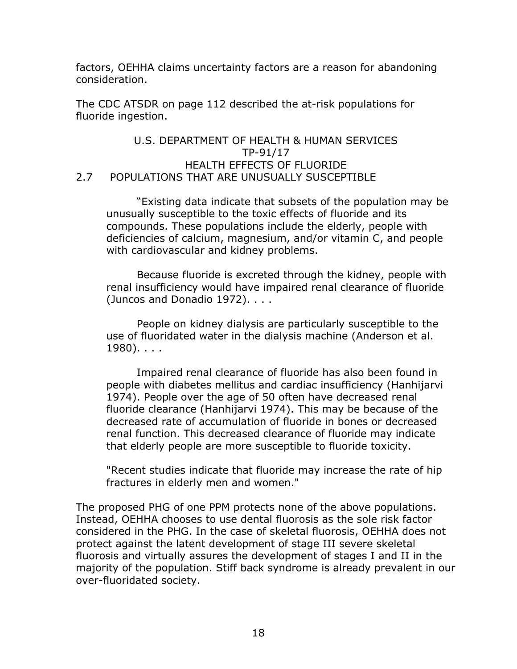factors, OEHHA claims uncertainty factors are a reason for abandoning consideration.

The CDC ATSDR on page 112 described the at-risk populations for fluoride ingestion.

#### U.S. DEPARTMENT OF HEALTH & HUMAN SERVICES TP-91/17 HEALTH EFFECTS OF FLUORIDE 2.7 POPULATIONS THAT ARE UNUSUALLY SUSCEPTIBLE

"Existing data indicate that subsets of the population may be unusually susceptible to the toxic effects of fluoride and its compounds. These populations include the elderly, people with deficiencies of calcium, magnesium, and/or vitamin C, and people with cardiovascular and kidney problems.

Because fluoride is excreted through the kidney, people with renal insufficiency would have impaired renal clearance of fluoride (Juncos and Donadio 1972). . . .

People on kidney dialysis are particularly susceptible to the use of fluoridated water in the dialysis machine (Anderson et al. 1980). . . .

Impaired renal clearance of fluoride has also been found in people with diabetes mellitus and cardiac insufficiency (Hanhijarvi 1974). People over the age of 50 often have decreased renal fluoride clearance (Hanhijarvi 1974). This may be because of the decreased rate of accumulation of fluoride in bones or decreased renal function. This decreased clearance of fluoride may indicate that elderly people are more susceptible to fluoride toxicity.

"Recent studies indicate that fluoride may increase the rate of hip fractures in elderly men and women."

The proposed PHG of one PPM protects none of the above populations. Instead, OEHHA chooses to use dental fluorosis as the sole risk factor considered in the PHG. In the case of skeletal fluorosis, OEHHA does not protect against the latent development of stage III severe skeletal fluorosis and virtually assures the development of stages I and II in the majority of the population. Stiff back syndrome is already prevalent in our over-fluoridated society.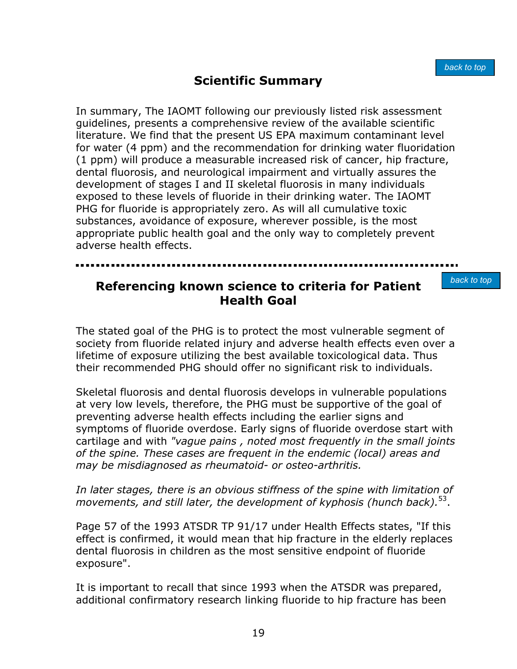# **Scientific Summary**

<span id="page-24-0"></span>In summary, The IAOMT following our previously listed risk assessment guidelines, presents a comprehensive review of the available scientific literature. We find that the present US EPA maximum contaminant level for water (4 ppm) and the recommendation for drinking water fluoridation (1 ppm) will produce a measurable increased risk of cancer, hip fracture, dental fluorosis, and neurological impairment and virtually assures the development of stages I and II skeletal fluorosis in many individuals exposed to these levels of fluoride in their drinking water. The IAOMT PHG for fluoride is appropriately zero. As will all cumulative toxic substances, avoidance of exposure, wherever possible, is the most appropriate public health goal and the only way to completely prevent adverse health effects.

## **Referencing known science to criteria for Patient Health Goal**

*back to top*

<span id="page-24-1"></span>The stated goal of the PHG is to protect the most vulnerable segment of society from fluoride related injury and adverse health effects even over a lifetime of exposure utilizing the best available toxicological data. Thus their recommended PHG should offer no significant risk to individuals.

Skeletal fluorosis and dental fluorosis develops in vulnerable populations at very low levels, therefore, the PHG must be supportive of the goal of preventing adverse health effects including the earlier signs and symptoms of fluoride overdose. Early signs of fluoride overdose start with cartilage and with *"vague pains , noted most frequently in the small joints of the spine. These cases are frequent in the endemic (local) areas and may be misdiagnosed as rheumatoid- or osteo-arthritis.* 

#### *In later stages, there is an obvious stiffness of the spine with limitation of movements, and still later, the development of kyphosis (hunch back).*[53.](#page-67-36)

Page 57 of the 1993 ATSDR TP 91/17 under Health Effects states, "If this effect is confirmed, it would mean that hip fracture in the elderly replaces dental fluorosis in children as the most sensitive endpoint of fluoride exposure".

It is important to recall that since 1993 when the ATSDR was prepared, additional confirmatory research linking fluoride to hip fracture has been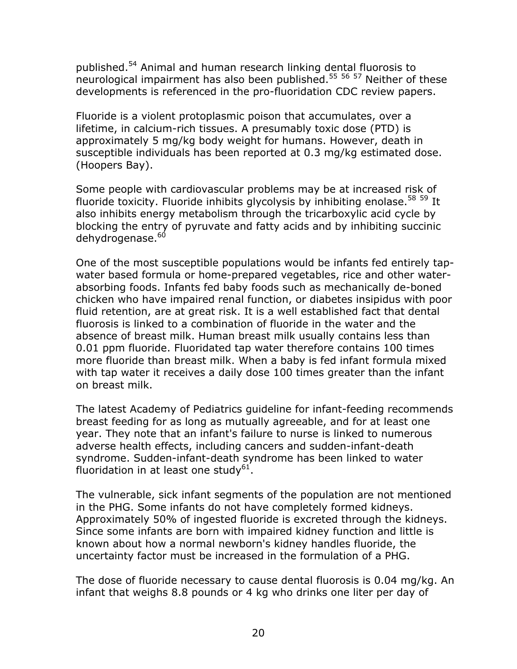published.<sup>54</sup> Animal and human research linking dental fluorosis to neurological impairment has also been published.<sup>[55](#page-67-38) [56](#page-67-38) 57</sup> Neither of these developments is referenced in the pro-fluoridation CDC review papers.

Fluoride is a violent protoplasmic poison that accumulates, over a lifetime, in calcium-rich tissues. A presumably toxic dose (PTD) is approximately 5 mg/kg body weight for humans. However, death in susceptible individuals has been reported at 0.3 mg/kg estimated dose. (Hoopers Bay).

Some people with cardiovascular problems may be at increased risk of fluoride toxicity. Fluoride inhibits glycolysis by inhibiting enolase.<sup>[58](#page-67-39) 59</sup> It also inhibits energy metabolism through the tricarboxylic acid cycle by blocking the entry of pyruvate and fatty acids and by inhibiting succinic dehydrogenase.<sup>60</sup>

One of the most susceptible populations would be infants fed entirely tapwater based formula or home-prepared vegetables, rice and other waterabsorbing foods. Infants fed baby foods such as mechanically de-boned chicken who have impaired renal function, or diabetes insipidus with poor fluid retention, are at great risk. It is a well established fact that dental fluorosis is linked to a combination of fluoride in the water and the absence of breast milk. Human breast milk usually contains less than 0.01 ppm fluoride. Fluoridated tap water therefore contains 100 times more fluoride than breast milk. When a baby is fed infant formula mixed with tap water it receives a daily dose 100 times greater than the infant on breast milk.

The latest Academy of Pediatrics guideline for infant-feeding recommends breast feeding for as long as mutually agreeable, and for at least one year. They note that an infant's failure to nurse is linked to numerous adverse health effects, including cancers and sudden-infant-death syndrome. Sudden-infant-death syndrome has been linked to water fluoridation in at least one study<sup>61</sup>.

The vulnerable, sick infant segments of the population are not mentioned in the PHG. Some infants do not have completely formed kidneys. Approximately 50% of ingested fluoride is excreted through the kidneys. Since some infants are born with impaired kidney function and little is known about how a normal newborn's kidney handles fluoride, the uncertainty factor must be increased in the formulation of a PHG.

The dose of fluoride necessary to cause dental fluorosis is 0.04 mg/kg. An infant that weighs 8.8 pounds or 4 kg who drinks one liter per day of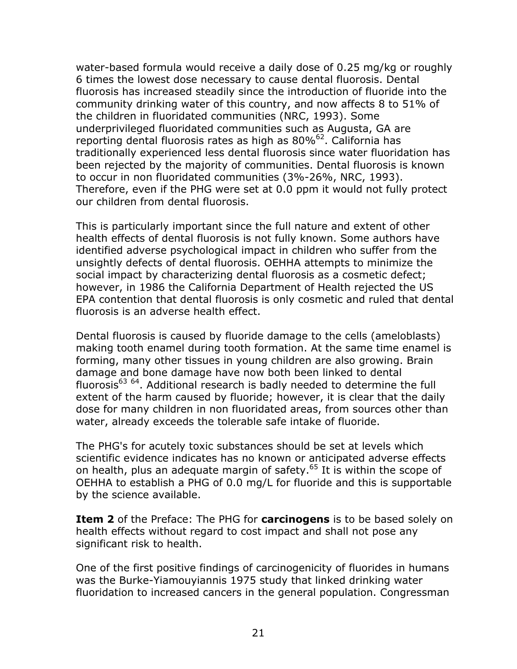water-based formula would receive a daily dose of 0.25 mg/kg or roughly 6 times the lowest dose necessary to cause dental fluorosis. Dental fluorosis has increased steadily since the introduction of fluoride into the community drinking water of this country, and now affects 8 to 51% of the children in fluoridated communities (NRC, 1993). Some underprivileged fluoridated communities such as Augusta, GA are reporting dental fluorosis rates as high as 80%<sup>62</sup>. California has traditionally experienced less dental fluorosis since water fluoridation has been rejected by the majority of communities. Dental fluorosis is known to occur in non fluoridated communities (3%-26%, NRC, 1993). Therefore, even if the PHG were set at 0.0 ppm it would not fully protect our children from dental fluorosis.

This is particularly important since the full nature and extent of other health effects of dental fluorosis is not fully known. Some authors have identified adverse psychological impact in children who suffer from the unsightly defects of dental fluorosis. OEHHA attempts to minimize the social impact by characterizing dental fluorosis as a cosmetic defect; however, in 1986 the California Department of Health rejected the US EPA contention that dental fluorosis is only cosmetic and ruled that dental fluorosis is an adverse health effect.

Dental fluorosis is caused by fluoride damage to the cells (ameloblasts) making tooth enamel during tooth formation. At the same time enamel is forming, many other tissues in young children are also growing. Brain damage and bone damage have now both been linked to dental fluorosis $^{63}$  $^{63}$  $^{63}$   $^{64}$ . Additional research is badly needed to determine the full extent of the harm caused by fluoride; however, it is clear that the daily dose for many children in non fluoridated areas, from sources other than water, already exceeds the tolerable safe intake of fluoride.

The PHG's for acutely toxic substances should be set at levels which scientific evidence indicates has no known or anticipated adverse effects on health, plus an adequate margin of safety.<sup>65</sup> It is within the scope of OEHHA to establish a PHG of 0.0 mg/L for fluoride and this is supportable by the science available.

**Item 2** of the Preface: The PHG for **carcinogens** is to be based solely on health effects without regard to cost impact and shall not pose any significant risk to health.

One of the first positive findings of carcinogenicity of fluorides in humans was the Burke-Yiamouyiannis 1975 study that linked drinking water fluoridation to increased cancers in the general population. Congressman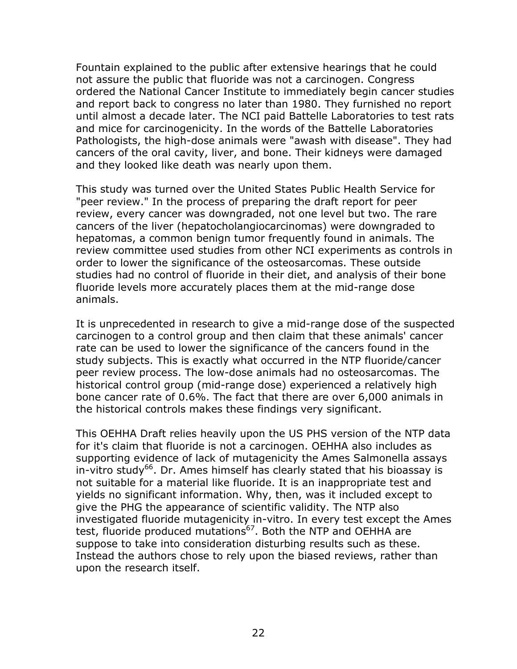Fountain explained to the public after extensive hearings that he could not assure the public that fluoride was not a carcinogen. Congress ordered the National Cancer Institute to immediately begin cancer studies and report back to congress no later than 1980. They furnished no report until almost a decade later. The NCI paid Battelle Laboratories to test rats and mice for carcinogenicity. In the words of the Battelle Laboratories Pathologists, the high-dose animals were "awash with disease". They had cancers of the oral cavity, liver, and bone. Their kidneys were damaged and they looked like death was nearly upon them.

This study was turned over the United States Public Health Service for "peer review." In the process of preparing the draft report for peer review, every cancer was downgraded, not one level but two. The rare cancers of the liver (hepatocholangiocarcinomas) were downgraded to hepatomas, a common benign tumor frequently found in animals. The review committee used studies from other NCI experiments as controls in order to lower the significance of the osteosarcomas. These outside studies had no control of fluoride in their diet, and analysis of their bone fluoride levels more accurately places them at the mid-range dose animals.

It is unprecedented in research to give a mid-range dose of the suspected carcinogen to a control group and then claim that these animals' cancer rate can be used to lower the significance of the cancers found in the study subjects. This is exactly what occurred in the NTP fluoride/cancer peer review process. The low-dose animals had no osteosarcomas. The historical control group (mid-range dose) experienced a relatively high bone cancer rate of 0.6%. The fact that there are over 6,000 animals in the historical controls makes these findings very significant.

This OEHHA Draft relies heavily upon the US PHS version of the NTP data for it's claim that fluoride is not a carcinogen. OEHHA also includes as supporting evidence of lack of mutagenicity the Ames Salmonella assays in-vitro study<sup>66</sup>. Dr. Ames himself has clearly stated that his bioassay is not suitable for a material like fluoride. It is an inappropriate test and yields no significant information. Why, then, was it included except to give the PHG the appearance of scientific validity. The NTP also investigated fluoride mutagenicity in-vitro. In every test except the Ames test, fluoride produced mutations<sup>67</sup>. Both the NTP and OEHHA are suppose to take into consideration disturbing results such as these. Instead the authors chose to rely upon the biased reviews, rather than upon the research itself.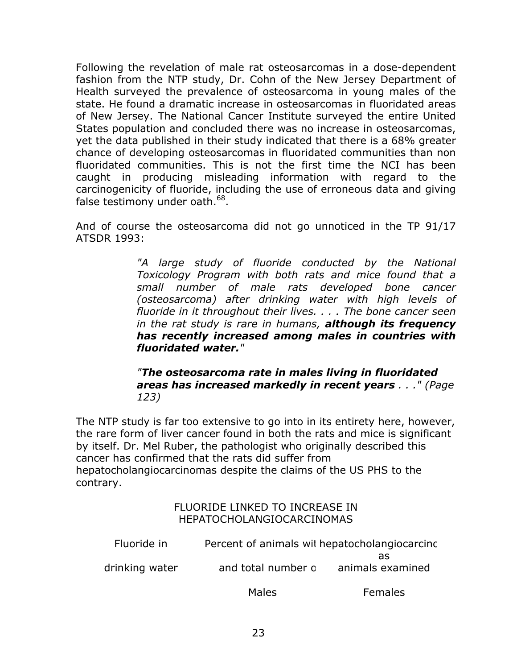Following the revelation of male rat osteosarcomas in a dose-dependent fashion from the NTP study, Dr. Cohn of the New Jersey Department of Health surveyed the prevalence of osteosarcoma in young males of the state. He found a dramatic increase in osteosarcomas in fluoridated areas of New Jersey. The National Cancer Institute surveyed the entire United States population and concluded there was no increase in osteosarcomas, yet the data published in their study indicated that there is a 68% greater chance of developing osteosarcomas in fluoridated communities than non fluoridated communities. This is not the first time the NCI has been caught in producing misleading information with regard to the carcinogenicity of fluoride, including the use of erroneous data and giving false testimony under oath.<sup>68</sup>.

And of course the osteosarcoma did not go unnoticed in the TP 91/17 ATSDR 1993:

> *"A large study of fluoride conducted by the National Toxicology Program with both rats and mice found that a small number of male rats developed bone cancer (osteosarcoma) after drinking water with high levels of fluoride in it throughout their lives. . . . The bone cancer seen in the rat study is rare in humans, although its frequency has recently increased among males in countries with fluoridated water."*

*"The osteosarcoma rate in males living in fluoridated areas has increased markedly in recent years . . ." (Page 123)*

The NTP study is far too extensive to go into in its entirety here, however, the rare form of liver cancer found in both the rats and mice is significant by itself. Dr. Mel Ruber, the pathologist who originally described this cancer has confirmed that the rats did suffer from hepatocholangiocarcinomas despite the claims of the US PHS to the contrary.

#### FLUORIDE LINKED TO INCREASE IN HEPATOCHOLANGIOCARCINOMAS

| Percent of animals wit hepatocholangiocarcinc |                        |  |  |
|-----------------------------------------------|------------------------|--|--|
| and total number o                            | as<br>animals examined |  |  |
|                                               |                        |  |  |

Males Females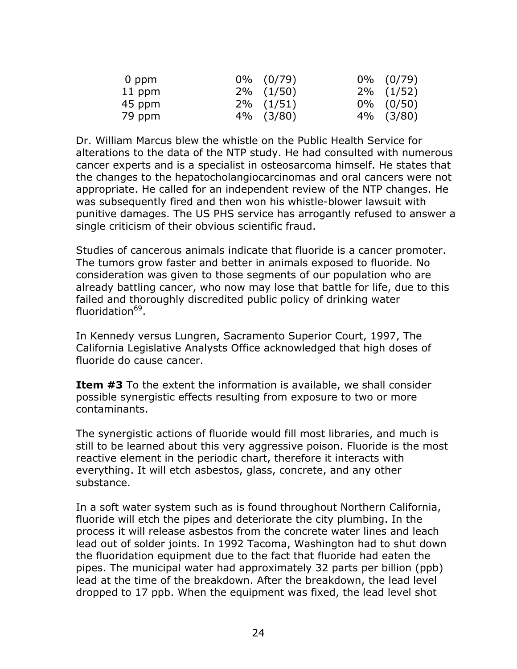| 0 ppm  | $0\%$ $(0/79)$ | $0\%$ $(0/79)$ |
|--------|----------------|----------------|
| 11 ppm | $2\%$ $(1/50)$ | $2\%$ $(1/52)$ |
| 45 ppm | $2\%$ $(1/51)$ | $0\%$ (0/50)   |
| 79 ppm | $4\%$ $(3/80)$ | $4\%$ $(3/80)$ |

Dr. William Marcus blew the whistle on the Public Health Service for alterations to the data of the NTP study. He had consulted with numerous cancer experts and is a specialist in osteosarcoma himself. He states that the changes to the hepatocholangiocarcinomas and oral cancers were not appropriate. He called for an independent review of the NTP changes. He was subsequently fired and then won his whistle-blower lawsuit with punitive damages. The US PHS service has arrogantly refused to answer a single criticism of their obvious scientific fraud.

Studies of cancerous animals indicate that fluoride is a cancer promoter. The tumors grow faster and better in animals exposed to fluoride. No consideration was given to those segments of our population who are already battling cancer, who now may lose that battle for life, due to this failed and thoroughly discredited public policy of drinking water fluoridation<sup>69</sup>.

In Kennedy versus Lungren, Sacramento Superior Court, 1997, The California Legislative Analysts Office acknowledged that high doses of fluoride do cause cancer.

**Item #3** To the extent the information is available, we shall consider possible synergistic effects resulting from exposure to two or more contaminants.

The synergistic actions of fluoride would fill most libraries, and much is still to be learned about this very aggressive poison. Fluoride is the most reactive element in the periodic chart, therefore it interacts with everything. It will etch asbestos, glass, concrete, and any other substance.

In a soft water system such as is found throughout Northern California, fluoride will etch the pipes and deteriorate the city plumbing. In the process it will release asbestos from the concrete water lines and leach lead out of solder joints. In 1992 Tacoma, Washington had to shut down the fluoridation equipment due to the fact that fluoride had eaten the pipes. The municipal water had approximately 32 parts per billion (ppb) lead at the time of the breakdown. After the breakdown, the lead level dropped to 17 ppb. When the equipment was fixed, the lead level shot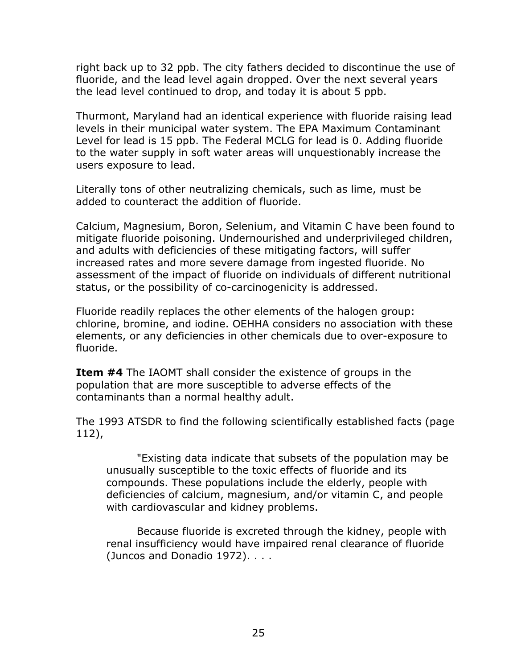right back up to 32 ppb. The city fathers decided to discontinue the use of fluoride, and the lead level again dropped. Over the next several years the lead level continued to drop, and today it is about 5 ppb.

Thurmont, Maryland had an identical experience with fluoride raising lead levels in their municipal water system. The EPA Maximum Contaminant Level for lead is 15 ppb. The Federal MCLG for lead is 0. Adding fluoride to the water supply in soft water areas will unquestionably increase the users exposure to lead.

Literally tons of other neutralizing chemicals, such as lime, must be added to counteract the addition of fluoride.

Calcium, Magnesium, Boron, Selenium, and Vitamin C have been found to mitigate fluoride poisoning. Undernourished and underprivileged children, and adults with deficiencies of these mitigating factors, will suffer increased rates and more severe damage from ingested fluoride. No assessment of the impact of fluoride on individuals of different nutritional status, or the possibility of co-carcinogenicity is addressed.

Fluoride readily replaces the other elements of the halogen group: chlorine, bromine, and iodine. OEHHA considers no association with these elements, or any deficiencies in other chemicals due to over-exposure to fluoride.

**Item #4** The IAOMT shall consider the existence of groups in the population that are more susceptible to adverse effects of the contaminants than a normal healthy adult.

The 1993 ATSDR to find the following scientifically established facts (page 112),

"Existing data indicate that subsets of the population may be unusually susceptible to the toxic effects of fluoride and its compounds. These populations include the elderly, people with deficiencies of calcium, magnesium, and/or vitamin C, and people with cardiovascular and kidney problems.

Because fluoride is excreted through the kidney, people with renal insufficiency would have impaired renal clearance of fluoride (Juncos and Donadio 1972). . . .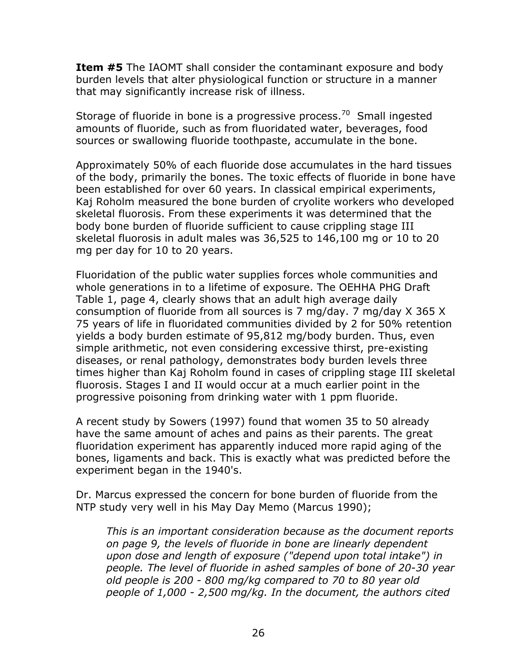**Item #5** The IAOMT shall consider the contaminant exposure and body burden levels that alter physiological function or structure in a manner that may significantly increase risk of illness.

Storage of fluoride in bone is a progressive process. $70$  Small ingested amounts of fluoride, such as from fluoridated water, beverages, food sources or swallowing fluoride toothpaste, accumulate in the bone.

Approximately 50% of each fluoride dose accumulates in the hard tissues of the body, primarily the bones. The toxic effects of fluoride in bone have been established for over 60 years. In classical empirical experiments, Kaj Roholm measured the bone burden of cryolite workers who developed skeletal fluorosis. From these experiments it was determined that the body bone burden of fluoride sufficient to cause crippling stage III skeletal fluorosis in adult males was 36,525 to 146,100 mg or 10 to 20 mg per day for 10 to 20 years.

Fluoridation of the public water supplies forces whole communities and whole generations in to a lifetime of exposure. The OEHHA PHG Draft Table 1, page 4, clearly shows that an adult high average daily consumption of fluoride from all sources is 7 mg/day. 7 mg/day X 365 X 75 years of life in fluoridated communities divided by 2 for 50% retention yields a body burden estimate of 95,812 mg/body burden. Thus, even simple arithmetic, not even considering excessive thirst, pre-existing diseases, or renal pathology, demonstrates body burden levels three times higher than Kaj Roholm found in cases of crippling stage III skeletal fluorosis. Stages I and II would occur at a much earlier point in the progressive poisoning from drinking water with 1 ppm fluoride.

A recent study by Sowers (1997) found that women 35 to 50 already have the same amount of aches and pains as their parents. The great fluoridation experiment has apparently induced more rapid aging of the bones, ligaments and back. This is exactly what was predicted before the experiment began in the 1940's.

Dr. Marcus expressed the concern for bone burden of fluoride from the NTP study very well in his May Day Memo (Marcus 1990);

*This is an important consideration because as the document reports on page 9, the levels of fluoride in bone are linearly dependent upon dose and length of exposure ("depend upon total intake") in people. The level of fluoride in ashed samples of bone of 20-30 year old people is 200 - 800 mg/kg compared to 70 to 80 year old people of 1,000 - 2,500 mg/kg. In the document, the authors cited*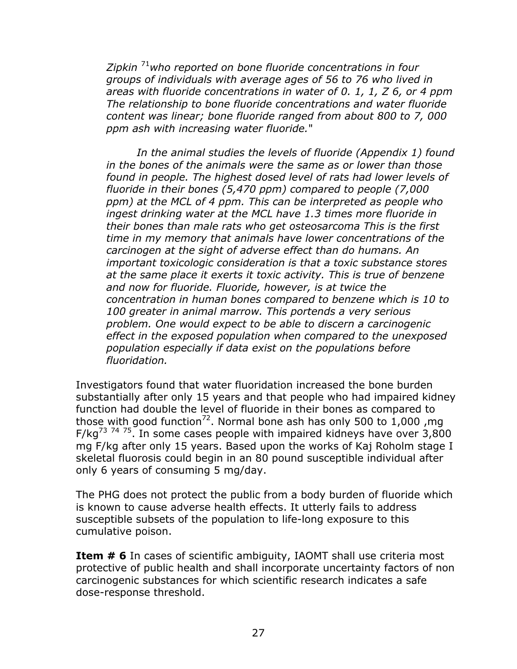*Zipkin* [71](#page-67-37)*who reported on bone fluoride concentrations in four groups of individuals with average ages of 56 to 76 who lived in areas with fluoride concentrations in water of 0. 1, 1, Z 6, or 4 ppm The relationship to bone fluoride concentrations and water fluoride content was linear; bone fluoride ranged from about 800 to 7, 000 ppm ash with increasing water fluoride.*"

*In the animal studies the levels of fluoride (Appendix 1) found in the bones of the animals were the same as or lower than those*  found in people. The highest dosed level of rats had lower levels of *fluoride in their bones (5,470 ppm) compared to people (7,000 ppm) at the MCL of 4 ppm. This can be interpreted as people who ingest drinking water at the MCL have 1.3 times more fluoride in their bones than male rats who get osteosarcoma This is the first time in my memory that animals have lower concentrations of the carcinogen at the sight of adverse effect than do humans. An important toxicologic consideration is that a toxic substance stores at the same place it exerts it toxic activity. This is true of benzene and now for fluoride. Fluoride, however, is at twice the concentration in human bones compared to benzene which is 10 to 100 greater in animal marrow. This portends a very serious problem. One would expect to be able to discern a carcinogenic effect in the exposed population when compared to the unexposed population especially if data exist on the populations before fluoridation.*

Investigators found that water fluoridation increased the bone burden substantially after only 15 years and that people who had impaired kidney function had double the level of fluoride in their bones as compared to those with good function<sup>72</sup>. Normal bone ash has only 500 to 1,000, mg  $F/kg^{73}$  $F/kg^{73}$  $F/kg^{73}$ <sup>[74](#page-67-46) 75</sup>. In some cases people with impaired kidneys have over 3,800 mg F/kg after only 15 years. Based upon the works of Kaj Roholm stage I skeletal fluorosis could begin in an 80 pound susceptible individual after only 6 years of consuming 5 mg/day.

The PHG does not protect the public from a body burden of fluoride which is known to cause adverse health effects. It utterly fails to address susceptible subsets of the population to life-long exposure to this cumulative poison.

**Item # 6** In cases of scientific ambiguity, IAOMT shall use criteria most protective of public health and shall incorporate uncertainty factors of non carcinogenic substances for which scientific research indicates a safe dose-response threshold.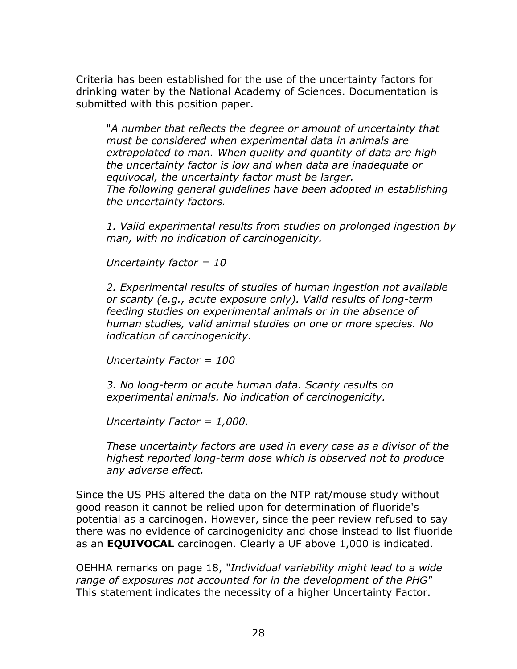Criteria has been established for the use of the uncertainty factors for drinking water by the National Academy of Sciences. Documentation is submitted with this position paper.

"*A number that reflects the degree or amount of uncertainty that must be considered when experimental data in animals are extrapolated to man. When quality and quantity of data are high the uncertainty factor is low and when data are inadequate or equivocal, the uncertainty factor must be larger. The following general guidelines have been adopted in establishing the uncertainty factors.* 

*1. Valid experimental results from studies on prolonged ingestion by man, with no indication of carcinogenicity.* 

*Uncertainty factor = 10* 

*2. Experimental results of studies of human ingestion not available or scanty (e.g., acute exposure only). Valid results of long-term feeding studies on experimental animals or in the absence of human studies, valid animal studies on one or more species. No indication of carcinogenicity.* 

*Uncertainty Factor = 100* 

*3. No long-term or acute human data. Scanty results on experimental animals. No indication of carcinogenicity.* 

*Uncertainty Factor = 1,000.* 

*These uncertainty factors are used in every case as a divisor of the highest reported long-term dose which is observed not to produce any adverse effect.*

Since the US PHS altered the data on the NTP rat/mouse study without good reason it cannot be relied upon for determination of fluoride's potential as a carcinogen. However, since the peer review refused to say there was no evidence of carcinogenicity and chose instead to list fluoride as an **EQUIVOCAL** carcinogen. Clearly a UF above 1,000 is indicated.

OEHHA remarks on page 18, "*Individual variability might lead to a wide range of exposures not accounted for in the development of the PHG"*  This statement indicates the necessity of a higher Uncertainty Factor.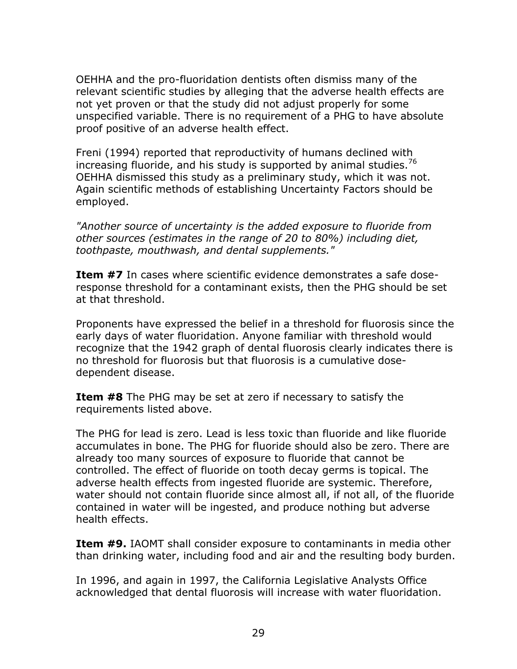OEHHA and the pro-fluoridation dentists often dismiss many of the relevant scientific studies by alleging that the adverse health effects are not yet proven or that the study did not adjust properly for some unspecified variable. There is no requirement of a PHG to have absolute proof positive of an adverse health effect.

Freni (1994) reported that reproductivity of humans declined with increasing fluoride, and his study is supported by animal studies.<sup>[76](#page-67-47)</sup> OEHHA dismissed this study as a preliminary study, which it was not. Again scientific methods of establishing Uncertainty Factors should be employed.

*"Another source of uncertainty is the added exposure to fluoride from other sources (estimates in the range of 20 to 80%) including diet, toothpaste, mouthwash, and dental supplements."*

**Item #7** In cases where scientific evidence demonstrates a safe doseresponse threshold for a contaminant exists, then the PHG should be set at that threshold.

Proponents have expressed the belief in a threshold for fluorosis since the early days of water fluoridation. Anyone familiar with threshold would recognize that the 1942 graph of dental fluorosis clearly indicates there is no threshold for fluorosis but that fluorosis is a cumulative dosedependent disease.

**Item #8** The PHG may be set at zero if necessary to satisfy the requirements listed above.

The PHG for lead is zero. Lead is less toxic than fluoride and like fluoride accumulates in bone. The PHG for fluoride should also be zero. There are already too many sources of exposure to fluoride that cannot be controlled. The effect of fluoride on tooth decay germs is topical. The adverse health effects from ingested fluoride are systemic. Therefore, water should not contain fluoride since almost all, if not all, of the fluoride contained in water will be ingested, and produce nothing but adverse health effects.

**Item #9.** IAOMT shall consider exposure to contaminants in media other than drinking water, including food and air and the resulting body burden.

In 1996, and again in 1997, the California Legislative Analysts Office acknowledged that dental fluorosis will increase with water fluoridation.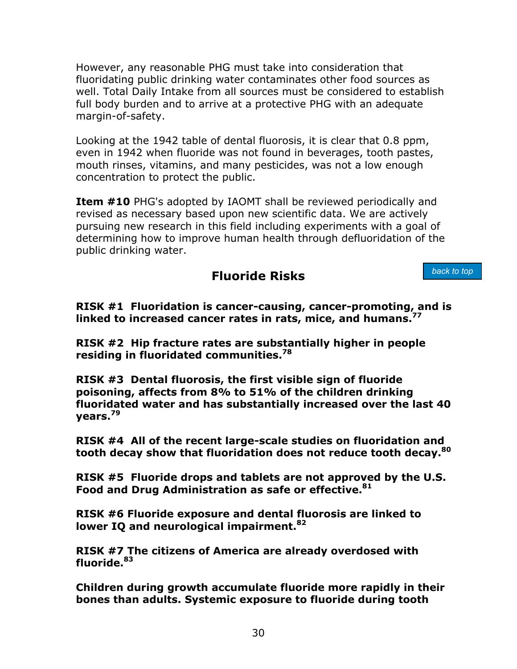However, any reasonable PHG must take into consideration that fluoridating public drinking water contaminates other food sources as well. Total Daily Intake from all sources must be considered to establish full body burden and to arrive at a protective PHG with an adequate margin-of-safety.

Looking at the 1942 table of dental fluorosis, it is clear that 0.8 ppm, even in 1942 when fluoride was not found in beverages, tooth pastes, mouth rinses, vitamins, and many pesticides, was not a low enough concentration to protect the public.

**Item #10** PHG's adopted by IAOMT shall be reviewed periodically and revised as necessary based upon new scientific data. We are actively pursuing new research in this field including experiments with a goal of determining how to improve human health through defluoridation of the public drinking water.

## **Fluoride Risks**

*back to top*

<span id="page-35-0"></span>**RISK #1 Fluoridation is cancer-causing, cancer-promoting, and is linked to increased cancer rates in rats, mice, and humans.[77](#page-67-48)** 

**RISK #2 Hip fracture rates are substantially higher in people residing in fluoridated communities.[78](#page-67-49)** 

**RISK #3 Dental fluorosis, the first visible sign of fluoride poisoning, affects from 8% to 51% of the children drinking fluoridated water and has substantially increased over the last 40 years.[79](#page-67-50)** 

**RISK #4 All of the recent large-scale studies on fluoridation and tooth decay show that fluoridation does not reduce tooth decay.[80](#page-67-51)** 

**RISK #5 Fluoride drops and tablets are not approved by the U.S. Food and Drug Administration as safe or effective.[81](#page-67-52)** 

**RISK #6 Fluoride exposure and dental fluorosis are linked to lower IQ and neurological impairment.[82](#page-67-53)**

**RISK #7 The citizens of America are already overdosed with fluoride.[83](#page-67-54)**

**Children during growth accumulate fluoride more rapidly in their bones than adults. Systemic exposure to fluoride during tooth**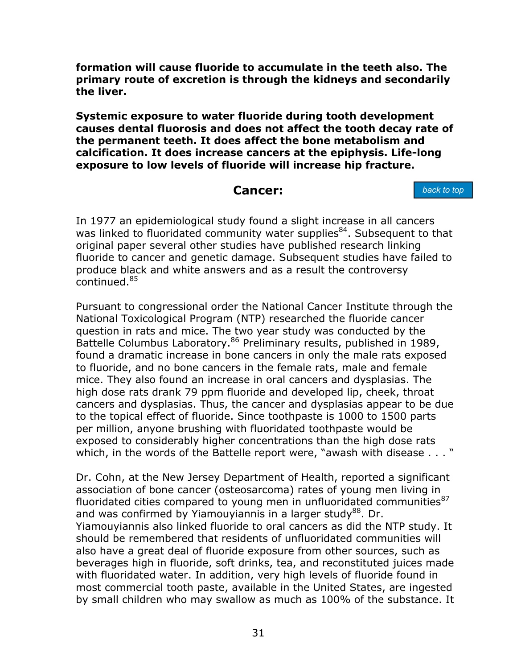**formation will cause fluoride to accumulate in the teeth also. The primary route of excretion is through the kidneys and secondarily the liver.** 

**Systemic exposure to water fluoride during tooth development causes dental fluorosis and does not affect the tooth decay rate of the permanent teeth. It does affect the bone metabolism and calcification. It does increase cancers at the epiphysis. Life-long exposure to low levels of fluoride will increase hip fracture.** 

### **Cancer:**

*back to top*

<span id="page-36-0"></span>In 1977 an epidemiological study found a slight increase in all cancers was linked to fluoridated community water supplies<sup>84</sup>. Subsequent to that original paper several other studies have published research linking fluoride to cancer and genetic damage. Subsequent studies have failed to produce black and white answers and as a result the controversy continued.[85](#page-67-55) 

Pursuant to congressional order the National Cancer Institute through the National Toxicological Program (NTP) researched the fluoride cancer question in rats and mice. The two year study was conducted by the Battelle Columbus Laboratory.<sup>86</sup> Preliminary results, published in 1989, found a dramatic increase in bone cancers in only the male rats exposed to fluoride, and no bone cancers in the female rats, male and female mice. They also found an increase in oral cancers and dysplasias. The high dose rats drank 79 ppm fluoride and developed lip, cheek, throat cancers and dysplasias. Thus, the cancer and dysplasias appear to be due to the topical effect of fluoride. Since toothpaste is 1000 to 1500 parts per million, anyone brushing with fluoridated toothpaste would be exposed to considerably higher concentrations than the high dose rats which, in the words of the Battelle report were, "awash with disease . . . "

Dr. Cohn, at the New Jersey Department of Health, reported a significant association of bone cancer (osteosarcoma) rates of young men living in fluoridated cities compared to young men in unfluoridated communities $87$ and was confirmed by Yiamouyiannis in a larger study<sup>88</sup>. Dr. Yiamouyiannis also linked fluoride to oral cancers as did the NTP study. It should be remembered that residents of unfluoridated communities will also have a great deal of fluoride exposure from other sources, such as beverages high in fluoride, soft drinks, tea, and reconstituted juices made with fluoridated water. In addition, very high levels of fluoride found in most commercial tooth paste, available in the United States, are ingested by small children who may swallow as much as 100% of the substance. It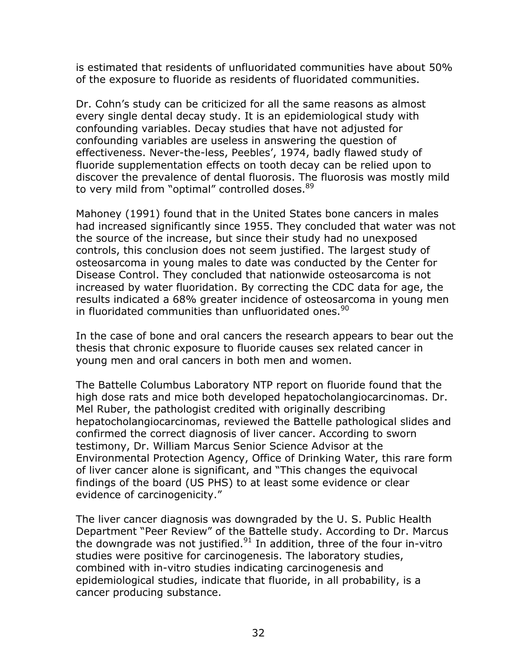is estimated that residents of unfluoridated communities have about 50% of the exposure to fluoride as residents of fluoridated communities.

Dr. Cohn's study can be criticized for all the same reasons as almost every single dental decay study. It is an epidemiological study with confounding variables. Decay studies that have not adjusted for confounding variables are useless in answering the question of effectiveness. Never-the-less, Peebles', 1974, badly flawed study of fluoride supplementation effects on tooth decay can be relied upon to discover the prevalence of dental fluorosis. The fluorosis was mostly mild to very mild from "optimal" controlled doses. [89](#page-67-39)

Mahoney (1991) found that in the United States bone cancers in males had increased significantly since 1955. They concluded that water was not the source of the increase, but since their study had no unexposed controls, this conclusion does not seem justified. The largest study of osteosarcoma in young males to date was conducted by the Center for Disease Control. They concluded that nationwide osteosarcoma is not increased by water fluoridation. By correcting the CDC data for age, the results indicated a 68% greater incidence of osteosarcoma in young men in fluoridated communities than unfluoridated ones.  $90$ 

In the case of bone and oral cancers the research appears to bear out the thesis that chronic exposure to fluoride causes sex related cancer in young men and oral cancers in both men and women.

The Battelle Columbus Laboratory NTP report on fluoride found that the high dose rats and mice both developed hepatocholangiocarcinomas. Dr. Mel Ruber, the pathologist credited with originally describing hepatocholangiocarcinomas, reviewed the Battelle pathological slides and confirmed the correct diagnosis of liver cancer. According to sworn testimony, Dr. William Marcus Senior Science Advisor at the Environmental Protection Agency, Office of Drinking Water, this rare form of liver cancer alone is significant, and "This changes the equivocal findings of the board (US PHS) to at least some evidence or clear evidence of carcinogenicity."

The liver cancer diagnosis was downgraded by the U. S. Public Health Department "Peer Review" of the Battelle study. According to Dr. Marcus the downgrade was not justified. $91$  In addition, three of the four in-vitro studies were positive for carcinogenesis. The laboratory studies, combined with in-vitro studies indicating carcinogenesis and epidemiological studies, indicate that fluoride, in all probability, is a cancer producing substance.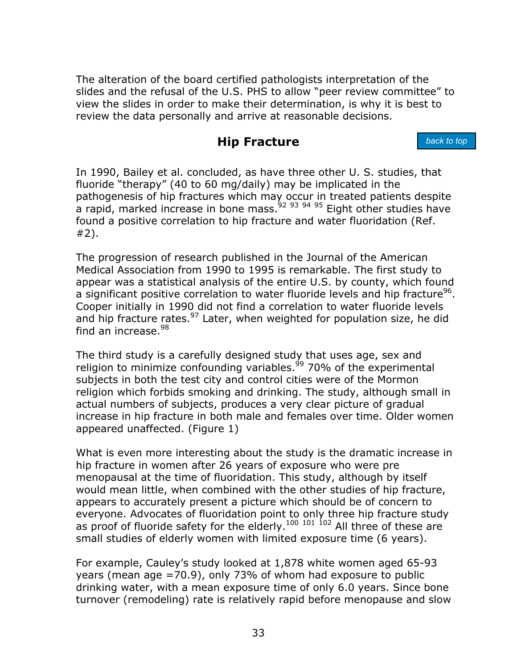<span id="page-38-0"></span>The alteration of the board certified pathologists interpretation of the slides and the refusal of the U.S. PHS to allow "peer review committee" to view the slides in order to make their determination, is why it is best to review the data personally and arrive at reasonable decisions.

## **Hip Fracture**

*back to top*

In 1990, Bailey et al. concluded, as have three other U. S. studies, that fluoride "therapy" (40 to 60 mg/daily) may be implicated in the pathogenesis of hip fractures which may occur in treated patients despite a rapid, marked increase in bone mass.  $92,93,94,95$  $92,93,94,95$  $92,93,94,95$  $92,93,94,95$  Eight other studies have found a positive correlation to hip fracture and water fluoridation (Ref. #2).

The progression of research published in the Journal of the American Medical Association from 1990 to 1995 is remarkable. The first study to appear was a statistical analysis of the entire U.S. by county, which found a significant positive correlation to water fluoride levels and hip fracture<sup>96</sup>. Cooper initially in 1990 did not find a correlation to water fluoride levels and hip fracture rates. $97$  Later, when weighted for population size, he did find an increase. $98$ 

The third study is a carefully designed study that uses age, sex and religion to minimize confounding variables.<sup>99</sup> 70% of the experimental subjects in both the test city and control cities were of the Mormon religion which forbids smoking and drinking. The study, although small in actual numbers of subjects, produces a very clear picture of gradual increase in hip fracture in both male and females over time. Older women appeared unaffected. (Figure 1)

What is even more interesting about the study is the dramatic increase in hip fracture in women after 26 years of exposure who were pre menopausal at the time of fluoridation. This study, although by itself would mean little, when combined with the other studies of hip fracture, appears to accurately present a picture which should be of concern to everyone. Advocates of fluoridation point to only three hip fracture study as proof of fluoride safety for the elderly.<sup>[100](#page-67-62) [101](#page-67-62) 102</sup> All three of these are small studies of elderly women with limited exposure time (6 years).

For example, Cauley's study looked at 1,878 white women aged 65-93 years (mean age =70.9), only 73% of whom had exposure to public drinking water, with a mean exposure time of only 6.0 years. Since bone turnover (remodeling) rate is relatively rapid before menopause and slow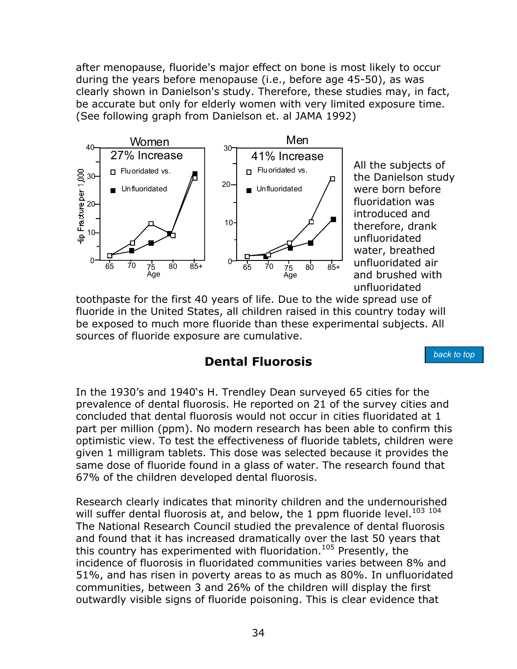after menopause, fluoride's major effect on bone is most likely to occur during the years before menopause (i.e., before age 45-50), as was clearly shown in Danielson's study. Therefore, these studies may, in fact, be accurate but only for elderly women with very limited exposure time. (See following graph from Danielson et. al JAMA 1992)



All the subjects of the Danielson study were born before fluoridation was introduced and therefore, drank unfluoridated water, breathed unfluoridated air and brushed with unfluoridated

*back to top*

<span id="page-39-0"></span>toothpaste for the first 40 years of life. Due to the wide spread use of fluoride in the United States, all children raised in this country today will be exposed to much more fluoride than these experimental subjects. All sources of fluoride exposure are cumulative.

## **Dental Fluorosis**

In the 1930's and 1940's H. Trendley Dean surveyed 65 cities for the prevalence of dental fluorosis. He reported on 21 of the survey cities and concluded that dental fluorosis would not occur in cities fluoridated at 1 part per million (ppm). No modern research has been able to confirm this optimistic view. To test the effectiveness of fluoride tablets, children were given 1 milligram tablets. This dose was selected because it provides the same dose of fluoride found in a glass of water. The research found that 67% of the children developed dental fluorosis.

Research clearly indicates that minority children and the undernourished will suffer dental fluorosis at, and below, the 1 ppm fluoride level.<sup>[103](#page-67-57) [104](#page-67-62)</sup> The National Research Council studied the prevalence of dental fluorosis and found that it has increased dramatically over the last 50 years that this country has experimented with fluoridation.<sup>105</sup> Presently, the incidence of fluorosis in fluoridated communities varies between 8% and 51%, and has risen in poverty areas to as much as 80%. In unfluoridated communities, between 3 and 26% of the children will display the first outwardly visible signs of fluoride poisoning. This is clear evidence that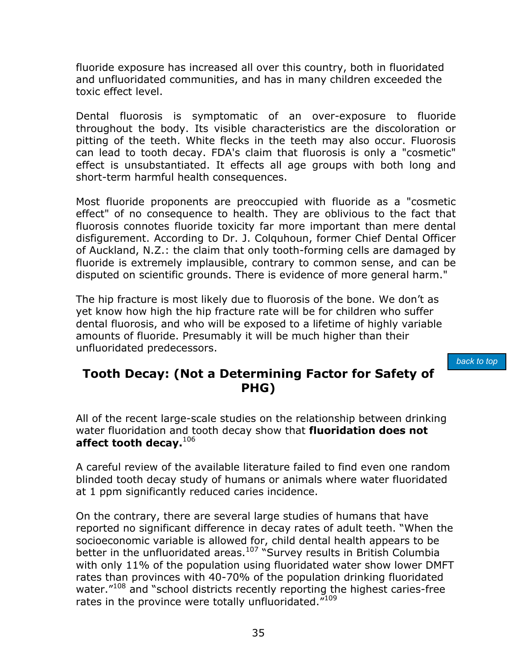fluoride exposure has increased all over this country, both in fluoridated and unfluoridated communities, and has in many children exceeded the toxic effect level.

Dental fluorosis is symptomatic of an over-exposure to fluoride throughout the body. Its visible characteristics are the discoloration or pitting of the teeth. White flecks in the teeth may also occur. Fluorosis can lead to tooth decay. FDA's claim that fluorosis is only a "cosmetic" effect is unsubstantiated. It effects all age groups with both long and short-term harmful health consequences.

Most fluoride proponents are preoccupied with fluoride as a "cosmetic effect" of no consequence to health. They are oblivious to the fact that fluorosis connotes fluoride toxicity far more important than mere dental disfigurement. According to Dr. J. Colquhoun, former Chief Dental Officer of Auckland, N.Z.: the claim that only tooth-forming cells are damaged by fluoride is extremely implausible, contrary to common sense, and can be disputed on scientific grounds. There is evidence of more general harm."

<span id="page-40-0"></span>The hip fracture is most likely due to fluorosis of the bone. We don't as yet know how high the hip fracture rate will be for children who suffer dental fluorosis, and who will be exposed to a lifetime of highly variable amounts of fluoride. Presumably it will be much higher than their unfluoridated predecessors.

*back to top*

## **Tooth Decay: (Not a Determining Factor for Safety of PHG)**

All of the recent large-scale studies on the relationship between drinking water fluoridation and tooth decay show that **fluoridation does not affect tooth decay.**[106](#page-67-64) 

A careful review of the available literature failed to find even one random blinded tooth decay study of humans or animals where water fluoridated at 1 ppm significantly reduced caries incidence.

On the contrary, there are several large studies of humans that have reported no significant difference in decay rates of adult teeth. "When the socioeconomic variable is allowed for, child dental health appears to be better in the unfluoridated areas. $107$  "Survey results in British Columbia with only 11% of the population using fluoridated water show lower DMFT rates than provinces with 40-70% of the population drinking fluoridated water."<sup>108</sup> and "school districts recently reporting the highest caries-free rates in the province were totally unfluoridated."<sup>109</sup>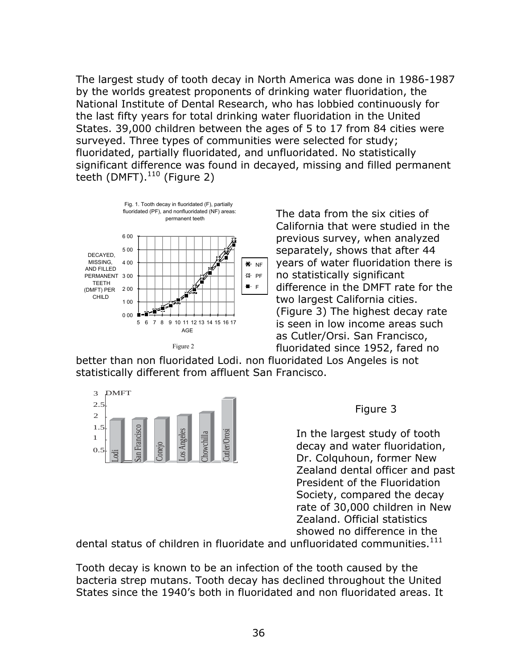The largest study of tooth decay in North America was done in 1986-1987 by the worlds greatest proponents of drinking water fluoridation, the National Institute of Dental Research, who has lobbied continuously for the last fifty years for total drinking water fluoridation in the United States. 39,000 children between the ages of 5 to 17 from 84 cities were surveyed. Three types of communities were selected for study; fluoridated, partially fluoridated, and unfluoridated. No statistically significant difference was found in decayed, missing and filled permanent teeth (DMFT). $110$  (Figure 2)



The data from the six cities of California that were studied in the previous survey, when analyzed separately, shows that after 44 years of water fluoridation there is no statistically significant difference in the DMFT rate for the two largest California cities. (Figure 3) The highest decay rate is seen in low income areas such as Cutler/Orsi. San Francisco, fluoridated since 1952, fared no

better than non fluoridated Lodi. non fluoridated Los Angeles is not statistically different from affluent San Francisco.



#### Figure 3

In the largest study of tooth decay and water fluoridation, Dr. Colquhoun, former New Zealand dental officer and past President of the Fluoridation Society, compared the decay rate of 30,000 children in New Zealand. Official statistics showed no difference in the  $\begin{array}{r|l} \begin{array}{c} \text{1.5} \\ \hline 1 \\ \hline \text{2.5} \\ \hline \text{3.6} \\ \hline \text{4.7} \\ \hline \text{5.7} \\ \hline \text{6.8} \\ \hline \text{7.8} \\ \hline \text{8.8} \\ \hline \text{9.8} \\ \hline \text{1.8} \\ \hline \text{1.8} \\ \hline \text{2.8} \\ \hline \text{3.9} \\ \hline \text{4.9} \\ \hline \text{5.9} \\ \hline \text{6.9} \\ \hline \text{7.1} \\ \hline \text{7.1} \\ \hline$ 

Tooth decay is known to be an infection of the tooth caused by the bacteria strep mutans. Tooth decay has declined throughout the United States since the 1940's both in fluoridated and non fluoridated areas. It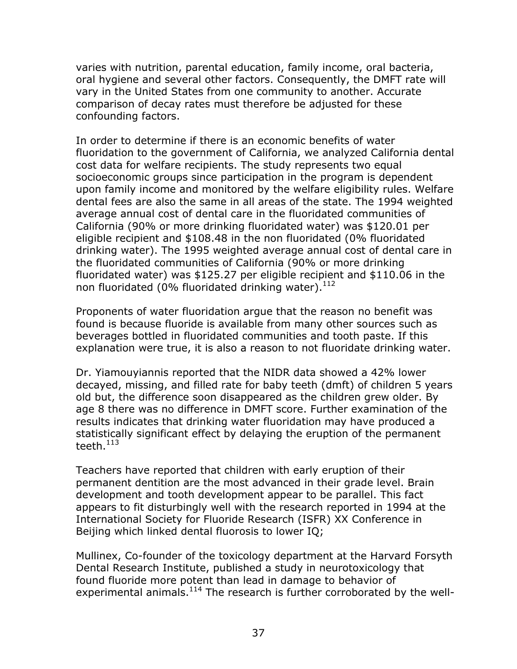varies with nutrition, parental education, family income, oral bacteria, oral hygiene and several other factors. Consequently, the DMFT rate will vary in the United States from one community to another. Accurate comparison of decay rates must therefore be adjusted for these confounding factors.

In order to determine if there is an economic benefits of water fluoridation to the government of California, we analyzed California dental cost data for welfare recipients. The study represents two equal socioeconomic groups since participation in the program is dependent upon family income and monitored by the welfare eligibility rules. Welfare dental fees are also the same in all areas of the state. The 1994 weighted average annual cost of dental care in the fluoridated communities of California (90% or more drinking fluoridated water) was \$120.01 per eligible recipient and \$108.48 in the non fluoridated (0% fluoridated drinking water). The 1995 weighted average annual cost of dental care in the fluoridated communities of California (90% or more drinking fluoridated water) was \$125.27 per eligible recipient and \$110.06 in the non fluoridated (0% fluoridated drinking water).<sup>112</sup>

Proponents of water fluoridation argue that the reason no benefit was found is because fluoride is available from many other sources such as beverages bottled in fluoridated communities and tooth paste. If this explanation were true, it is also a reason to not fluoridate drinking water.

Dr. Yiamouyiannis reported that the NIDR data showed a 42% lower decayed, missing, and filled rate for baby teeth (dmft) of children 5 years old but, the difference soon disappeared as the children grew older. By age 8 there was no difference in DMFT score. Further examination of the results indicates that drinking water fluoridation may have produced a statistically significant effect by delaying the eruption of the permanent teeth. $^{113}$  $^{113}$  $^{113}$ 

Teachers have reported that children with early eruption of their permanent dentition are the most advanced in their grade level. Brain development and tooth development appear to be parallel. This fact appears to fit disturbingly well with the research reported in 1994 at the International Society for Fluoride Research (ISFR) XX Conference in Beijing which linked dental fluorosis to lower IQ;

Mullinex, Co-founder of the toxicology department at the Harvard Forsyth Dental Research Institute, published a study in neurotoxicology that found fluoride more potent than lead in damage to behavior of experimental animals. $114$  The research is further corroborated by the well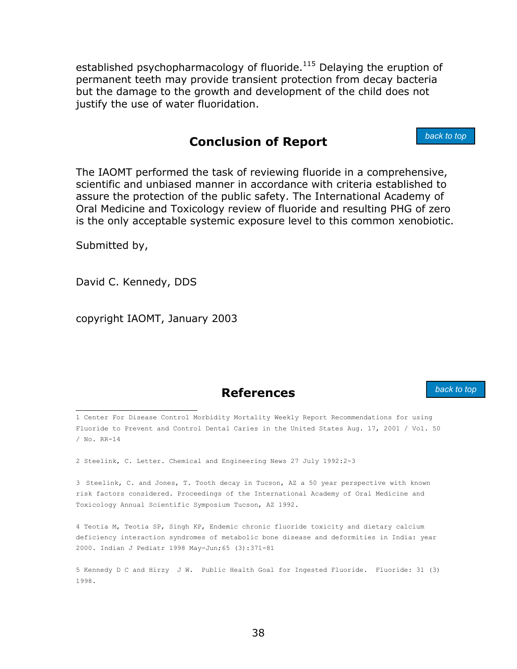<span id="page-43-0"></span>established psychopharmacology of fluoride. $115$  Delaying the eruption of permanent teeth may provide transient protection from decay bacteria but the damage to the growth and development of the child does not justify the use of water fluoridation.

## **Conclusion of Report**

The IAOMT performed the task of reviewing fluoride in a comprehensive, scientific and unbiased manner in accordance with criteria established to assure the protection of the public safety. The International Academy of Oral Medicine and Toxicology review of fluoride and resulting PHG of zero is the only acceptable systemic exposure level to this common xenobiotic.

Submitted by,

<span id="page-43-1"></span>David C. Kennedy, DDS

copyright IAOMT, January 2003

## **References**

 1 Center For Disease Control Morbidity Mortality Weekly Report Recommendations for using Fluoride to Prevent and Control Dental Caries in the United States Aug. 17, 2001 / Vol. 50 / No. RR-14

2 Steelink, C. Letter. Chemical and Engineering News 27 July 1992:2-3

3 Steelink, C. and Jones, T. Tooth decay in Tucson, AZ a 50 year perspective with known risk factors considered. Proceedings of the International Academy of Oral Medicine and Toxicology Annual Scientific Symposium Tucson, AZ 1992.

4 Teotia M, Teotia SP, Singh KP, Endemic chronic fluoride toxicity and dietary calcium deficiency interaction syndromes of metabolic bone disease and deformities in India: year 2000. Indian J Pediatr 1998 May-Jun;65 (3):371-81

5 Kennedy D C and Hirzy J W. Public Health Goal for Ingested Fluoride. Fluoride: 31 (3) 1998.

*back to top*

*back to top*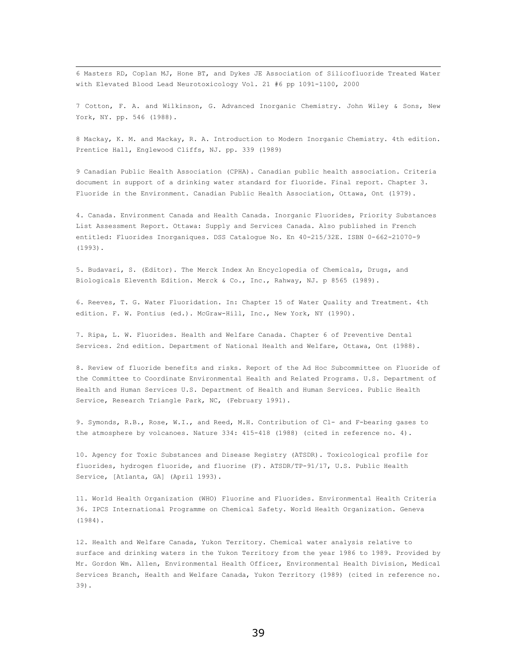6 Masters RD, Coplan MJ, Hone BT, and Dykes JE Association of Silicofluoride Treated Water with Elevated Blood Lead Neurotoxicology Vol. 21 #6 pp 1091-1100, 2000

7 Cotton, F. A. and Wilkinson, G. Advanced Inorganic Chemistry. John Wiley & Sons, New York, NY. pp. 546 (1988).

8 Mackay, K. M. and Mackay, R. A. Introduction to Modern Inorganic Chemistry. 4th edition. Prentice Hall, Englewood Cliffs, NJ. pp. 339 (1989)

9 Canadian Public Health Association (CPHA). Canadian public health association. Criteria document in support of a drinking water standard for fluoride. Final report. Chapter 3. Fluoride in the Environment. Canadian Public Health Association, Ottawa, Ont (1979).

4. Canada. Environment Canada and Health Canada. Inorganic Fluorides, Priority Substances List Assessment Report. Ottawa: Supply and Services Canada. Also published in French entitled: Fluorides Inorganiques. DSS Catalogue No. En 40-215/32E. ISBN 0-662-21070-9 (1993).

5. Budavari, S. (Editor). The Merck Index An Encyclopedia of Chemicals, Drugs, and Biologicals Eleventh Edition. Merck & Co., Inc., Rahway, NJ. p 8565 (1989).

6. Reeves, T. G. Water Fluoridation. In: Chapter 15 of Water Quality and Treatment. 4th edition. F. W. Pontius (ed.). McGraw-Hill, Inc., New York, NY (1990).

7. Ripa, L. W. Fluorides. Health and Welfare Canada. Chapter 6 of Preventive Dental Services. 2nd edition. Department of National Health and Welfare, Ottawa, Ont (1988).

8. Review of fluoride benefits and risks. Report of the Ad Hoc Subcommittee on Fluoride of the Committee to Coordinate Environmental Health and Related Programs. U.S. Department of Health and Human Services U.S. Department of Health and Human Services. Public Health Service, Research Triangle Park, NC, (February 1991).

9. Symonds, R.B., Rose, W.I., and Reed, M.H. Contribution of Cl- and F-bearing gases to the atmosphere by volcanoes. Nature 334: 415-418 (1988) (cited in reference no. 4).

10. Agency for Toxic Substances and Disease Registry (ATSDR). Toxicological profile for fluorides, hydrogen fluoride, and fluorine (F). ATSDR/TP-91/17, U.S. Public Health Service, [Atlanta, GA] (April 1993).

11. World Health Organization (WHO) Fluorine and Fluorides. Environmental Health Criteria 36. IPCS International Programme on Chemical Safety. World Health Organization. Geneva (1984).

12. Health and Welfare Canada, Yukon Territory. Chemical water analysis relative to surface and drinking waters in the Yukon Territory from the year 1986 to 1989. Provided by Mr. Gordon Wm. Allen, Environmental Health Officer, Environmental Health Division, Medical Services Branch, Health and Welfare Canada, Yukon Territory (1989) (cited in reference no. 39).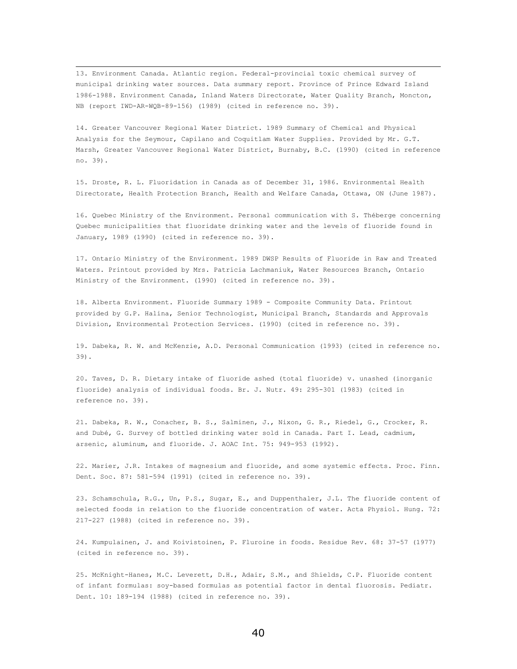13. Environment Canada. Atlantic region. Federal-provincial toxic chemical survey of municipal drinking water sources. Data summary report. Province of Prince Edward Island 1986-1988. Environment Canada, Inland Waters Directorate, Water Quality Branch, Moncton, NB (report IWD-AR-WQB-89-156) (1989) (cited in reference no. 39).

14. Greater Vancouver Regional Water District. 1989 Summary of Chemical and Physical Analysis for the Seymour, Capilano and Coquitlam Water Supplies. Provided by Mr. G.T. Marsh, Greater Vancouver Regional Water District, Burnaby, B.C. (1990) (cited in reference no. 39).

15. Droste, R. L. Fluoridation in Canada as of December 31, 1986. Environmental Health Directorate, Health Protection Branch, Health and Welfare Canada, Ottawa, ON (June 1987).

16. Quebec Ministry of the Environment. Personal communication with S. Théberge concerning Quebec municipalities that fluoridate drinking water and the levels of fluoride found in January, 1989 (1990) (cited in reference no. 39).

17. Ontario Ministry of the Environment. 1989 DWSP Results of Fluoride in Raw and Treated Waters. Printout provided by Mrs. Patricia Lachmaniuk, Water Resources Branch, Ontario Ministry of the Environment. (1990) (cited in reference no. 39).

18. Alberta Environment. Fluoride Summary 1989 - Composite Community Data. Printout provided by G.P. Halina, Senior Technologist, Municipal Branch, Standards and Approvals Division, Environmental Protection Services. (1990) (cited in reference no. 39).

19. Dabeka, R. W. and McKenzie, A.D. Personal Communication (1993) (cited in reference no. 39).

20. Taves, D. R. Dietary intake of fluoride ashed (total fluoride) v. unashed (inorganic fluoride) analysis of individual foods. Br. J. Nutr. 49: 295-301 (1983) (cited in reference no. 39).

21. Dabeka, R. W., Conacher, B. S., Salminen, J., Nixon, G. R., Riedel, G., Crocker, R. and Dubé, G. Survey of bottled drinking water sold in Canada. Part I. Lead, cadmium, arsenic, aluminum, and fluoride. J. AOAC Int. 75: 949-953 (1992).

22. Marier, J.R. Intakes of magnesium and fluoride, and some systemic effects. Proc. Finn. Dent. Soc. 87: 581-594 (1991) (cited in reference no. 39).

23. Schamschula, R.G., Un, P.S., Sugar, E., and Duppenthaler, J.L. The fluoride content of selected foods in relation to the fluoride concentration of water. Acta Physiol. Hung. 72: 217-227 (1988) (cited in reference no. 39).

24. Kumpulainen, J. and Koivistoinen, P. Fluroine in foods. Residue Rev. 68: 37-57 (1977) (cited in reference no. 39).

25. McKnight-Hanes, M.C. Leverett, D.H., Adair, S.M., and Shields, C.P. Fluoride content of infant formulas: soy-based formulas as potential factor in dental fluorosis. Pediatr. Dent. 10: 189-194 (1988) (cited in reference no. 39).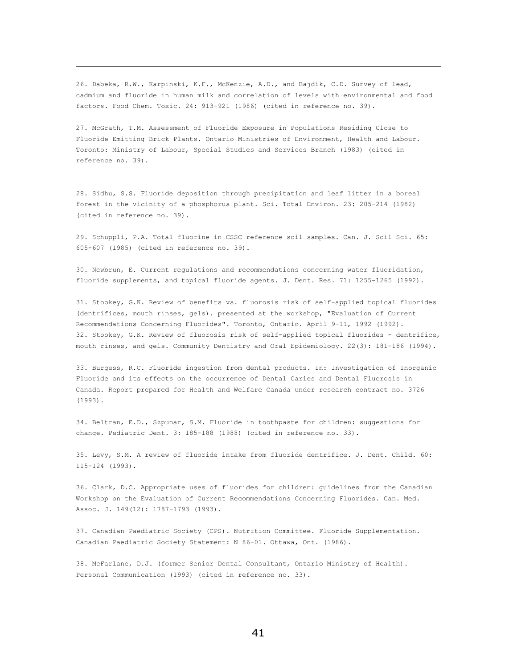26. Dabeka, R.W., Karpinski, K.F., McKenzie, A.D., and Bajdik, C.D. Survey of lead, cadmium and fluoride in human milk and correlation of levels with environmental and food factors. Food Chem. Toxic. 24: 913-921 (1986) (cited in reference no. 39).

 $\overline{\phantom{0}}$ 

27. McGrath, T.M. Assessment of Fluoride Exposure in Populations Residing Close to Fluoride Emitting Brick Plants. Ontario Ministries of Environment, Health and Labour. Toronto: Ministry of Labour, Special Studies and Services Branch (1983) (cited in reference no. 39).

28. Sidhu, S.S. Fluoride deposition through precipitation and leaf litter in a boreal forest in the vicinity of a phosphorus plant. Sci. Total Environ. 23: 205-214 (1982) (cited in reference no. 39).

29. Schuppli, P.A. Total fluorine in CSSC reference soil samples. Can. J. Soil Sci. 65: 605-607 (1985) (cited in reference no. 39).

30. Newbrun, E. Current regulations and recommendations concerning water fluoridation, fluoride supplements, and topical fluoride agents. J. Dent. Res. 71: 1255-1265 (1992).

31. Stookey, G.K. Review of benefits vs. fluorosis risk of self-applied topical fluorides (dentrifices, mouth rinses, gels). presented at the workshop, "Evaluation of Current Recommendations Concerning Fluorides". Toronto, Ontario. April 9-11, 1992 (1992). 32. Stookey, G.K. Review of fluorosis risk of self-applied topical fluorides - dentrifice, mouth rinses, and gels. Community Dentistry and Oral Epidemiology. 22(3): 181-186 (1994).

33. Burgess, R.C. Fluoride ingestion from dental products. In: Investigation of Inorganic Fluoride and its effects on the occurrence of Dental Caries and Dental Fluorosis in Canada. Report prepared for Health and Welfare Canada under research contract no. 3726 (1993).

34. Beltran, E.D., Szpunar, S.M. Fluoride in toothpaste for children: suggestions for change. Pediatric Dent. 3: 185-188 (1988) (cited in reference no. 33).

35. Levy, S.M. A review of fluoride intake from fluoride dentrifice. J. Dent. Child. 60: 115-124 (1993).

36. Clark, D.C. Appropriate uses of fluorides for children: guidelines from the Canadian Workshop on the Evaluation of Current Recommendations Concerning Fluorides. Can. Med. Assoc. J. 149(12): 1787-1793 (1993).

37. Canadian Paediatric Society (CPS). Nutrition Committee. Fluoride Supplementation. Canadian Paediatric Society Statement: N 86-01. Ottawa, Ont. (1986).

38. McFarlane, D.J. (former Senior Dental Consultant, Ontario Ministry of Health). Personal Communication (1993) (cited in reference no. 33).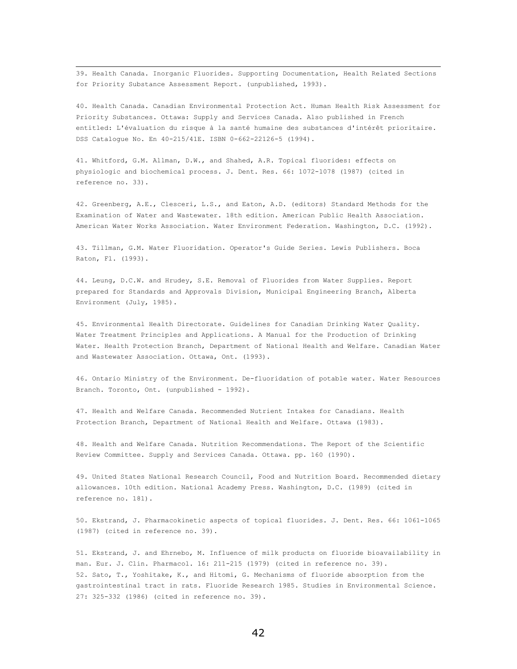39. Health Canada. Inorganic Fluorides. Supporting Documentation, Health Related Sections for Priority Substance Assessment Report. (unpublished, 1993).

40. Health Canada. Canadian Environmental Protection Act. Human Health Risk Assessment for Priority Substances. Ottawa: Supply and Services Canada. Also published in French entitled: L'évaluation du risque à la santé humaine des substances d'intérêt prioritaire. DSS Catalogue No. En 40-215/41E. ISBN 0-662-22126-5 (1994).

41. Whitford, G.M. Allman, D.W., and Shahed, A.R. Topical fluorides: effects on physiologic and biochemical process. J. Dent. Res. 66: 1072-1078 (1987) (cited in reference no. 33).

42. Greenberg, A.E., Clesceri, L.S., and Eaton, A.D. (editors) Standard Methods for the Examination of Water and Wastewater. 18th edition. American Public Health Association. American Water Works Association. Water Environment Federation. Washington, D.C. (1992).

43. Tillman, G.M. Water Fluoridation. Operator's Guide Series. Lewis Publishers. Boca Raton, Fl. (1993).

44. Leung, D.C.W. and Hrudey, S.E. Removal of Fluorides from Water Supplies. Report prepared for Standards and Approvals Division, Municipal Engineering Branch, Alberta Environment (July, 1985).

45. Environmental Health Directorate. Guidelines for Canadian Drinking Water Quality. Water Treatment Principles and Applications. A Manual for the Production of Drinking Water. Health Protection Branch, Department of National Health and Welfare. Canadian Water and Wastewater Association. Ottawa, Ont. (1993).

46. Ontario Ministry of the Environment. De-fluoridation of potable water. Water Resources Branch. Toronto, Ont. (unpublished - 1992).

47. Health and Welfare Canada. Recommended Nutrient Intakes for Canadians. Health Protection Branch, Department of National Health and Welfare. Ottawa (1983).

48. Health and Welfare Canada. Nutrition Recommendations. The Report of the Scientific Review Committee. Supply and Services Canada. Ottawa. pp. 160 (1990).

49. United States National Research Council, Food and Nutrition Board. Recommended dietary allowances. 10th edition. National Academy Press. Washington, D.C. (1989) (cited in reference no. 181).

50. Ekstrand, J. Pharmacokinetic aspects of topical fluorides. J. Dent. Res. 66: 1061-1065 (1987) (cited in reference no. 39).

51. Ekstrand, J. and Ehrnebo, M. Influence of milk products on fluoride bioavailability in man. Eur. J. Clin. Pharmacol. 16: 211-215 (1979) (cited in reference no. 39). 52. Sato, T., Yoshitake, K., and Hitomi, G. Mechanisms of fluoride absorption from the gastrointestinal tract in rats. Fluoride Research 1985. Studies in Environmental Science. 27: 325-332 (1986) (cited in reference no. 39).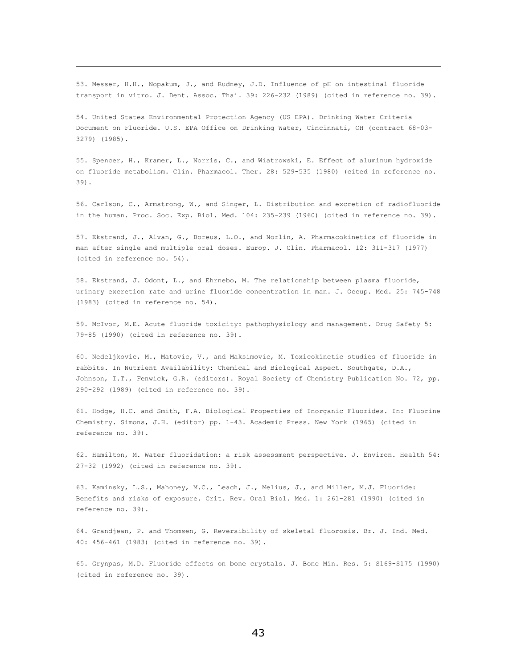53. Messer, H.H., Nopakum, J., and Rudney, J.D. Influence of pH on intestinal fluoride transport in vitro. J. Dent. Assoc. Thai. 39: 226-232 (1989) (cited in reference no. 39).

 $\overline{\phantom{0}}$ 

54. United States Environmental Protection Agency (US EPA). Drinking Water Criteria Document on Fluoride. U.S. EPA Office on Drinking Water, Cincinnati, OH (contract 68-03- 3279) (1985).

55. Spencer, H., Kramer, L., Norris, C., and Wiatrowski, E. Effect of aluminum hydroxide on fluoride metabolism. Clin. Pharmacol. Ther. 28: 529-535 (1980) (cited in reference no. 39).

56. Carlson, C., Armstrong, W., and Singer, L. Distribution and excretion of radiofluoride in the human. Proc. Soc. Exp. Biol. Med. 104: 235-239 (1960) (cited in reference no. 39).

57. Ekstrand, J., Alvan, G., Boreus, L.O., and Norlin, A. Pharmacokinetics of fluoride in man after single and multiple oral doses. Europ. J. Clin. Pharmacol. 12: 311-317 (1977) (cited in reference no. 54).

58. Ekstrand, J. Odont, L., and Ehrnebo, M. The relationship between plasma fluoride, urinary excretion rate and urine fluoride concentration in man. J. Occup. Med. 25: 745-748 (1983) (cited in reference no. 54).

59. McIvor, M.E. Acute fluoride toxicity: pathophysiology and management. Drug Safety 5: 79-85 (1990) (cited in reference no. 39).

60. Nedeljkovic, M., Matovic, V., and Maksimovic, M. Toxicokinetic studies of fluoride in rabbits. In Nutrient Availability: Chemical and Biological Aspect. Southgate, D.A., Johnson, I.T., Fenwick, G.R. (editors). Royal Society of Chemistry Publication No. 72, pp. 290-292 (1989) (cited in reference no. 39).

61. Hodge, H.C. and Smith, F.A. Biological Properties of Inorganic Fluorides. In: Fluorine Chemistry. Simons, J.H. (editor) pp. 1-43. Academic Press. New York (1965) (cited in reference no. 39).

62. Hamilton, M. Water fluoridation: a risk assessment perspective. J. Environ. Health 54: 27-32 (1992) (cited in reference no. 39).

63. Kaminsky, L.S., Mahoney, M.C., Leach, J., Melius, J., and Miller, M.J. Fluoride: Benefits and risks of exposure. Crit. Rev. Oral Biol. Med. 1: 261-281 (1990) (cited in reference no. 39).

64. Grandjean, P. and Thomsen, G. Reversibility of skeletal fluorosis. Br. J. Ind. Med. 40: 456-461 (1983) (cited in reference no. 39).

65. Grynpas, M.D. Fluoride effects on bone crystals. J. Bone Min. Res. 5: S169-S175 (1990) (cited in reference no. 39).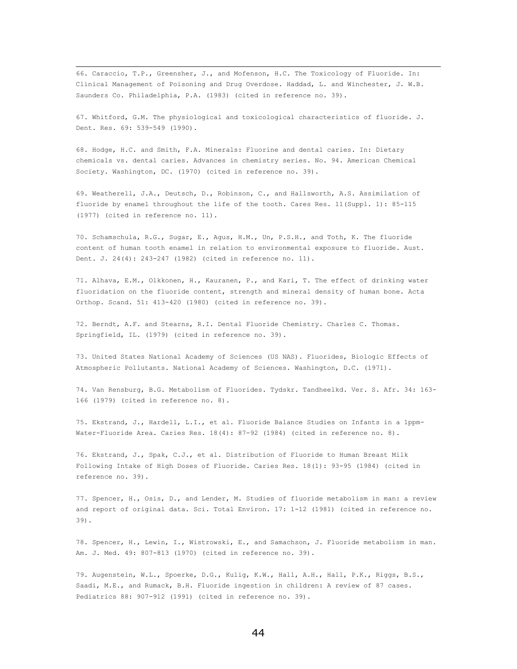66. Caraccio, T.P., Greensher, J., and Mofenson, H.C. The Toxicology of Fluoride. In: Clinical Management of Poisoning and Drug Overdose. Haddad, L. and Winchester, J. W.B. Saunders Co. Philadelphia, P.A. (1983) (cited in reference no. 39).

67. Whitford, G.M. The physiological and toxicological characteristics of fluoride. J. Dent. Res. 69: 539-549 (1990).

68. Hodge, H.C. and Smith, F.A. Minerals: Fluorine and dental caries. In: Dietary chemicals vs. dental caries. Advances in chemistry series. No. 94. American Chemical Society. Washington, DC. (1970) (cited in reference no. 39).

69. Weatherell, J.A., Deutsch, D., Robinson, C., and Hallsworth, A.S. Assimilation of fluoride by enamel throughout the life of the tooth. Cares Res. 11(Suppl. 1): 85-115 (1977) (cited in reference no. 11).

70. Schamschula, R.G., Sugar, E., Agus, H.M., Un, P.S.H., and Toth, K. The fluoride content of human tooth enamel in relation to environmental exposure to fluoride. Aust. Dent. J. 24(4): 243-247 (1982) (cited in reference no. 11).

71. Alhava, E.M., Olkkonen, H., Kauranen, P., and Kari, T. The effect of drinking water fluoridation on the fluoride content, strength and mineral density of human bone. Acta Orthop. Scand. 51: 413-420 (1980) (cited in reference no. 39).

72. Berndt, A.F. and Stearns, R.I. Dental Fluoride Chemistry. Charles C. Thomas. Springfield, IL. (1979) (cited in reference no. 39).

73. United States National Academy of Sciences (US NAS). Fluorides, Biologic Effects of Atmospheric Pollutants. National Academy of Sciences. Washington, D.C. (1971).

74. Van Rensburg, B.G. Metabolism of Fluorides. Tydskr. Tandheelkd. Ver. S. Afr. 34: 163- 166 (1979) (cited in reference no. 8).

75. Ekstrand, J., Hardell, L.I., et al. Fluoride Balance Studies on Infants in a 1ppm-Water-Fluoride Area. Caries Res. 18(4): 87-92 (1984) (cited in reference no. 8).

76. Ekstrand, J., Spak, C.J., et al. Distribution of Fluoride to Human Breast Milk Following Intake of High Doses of Fluoride. Caries Res. 18(1): 93-95 (1984) (cited in reference no. 39).

77. Spencer, H., Osis, D., and Lender, M. Studies of fluoride metabolism in man: a review and report of original data. Sci. Total Environ. 17: 1-12 (1981) (cited in reference no. 39).

78. Spencer, H., Lewin, I., Wistrowski, E., and Samachson, J. Fluoride metabolism in man. Am. J. Med. 49: 807-813 (1970) (cited in reference no. 39).

79. Augenstein, W.L., Spoerke, D.G., Kulig, K.W., Hall, A.H., Hall, P.K., Riggs, B.S., Saadi, M.E., and Rumack, B.H. Fluoride ingestion in children: A review of 87 cases. Pediatrics 88: 907-912 (1991) (cited in reference no. 39).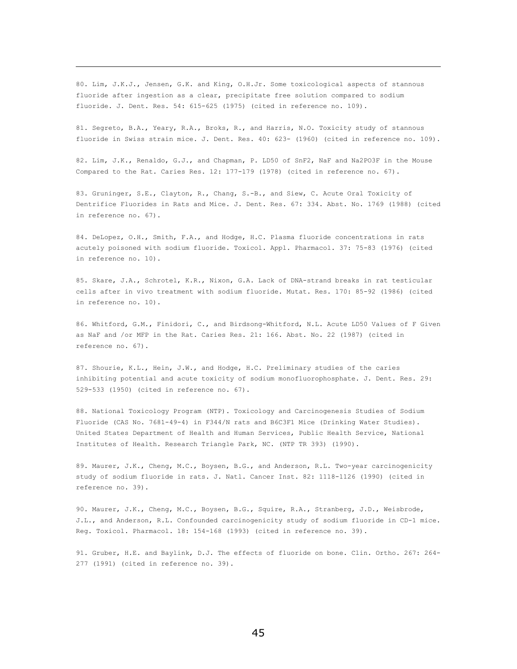80. Lim, J.K.J., Jensen, G.K. and King, O.H.Jr. Some toxicological aspects of stannous fluoride after ingestion as a clear, precipitate free solution compared to sodium fluoride. J. Dent. Res. 54: 615-625 (1975) (cited in reference no. 109).

 $\overline{\phantom{0}}$ 

81. Segreto, B.A., Yeary, R.A., Broks, R., and Harris, N.O. Toxicity study of stannous fluoride in Swiss strain mice. J. Dent. Res. 40: 623- (1960) (cited in reference no. 109).

82. Lim, J.K., Renaldo, G.J., and Chapman, P. LD50 of SnF2, NaF and Na2PO3F in the Mouse Compared to the Rat. Caries Res. 12: 177-179 (1978) (cited in reference no. 67).

83. Gruninger, S.E., Clayton, R., Chang, S.-B., and Siew, C. Acute Oral Toxicity of Dentrifice Fluorides in Rats and Mice. J. Dent. Res. 67: 334. Abst. No. 1769 (1988) (cited in reference no. 67).

84. DeLopez, O.H., Smith, F.A., and Hodge, H.C. Plasma fluoride concentrations in rats acutely poisoned with sodium fluoride. Toxicol. Appl. Pharmacol. 37: 75-83 (1976) (cited in reference no. 10).

85. Skare, J.A., Schrotel, K.R., Nixon, G.A. Lack of DNA-strand breaks in rat testicular cells after in vivo treatment with sodium fluoride. Mutat. Res. 170: 85-92 (1986) (cited in reference no. 10).

86. Whitford, G.M., Finidori, C., and Birdsong-Whitford, N.L. Acute LD50 Values of F Given as NaF and /or MFP in the Rat. Caries Res. 21: 166. Abst. No. 22 (1987) (cited in reference no. 67).

87. Shourie, K.L., Hein, J.W., and Hodge, H.C. Preliminary studies of the caries inhibiting potential and acute toxicity of sodium monofluorophosphate. J. Dent. Res. 29: 529-533 (1950) (cited in reference no. 67).

88. National Toxicology Program (NTP). Toxicology and Carcinogenesis Studies of Sodium Fluoride (CAS No. 7681-49-4) in F344/N rats and B6C3F1 Mice (Drinking Water Studies). United States Department of Health and Human Services, Public Health Service, National Institutes of Health. Research Triangle Park, NC. (NTP TR 393) (1990).

89. Maurer, J.K., Cheng, M.C., Boysen, B.G., and Anderson, R.L. Two-year carcinogenicity study of sodium fluoride in rats. J. Natl. Cancer Inst. 82: 1118-1126 (1990) (cited in reference no. 39).

90. Maurer, J.K., Cheng, M.C., Boysen, B.G., Squire, R.A., Stranberg, J.D., Weisbrode, J.L., and Anderson, R.L. Confounded carcinogenicity study of sodium fluoride in CD-1 mice. Reg. Toxicol. Pharmacol. 18: 154-168 (1993) (cited in reference no. 39).

91. Gruber, H.E. and Baylink, D.J. The effects of fluoride on bone. Clin. Ortho. 267: 264- 277 (1991) (cited in reference no. 39).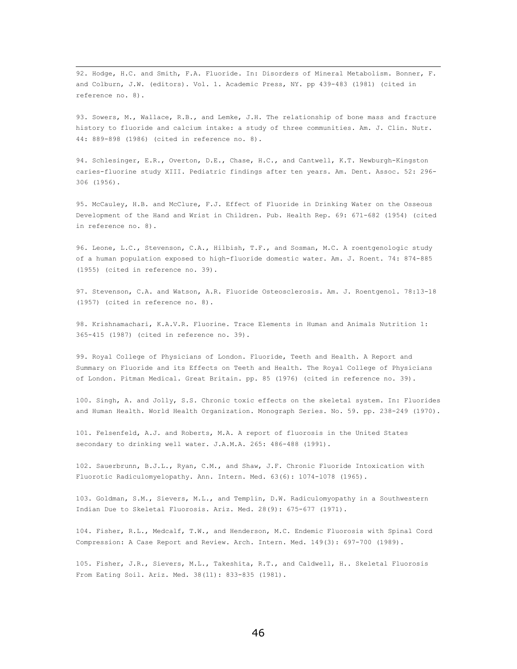92. Hodge, H.C. and Smith, F.A. Fluoride. In: Disorders of Mineral Metabolism. Bonner, F. and Colburn, J.W. (editors). Vol. 1. Academic Press, NY. pp 439-483 (1981) (cited in reference no. 8).

93. Sowers, M., Wallace, R.B., and Lemke, J.H. The relationship of bone mass and fracture history to fluoride and calcium intake: a study of three communities. Am. J. Clin. Nutr. 44: 889-898 (1986) (cited in reference no. 8).

94. Schlesinger, E.R., Overton, D.E., Chase, H.C., and Cantwell, K.T. Newburgh-Kingston caries-fluorine study XIII. Pediatric findings after ten years. Am. Dent. Assoc. 52: 296- 306 (1956).

95. McCauley, H.B. and McClure, F.J. Effect of Fluoride in Drinking Water on the Osseous Development of the Hand and Wrist in Children. Pub. Health Rep. 69: 671-682 (1954) (cited in reference no. 8).

96. Leone, L.C., Stevenson, C.A., Hilbish, T.F., and Sosman, M.C. A roentgenologic study of a human population exposed to high-fluoride domestic water. Am. J. Roent. 74: 874-885 (1955) (cited in reference no. 39).

97. Stevenson, C.A. and Watson, A.R. Fluoride Osteosclerosis. Am. J. Roentgenol. 78:13-18 (1957) (cited in reference no. 8).

98. Krishnamachari, K.A.V.R. Fluorine. Trace Elements in Human and Animals Nutrition 1: 365-415 (1987) (cited in reference no. 39).

99. Royal College of Physicians of London. Fluoride, Teeth and Health. A Report and Summary on Fluoride and its Effects on Teeth and Health. The Royal College of Physicians of London. Pitman Medical. Great Britain. pp. 85 (1976) (cited in reference no. 39).

100. Singh, A. and Jolly, S.S. Chronic toxic effects on the skeletal system. In: Fluorides and Human Health. World Health Organization. Monograph Series. No. 59. pp. 238-249 (1970).

101. Felsenfeld, A.J. and Roberts, M.A. A report of fluorosis in the United States secondary to drinking well water. J.A.M.A. 265: 486-488 (1991).

102. Sauerbrunn, B.J.L., Ryan, C.M., and Shaw, J.F. Chronic Fluoride Intoxication with Fluorotic Radiculomyelopathy. Ann. Intern. Med. 63(6): 1074-1078 (1965).

103. Goldman, S.M., Sievers, M.L., and Templin, D.W. Radiculomyopathy in a Southwestern Indian Due to Skeletal Fluorosis. Ariz. Med. 28(9): 675-677 (1971).

104. Fisher, R.L., Medcalf, T.W., and Henderson, M.C. Endemic Fluorosis with Spinal Cord Compression: A Case Report and Review. Arch. Intern. Med. 149(3): 697-700 (1989).

105. Fisher, J.R., Sievers, M.L., Takeshita, R.T., and Caldwell, H.. Skeletal Fluorosis From Eating Soil. Ariz. Med. 38(11): 833-835 (1981).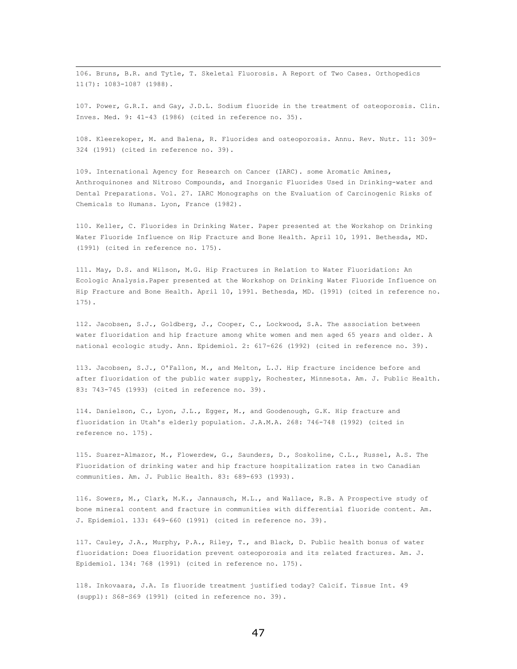106. Bruns, B.R. and Tytle, T. Skeletal Fluorosis. A Report of Two Cases. Orthopedics 11(7): 1083-1087 (1988).

107. Power, G.R.I. and Gay, J.D.L. Sodium fluoride in the treatment of osteoporosis. Clin. Inves. Med. 9: 41-43 (1986) (cited in reference no. 35).

108. Kleerekoper, M. and Balena, R. Fluorides and osteoporosis. Annu. Rev. Nutr. 11: 309- 324 (1991) (cited in reference no. 39).

109. International Agency for Research on Cancer (IARC). some Aromatic Amines, Anthroquinones and Nitroso Compounds, and Inorganic Fluorides Used in Drinking-water and Dental Preparations. Vol. 27. IARC Monographs on the Evaluation of Carcinogenic Risks of Chemicals to Humans. Lyon, France (1982).

110. Keller, C. Fluorides in Drinking Water. Paper presented at the Workshop on Drinking Water Fluoride Influence on Hip Fracture and Bone Health. April 10, 1991. Bethesda, MD. (1991) (cited in reference no. 175).

111. May, D.S. and Wilson, M.G. Hip Fractures in Relation to Water Fluoridation: An Ecologic Analysis.Paper presented at the Workshop on Drinking Water Fluoride Influence on Hip Fracture and Bone Health. April 10, 1991. Bethesda, MD. (1991) (cited in reference no. 175).

112. Jacobsen, S.J., Goldberg, J., Cooper, C., Lockwood, S.A. The association between water fluoridation and hip fracture among white women and men aged 65 years and older. A national ecologic study. Ann. Epidemiol. 2: 617-626 (1992) (cited in reference no. 39).

113. Jacobsen, S.J., O'Fallon, M., and Melton, L.J. Hip fracture incidence before and after fluoridation of the public water supply, Rochester, Minnesota. Am. J. Public Health. 83: 743-745 (1993) (cited in reference no. 39).

114. Danielson, C., Lyon, J.L., Egger, M., and Goodenough, G.K. Hip fracture and fluoridation in Utah's elderly population. J.A.M.A. 268: 746-748 (1992) (cited in reference no. 175).

115. Suarez-Almazor, M., Flowerdew, G., Saunders, D., Soskoline, C.L., Russel, A.S. The Fluoridation of drinking water and hip fracture hospitalization rates in two Canadian communities. Am. J. Public Health. 83: 689-693 (1993).

116. Sowers, M., Clark, M.K., Jannausch, M.L., and Wallace, R.B. A Prospective study of bone mineral content and fracture in communities with differential fluoride content. Am. J. Epidemiol. 133: 649-660 (1991) (cited in reference no. 39).

117. Cauley, J.A., Murphy, P.A., Riley, T., and Black, D. Public health bonus of water fluoridation: Does fluoridation prevent osteoporosis and its related fractures. Am. J. Epidemiol. 134: 768 (1991) (cited in reference no. 175).

118. Inkovaara, J.A. Is fluoride treatment justified today? Calcif. Tissue Int. 49 (suppl): S68-S69 (1991) (cited in reference no. 39).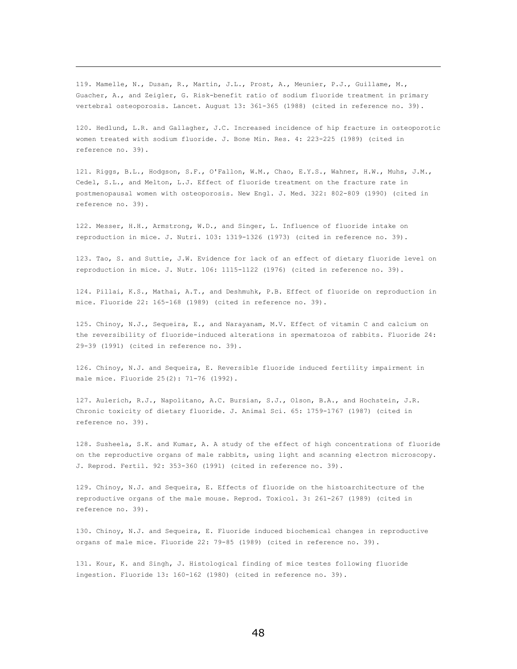119. Mamelle, N., Dusan, R., Martin, J.L., Prost, A., Meunier, P.J., Guillame, M., Guacher, A., and Zeigler, G. Risk-benefit ratio of sodium fluoride treatment in primary vertebral osteoporosis. Lancet. August 13: 361-365 (1988) (cited in reference no. 39).

 $\overline{\phantom{0}}$ 

120. Hedlund, L.R. and Gallagher, J.C. Increased incidence of hip fracture in osteoporotic women treated with sodium fluoride. J. Bone Min. Res. 4: 223-225 (1989) (cited in reference no. 39).

121. Riggs, B.L., Hodgson, S.F., O'Fallon, W.M., Chao, E.Y.S., Wahner, H.W., Muhs, J.M., Cedel, S.L., and Melton, L.J. Effect of fluoride treatment on the fracture rate in postmenopausal women with osteoporosis. New Engl. J. Med. 322: 802-809 (1990) (cited in reference no. 39).

122. Messer, H.H., Armstrong, W.D., and Singer, L. Influence of fluoride intake on reproduction in mice. J. Nutri. 103: 1319-1326 (1973) (cited in reference no. 39).

123. Tao, S. and Suttie, J.W. Evidence for lack of an effect of dietary fluoride level on reproduction in mice. J. Nutr. 106: 1115-1122 (1976) (cited in reference no. 39).

124. Pillai, K.S., Mathai, A.T., and Deshmuhk, P.B. Effect of fluoride on reproduction in mice. Fluoride 22: 165-168 (1989) (cited in reference no. 39).

125. Chinoy, N.J., Sequeira, E., and Narayanam, M.V. Effect of vitamin C and calcium on the reversibility of fluoride-induced alterations in spermatozoa of rabbits. Fluoride 24: 29-39 (1991) (cited in reference no. 39).

126. Chinoy, N.J. and Sequeira, E. Reversible fluoride induced fertility impairment in male mice. Fluoride 25(2): 71-76 (1992).

127. Aulerich, R.J., Napolitano, A.C. Bursian, S.J., Olson, B.A., and Hochstein, J.R. Chronic toxicity of dietary fluoride. J. Animal Sci. 65: 1759-1767 (1987) (cited in reference no. 39).

128. Susheela, S.K. and Kumar, A. A study of the effect of high concentrations of fluoride on the reproductive organs of male rabbits, using light and scanning electron microscopy. J. Reprod. Fertil. 92: 353-360 (1991) (cited in reference no. 39).

129. Chinoy, N.J. and Sequeira, E. Effects of fluoride on the histoarchitecture of the reproductive organs of the male mouse. Reprod. Toxicol. 3: 261-267 (1989) (cited in reference no. 39).

130. Chinoy, N.J. and Sequeira, E. Fluoride induced biochemical changes in reproductive organs of male mice. Fluoride 22: 79-85 (1989) (cited in reference no. 39).

131. Kour, K. and Singh, J. Histological finding of mice testes following fluoride ingestion. Fluoride 13: 160-162 (1980) (cited in reference no. 39).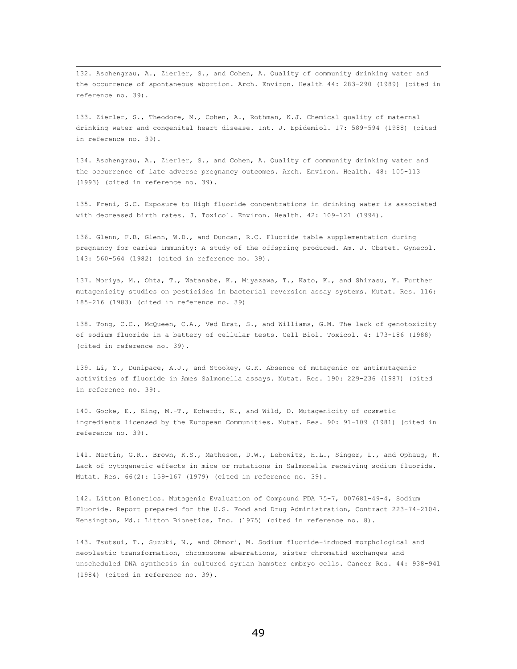132. Aschengrau, A., Zierler, S., and Cohen, A. Quality of community drinking water and the occurrence of spontaneous abortion. Arch. Environ. Health 44: 283-290 (1989) (cited in reference no. 39).

133. Zierler, S., Theodore, M., Cohen, A., Rothman, K.J. Chemical quality of maternal drinking water and congenital heart disease. Int. J. Epidemiol. 17: 589-594 (1988) (cited in reference no. 39).

134. Aschengrau, A., Zierler, S., and Cohen, A. Quality of community drinking water and the occurrence of late adverse pregnancy outcomes. Arch. Environ. Health. 48: 105-113 (1993) (cited in reference no. 39).

135. Freni, S.C. Exposure to High fluoride concentrations in drinking water is associated with decreased birth rates. J. Toxicol. Environ. Health. 42: 109-121 (1994).

136. Glenn, F.B, Glenn, W.D., and Duncan, R.C. Fluoride table supplementation during pregnancy for caries immunity: A study of the offspring produced. Am. J. Obstet. Gynecol. 143: 560-564 (1982) (cited in reference no. 39).

137. Moriya, M., Ohta, T., Watanabe, K., Miyazawa, T., Kato, K., and Shirasu, Y. Further mutagenicity studies on pesticides in bacterial reversion assay systems. Mutat. Res. 116: 185-216 (1983) (cited in reference no. 39)

138. Tong, C.C., McQueen, C.A., Ved Brat, S., and Williams, G.M. The lack of genotoxicity of sodium fluoride in a battery of cellular tests. Cell Biol. Toxicol. 4: 173-186 (1988) (cited in reference no. 39).

139. Li, Y., Dunipace, A.J., and Stookey, G.K. Absence of mutagenic or antimutagenic activities of fluoride in Ames Salmonella assays. Mutat. Res. 190: 229-236 (1987) (cited in reference no. 39).

140. Gocke, E., King, M.-T., Echardt, K., and Wild, D. Mutagenicity of cosmetic ingredients licensed by the European Communities. Mutat. Res. 90: 91-109 (1981) (cited in reference no. 39).

141. Martin, G.R., Brown, K.S., Matheson, D.W., Lebowitz, H.L., Singer, L., and Ophaug, R. Lack of cytogenetic effects in mice or mutations in Salmonella receiving sodium fluoride. Mutat. Res. 66(2): 159-167 (1979) (cited in reference no. 39).

142. Litton Bionetics. Mutagenic Evaluation of Compound FDA 75-7, 007681-49-4, Sodium Fluoride. Report prepared for the U.S. Food and Drug Administration, Contract 223-74-2104. Kensington, Md.: Litton Bionetics, Inc. (1975) (cited in reference no. 8).

143. Tsutsui, T., Suzuki, N., and Ohmori, M. Sodium fluoride-induced morphological and neoplastic transformation, chromosome aberrations, sister chromatid exchanges and unscheduled DNA synthesis in cultured syrian hamster embryo cells. Cancer Res. 44: 938-941 (1984) (cited in reference no. 39).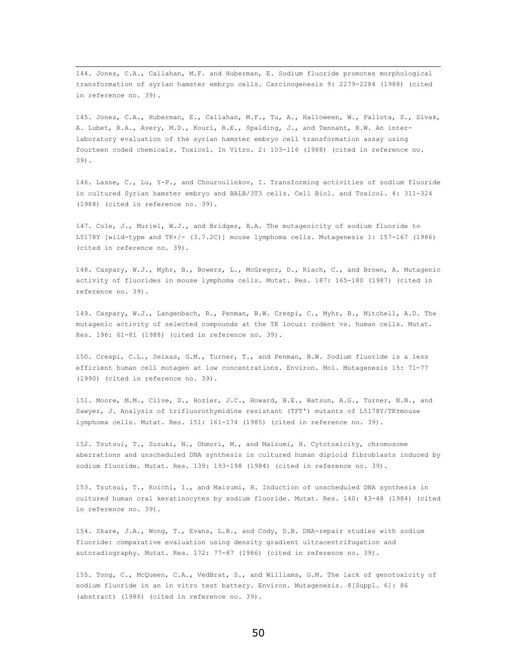144. Jones, C.A., Callahan, M.F. and Huberman, E. Sodium fluoride promotes morphological transformation of syrian hamster embryo cells. Carcinogenesis 9: 2279-2284 (1988) (cited in reference no. 39).

145. Jones, C.A., Huberman, E., Callahan, M.F., Tu, A., Halloween, W., Pallota, S., Sivak, A. Lubet, R.A., Avery, M.D., Kouri, R.E., Spalding, J., and Tennant, R.W. An interlaboratory evaluation of the syrian hamster embryo cell transformation assay using fourteen coded chemicals. Toxicol. In Vitro. 2: 103-116 (1988) (cited in reference no. 39).

146. Lasne, C., Lu, Y-P., and Chouroulinkov, I. Transforming activities of sodium fluoride in cultured Syrian hamster embryo and BALB/3T3 cells. Cell Biol. and Toxicol. 4: 311-324 (1988) (cited in reference no. 39).

147. Cole, J., Muriel, W.J., and Bridges, B.A. The mutagenicity of sodium fluoride to L5178Y [wild-type and TK+/- (3.7.2C)] mouse lymphoma cells. Mutagenesis 1: 157-167 (1986) (cited in reference no. 39).

148. Caspary, W.J., Myhr, B., Bowers, L., McGregor, D., Riach, C., and Brown, A. Mutagenic activity of fluorides in mouse lymphoma cells. Mutat. Res. 187: 165-180 (1987) (cited in reference no. 39).

149. Caspary, W.J., Langenbach, R., Penman, B.W. Crespi, C., Myhr, B., Mitchell, A.D. The mutagenic activity of selected compounds at the TK locus: rodent vs. human cells. Mutat. Res. 196: 61-81 (1988) (cited in reference no. 39).

150. Crespi, C.L., Seixas, G.M., Turner, T., and Penman, B.W. Sodium fluoride is a less efficient human cell mutagen at low concentrations. Environ. Mol. Mutagenesis 15: 71-77 (1990) (cited in reference no. 39).

151. Moore, M.M., Clive, D., Hozier, J.C., Howard, B.E., Batsun, A.G., Turner, N.N., and Sawyer, J. Analysis of trifluorothymidine resistant (TFT') mutants of L5178Y/TK±mouse lymphoma cells. Mutat. Res. 151: 161-174 (1985) (cited in reference no. 39).

152. Tsutsui, T., Suzuki, N., Ohmori, M., and Maizumi, H. Cytotoxicity, chromosome aberrations and unscheduled DNA synthesis in cultured human diploid fibroblasts induced by sodium fluoride. Mutat. Res. 139: 193-198 (1984) (cited in reference no. 39).

153. Tsutsui, T., Koichi, I., and Maizumi, H. Induction of unscheduled DNA synthesis in cultured human oral keratinocytes by sodium fluoride. Mutat. Res. 140: 43-48 (1984) (cited in reference no. 39).

154. Skare, J.A., Wong, T., Evans, L.B., and Cody, D.B. DNA-repair studies with sodium fluoride: comparative evaluation using density gradient ultracentrifugation and autoradiography. Mutat. Res. 172: 77-87 (1986) (cited in reference no. 39).

155. Tong, C., McQueen, C.A., VedBrat, S., and Williams, G.M. The lack of genotoxicity of sodium fluoride in an in vitro test battery. Environ. Mutagenesis. 8[Suppl. 6]: 86 (abstract) (1986) (cited in reference no. 39).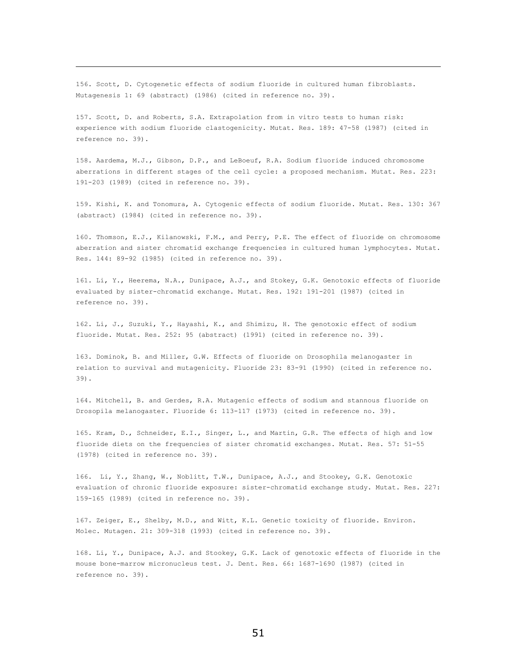156. Scott, D. Cytogenetic effects of sodium fluoride in cultured human fibroblasts. Mutagenesis 1: 69 (abstract) (1986) (cited in reference no. 39).

 $\overline{\phantom{0}}$ 

157. Scott, D. and Roberts, S.A. Extrapolation from in vitro tests to human risk: experience with sodium fluoride clastogenicity. Mutat. Res. 189: 47-58 (1987) (cited in reference no. 39).

158. Aardema, M.J., Gibson, D.P., and LeBoeuf, R.A. Sodium fluoride induced chromosome aberrations in different stages of the cell cycle: a proposed mechanism. Mutat. Res. 223: 191-203 (1989) (cited in reference no. 39).

159. Kishi, K. and Tonomura, A. Cytogenic effects of sodium fluoride. Mutat. Res. 130: 367 (abstract) (1984) (cited in reference no. 39).

160. Thomson, E.J., Kilanowski, F.M., and Perry, P.E. The effect of fluoride on chromosome aberration and sister chromatid exchange frequencies in cultured human lymphocytes. Mutat. Res. 144: 89-92 (1985) (cited in reference no. 39).

161. Li, Y., Heerema, N.A., Dunipace, A.J., and Stokey, G.K. Genotoxic effects of fluoride evaluated by sister-chromatid exchange. Mutat. Res. 192: 191-201 (1987) (cited in reference no. 39).

162. Li, J., Suzuki, Y., Hayashi, K., and Shimizu, H. The genotoxic effect of sodium fluoride. Mutat. Res. 252: 95 (abstract) (1991) (cited in reference no. 39).

163. Dominok, B. and Miller, G.W. Effects of fluoride on Drosophila melanogaster in relation to survival and mutagenicity. Fluoride 23: 83-91 (1990) (cited in reference no. 39).

164. Mitchell, B. and Gerdes, R.A. Mutagenic effects of sodium and stannous fluoride on Drosopila melanogaster. Fluoride 6: 113-117 (1973) (cited in reference no. 39).

165. Kram, D., Schneider, E.I., Singer, L., and Martin, G.R. The effects of high and low fluoride diets on the frequencies of sister chromatid exchanges. Mutat. Res. 57: 51-55 (1978) (cited in reference no. 39).

166. Li, Y., Zhang, W., Noblitt, T.W., Dunipace, A.J., and Stookey, G.K. Genotoxic evaluation of chronic fluoride exposure: sister-chromatid exchange study. Mutat. Res. 227: 159-165 (1989) (cited in reference no. 39).

167. Zeiger, E., Shelby, M.D., and Witt, K.L. Genetic toxicity of fluoride. Environ. Molec. Mutagen. 21: 309-318 (1993) (cited in reference no. 39).

168. Li, Y., Dunipace, A.J. and Stookey, G.K. Lack of genotoxic effects of fluoride in the mouse bone-marrow micronucleus test. J. Dent. Res. 66: 1687-1690 (1987) (cited in reference no. 39).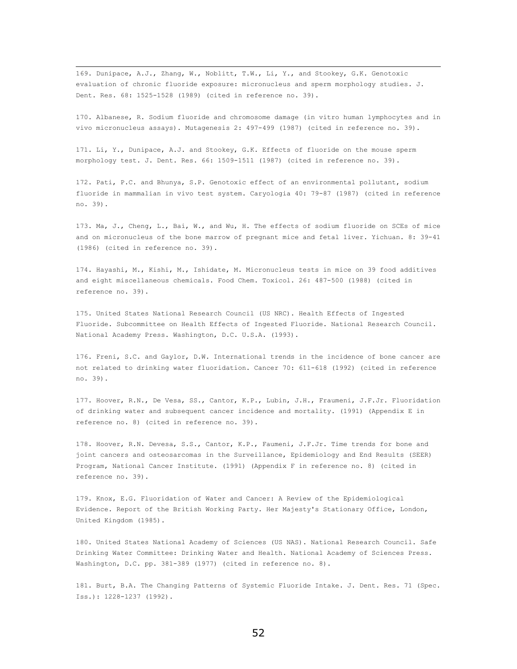169. Dunipace, A.J., Zhang, W., Noblitt, T.W., Li, Y., and Stookey, G.K. Genotoxic evaluation of chronic fluoride exposure: micronucleus and sperm morphology studies. J. Dent. Res. 68: 1525-1528 (1989) (cited in reference no. 39).

170. Albanese, R. Sodium fluoride and chromosome damage (in vitro human lymphocytes and in vivo micronucleus assays). Mutagenesis 2: 497-499 (1987) (cited in reference no. 39).

171. Li, Y., Dunipace, A.J. and Stookey, G.K. Effects of fluoride on the mouse sperm morphology test. J. Dent. Res. 66: 1509-1511 (1987) (cited in reference no. 39).

172. Pati, P.C. and Bhunya, S.P. Genotoxic effect of an environmental pollutant, sodium fluoride in mammalian in vivo test system. Caryologia 40: 79-87 (1987) (cited in reference no. 39).

173. Ma, J., Cheng, L., Bai, W., and Wu, H. The effects of sodium fluoride on SCEs of mice and on micronucleus of the bone marrow of pregnant mice and fetal liver. Yichuan. 8: 39-41 (1986) (cited in reference no. 39).

174. Hayashi, M., Kishi, M., Ishidate, M. Micronucleus tests in mice on 39 food additives and eight miscellaneous chemicals. Food Chem. Toxicol. 26: 487-500 (1988) (cited in reference no. 39).

175. United States National Research Council (US NRC). Health Effects of Ingested Fluoride. Subcommittee on Health Effects of Ingested Fluoride. National Research Council. National Academy Press. Washington, D.C. U.S.A. (1993).

176. Freni, S.C. and Gaylor, D.W. International trends in the incidence of bone cancer are not related to drinking water fluoridation. Cancer 70: 611-618 (1992) (cited in reference no. 39).

177. Hoover, R.N., De Vesa, SS., Cantor, K.P., Lubin, J.H., Fraumeni, J.F.Jr. Fluoridation of drinking water and subsequent cancer incidence and mortality. (1991) (Appendix E in reference no. 8) (cited in reference no. 39).

178. Hoover, R.N. Devesa, S.S., Cantor, K.P., Faumeni, J.F.Jr. Time trends for bone and joint cancers and osteosarcomas in the Surveillance, Epidemiology and End Results (SEER) Program, National Cancer Institute. (1991) (Appendix F in reference no. 8) (cited in reference no. 39).

179. Knox, E.G. Fluoridation of Water and Cancer: A Review of the Epidemiological Evidence. Report of the British Working Party. Her Majesty's Stationary Office, London, United Kingdom (1985).

180. United States National Academy of Sciences (US NAS). National Research Council. Safe Drinking Water Committee: Drinking Water and Health. National Academy of Sciences Press. Washington, D.C. pp. 381-389 (1977) (cited in reference no. 8).

181. Burt, B.A. The Changing Patterns of Systemic Fluoride Intake. J. Dent. Res. 71 (Spec. Iss.): 1228-1237 (1992).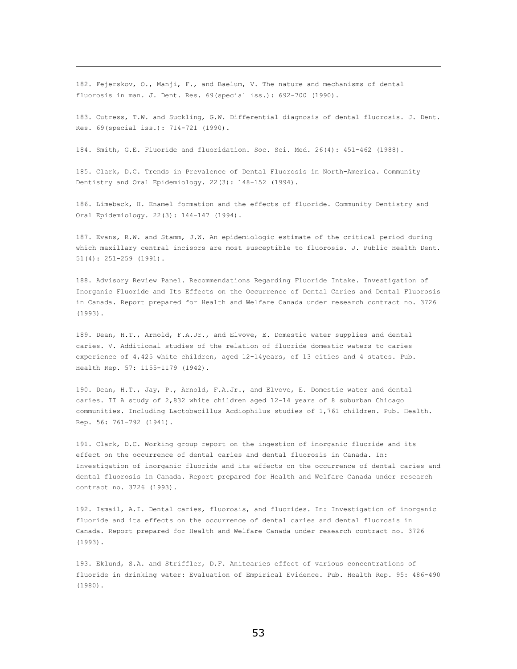182. Fejerskov, O., Manji, F., and Baelum, V. The nature and mechanisms of dental fluorosis in man. J. Dent. Res. 69(special iss.): 692-700 (1990).

 $\overline{\phantom{0}}$ 

183. Cutress, T.W. and Suckling, G.W. Differential diagnosis of dental fluorosis. J. Dent. Res. 69(special iss.): 714-721 (1990).

184. Smith, G.E. Fluoride and fluoridation. Soc. Sci. Med. 26(4): 451-462 (1988).

185. Clark, D.C. Trends in Prevalence of Dental Fluorosis in North-America. Community Dentistry and Oral Epidemiology. 22(3): 148-152 (1994).

186. Limeback, H. Enamel formation and the effects of fluoride. Community Dentistry and Oral Epidemiology. 22(3): 144-147 (1994).

187. Evans, R.W. and Stamm, J.W. An epidemiologic estimate of the critical period during which maxillary central incisors are most susceptible to fluorosis. J. Public Health Dent. 51(4): 251-259 (1991).

188. Advisory Review Panel. Recommendations Regarding Fluoride Intake. Investigation of Inorganic Fluoride and Its Effects on the Occurrence of Dental Caries and Dental Fluorosis in Canada. Report prepared for Health and Welfare Canada under research contract no. 3726 (1993).

189. Dean, H.T., Arnold, F.A.Jr., and Elvove, E. Domestic water supplies and dental caries. V. Additional studies of the relation of fluoride domestic waters to caries experience of 4,425 white children, aged 12-14years, of 13 cities and 4 states. Pub. Health Rep. 57: 1155-1179 (1942).

190. Dean, H.T., Jay, P., Arnold, F.A.Jr., and Elvove, E. Domestic water and dental caries. II A study of 2,832 white children aged 12-14 years of 8 suburban Chicago communities. Including Lactobacillus Acdiophilus studies of 1,761 children. Pub. Health. Rep. 56: 761-792 (1941).

191. Clark, D.C. Working group report on the ingestion of inorganic fluoride and its effect on the occurrence of dental caries and dental fluorosis in Canada. In: Investigation of inorganic fluoride and its effects on the occurrence of dental caries and dental fluorosis in Canada. Report prepared for Health and Welfare Canada under research contract no. 3726 (1993).

192. Ismail, A.I. Dental caries, fluorosis, and fluorides. In: Investigation of inorganic fluoride and its effects on the occurrence of dental caries and dental fluorosis in Canada. Report prepared for Health and Welfare Canada under research contract no. 3726 (1993).

193. Eklund, S.A. and Striffler, D.F. Anitcaries effect of various concentrations of fluoride in drinking water: Evaluation of Empirical Evidence. Pub. Health Rep. 95: 486-490 (1980).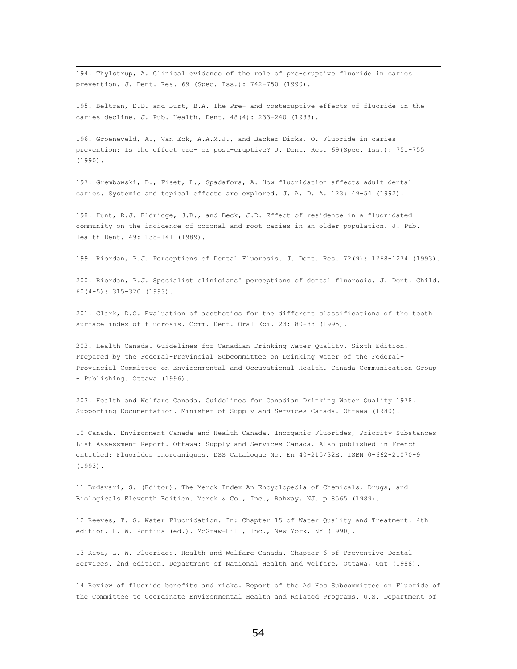194. Thylstrup, A. Clinical evidence of the role of pre-eruptive fluoride in caries prevention. J. Dent. Res. 69 (Spec. Iss.): 742-750 (1990).

195. Beltran, E.D. and Burt, B.A. The Pre- and posteruptive effects of fluoride in the caries decline. J. Pub. Health. Dent. 48(4): 233-240 (1988).

196. Groeneveld, A., Van Eck, A.A.M.J., and Backer Dirks, O. Fluoride in caries prevention: Is the effect pre- or post-eruptive? J. Dent. Res. 69(Spec. Iss.): 751-755 (1990).

197. Grembowski, D., Fiset, L., Spadafora, A. How fluoridation affects adult dental caries. Systemic and topical effects are explored. J. A. D. A. 123: 49-54 (1992).

198. Hunt, R.J. Eldridge, J.B., and Beck, J.D. Effect of residence in a fluoridated community on the incidence of coronal and root caries in an older population. J. Pub. Health Dent. 49: 138-141 (1989).

199. Riordan, P.J. Perceptions of Dental Fluorosis. J. Dent. Res. 72(9): 1268-1274 (1993).

200. Riordan, P.J. Specialist clinicians' perceptions of dental fluorosis. J. Dent. Child. 60(4-5): 315-320 (1993).

201. Clark, D.C. Evaluation of aesthetics for the different classifications of the tooth surface index of fluorosis. Comm. Dent. Oral Epi. 23: 80-83 (1995).

202. Health Canada. Guidelines for Canadian Drinking Water Quality. Sixth Edition. Prepared by the Federal-Provincial Subcommittee on Drinking Water of the Federal-Provincial Committee on Environmental and Occupational Health. Canada Communication Group - Publishing. Ottawa (1996).

203. Health and Welfare Canada. Guidelines for Canadian Drinking Water Quality 1978. Supporting Documentation. Minister of Supply and Services Canada. Ottawa (1980).

10 Canada. Environment Canada and Health Canada. Inorganic Fluorides, Priority Substances List Assessment Report. Ottawa: Supply and Services Canada. Also published in French entitled: Fluorides Inorganiques. DSS Catalogue No. En 40-215/32E. ISBN 0-662-21070-9 (1993).

11 Budavari, S. (Editor). The Merck Index An Encyclopedia of Chemicals, Drugs, and Biologicals Eleventh Edition. Merck & Co., Inc., Rahway, NJ. p 8565 (1989).

12 Reeves, T. G. Water Fluoridation. In: Chapter 15 of Water Quality and Treatment. 4th edition. F. W. Pontius (ed.). McGraw-Hill, Inc., New York, NY (1990).

13 Ripa, L. W. Fluorides. Health and Welfare Canada. Chapter 6 of Preventive Dental Services. 2nd edition. Department of National Health and Welfare, Ottawa, Ont (1988).

14 Review of fluoride benefits and risks. Report of the Ad Hoc Subcommittee on Fluoride of the Committee to Coordinate Environmental Health and Related Programs. U.S. Department of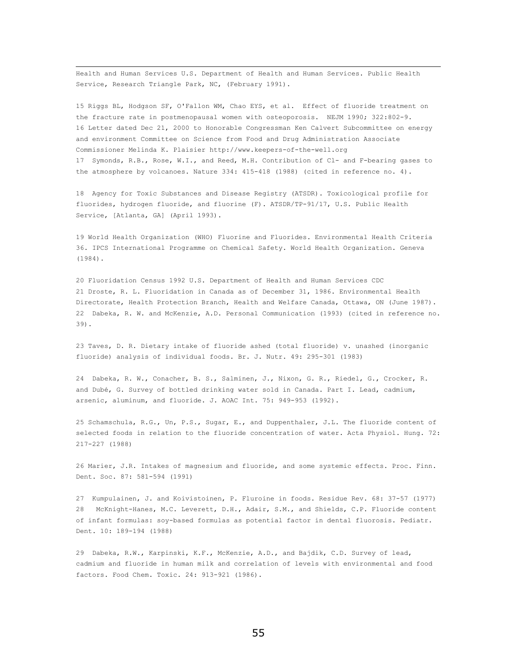Health and Human Services U.S. Department of Health and Human Services. Public Health Service, Research Triangle Park, NC, (February 1991).

15 Riggs BL, Hodgson SF, O'Fallon WM, Chao EYS, et al. Effect of fluoride treatment on the fracture rate in postmenopausal women with osteoporosis. NEJM 1990; 322:802-9. 16 Letter dated Dec 21, 2000 to Honorable Congressman Ken Calvert Subcommittee on energy and environment Committee on Science from Food and Drug Administration Associate Commissioner Melinda K. Plaisier http://www.keepers-of-the-well.org 17 Symonds, R.B., Rose, W.I., and Reed, M.H. Contribution of Cl- and F-bearing gases to the atmosphere by volcanoes. Nature 334: 415-418 (1988) (cited in reference no. 4).

18 Agency for Toxic Substances and Disease Registry (ATSDR). Toxicological profile for fluorides, hydrogen fluoride, and fluorine (F). ATSDR/TP-91/17, U.S. Public Health Service, [Atlanta, GA] (April 1993).

19 World Health Organization (WHO) Fluorine and Fluorides. Environmental Health Criteria 36. IPCS International Programme on Chemical Safety. World Health Organization. Geneva (1984).

20 Fluoridation Census 1992 U.S. Department of Health and Human Services CDC 21 Droste, R. L. Fluoridation in Canada as of December 31, 1986. Environmental Health Directorate, Health Protection Branch, Health and Welfare Canada, Ottawa, ON (June 1987). 22 Dabeka, R. W. and McKenzie, A.D. Personal Communication (1993) (cited in reference no. 39).

23 Taves, D. R. Dietary intake of fluoride ashed (total fluoride) v. unashed (inorganic fluoride) analysis of individual foods. Br. J. Nutr. 49: 295-301 (1983)

24 Dabeka, R. W., Conacher, B. S., Salminen, J., Nixon, G. R., Riedel, G., Crocker, R. and Dubé, G. Survey of bottled drinking water sold in Canada. Part I. Lead, cadmium, arsenic, aluminum, and fluoride. J. AOAC Int. 75: 949-953 (1992).

25 Schamschula, R.G., Un, P.S., Sugar, E., and Duppenthaler, J.L. The fluoride content of selected foods in relation to the fluoride concentration of water. Acta Physiol. Hung. 72: 217-227 (1988)

26 Marier, J.R. Intakes of magnesium and fluoride, and some systemic effects. Proc. Finn. Dent. Soc. 87: 581-594 (1991)

27 Kumpulainen, J. and Koivistoinen, P. Fluroine in foods. Residue Rev. 68: 37-57 (1977) 28 McKnight-Hanes, M.C. Leverett, D.H., Adair, S.M., and Shields, C.P. Fluoride content of infant formulas: soy-based formulas as potential factor in dental fluorosis. Pediatr. Dent. 10: 189-194 (1988)

29 Dabeka, R.W., Karpinski, K.F., McKenzie, A.D., and Bajdik, C.D. Survey of lead, cadmium and fluoride in human milk and correlation of levels with environmental and food factors. Food Chem. Toxic. 24: 913-921 (1986).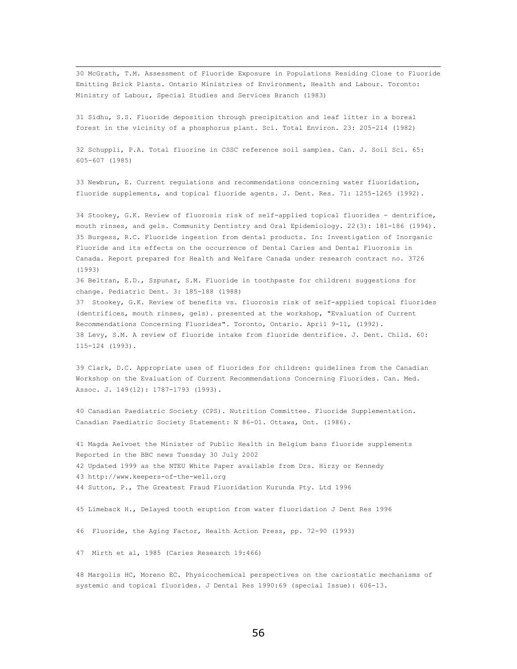30 McGrath, T.M. Assessment of Fluoride Exposure in Populations Residing Close to Fluoride Emitting Brick Plants. Ontario Ministries of Environment, Health and Labour. Toronto: Ministry of Labour, Special Studies and Services Branch (1983)

31 Sidhu, S.S. Fluoride deposition through precipitation and leaf litter in a boreal forest in the vicinity of a phosphorus plant. Sci. Total Environ. 23: 205-214 (1982)

32 Schuppli, P.A. Total fluorine in CSSC reference soil samples. Can. J. Soil Sci. 65: 605-607 (1985)

33 Newbrun, E. Current regulations and recommendations concerning water fluoridation, fluoride supplements, and topical fluoride agents. J. Dent. Res. 71: 1255-1265 (1992).

34 Stookey, G.K. Review of fluorosis risk of self-applied topical fluorides - dentrifice, mouth rinses, and gels. Community Dentistry and Oral Epidemiology. 22(3): 181-186 (1994). 35 Burgess, R.C. Fluoride ingestion from dental products. In: Investigation of Inorganic Fluoride and its effects on the occurrence of Dental Caries and Dental Fluorosis in Canada. Report prepared for Health and Welfare Canada under research contract no. 3726 (1993)

36 Beltran, E.D., Szpunar, S.M. Fluoride in toothpaste for children: suggestions for change. Pediatric Dent. 3: 185-188 (1988)

37 Stookey, G.K. Review of benefits vs. fluorosis risk of self-applied topical fluorides (dentrifices, mouth rinses, gels). presented at the workshop, "Evaluation of Current Recommendations Concerning Fluorides". Toronto, Ontario. April 9-11, (1992). 38 Levy, S.M. A review of fluoride intake from fluoride dentrifice. J. Dent. Child. 60: 115-124 (1993).

39 Clark, D.C. Appropriate uses of fluorides for children: guidelines from the Canadian Workshop on the Evaluation of Current Recommendations Concerning Fluorides. Can. Med. Assoc. J. 149(12): 1787-1793 (1993).

40 Canadian Paediatric Society (CPS). Nutrition Committee. Fluoride Supplementation. Canadian Paediatric Society Statement: N 86-01. Ottawa, Ont. (1986).

41 Magda Aelvoet the Minister of Public Health in Belgium bans fluoride supplements Reported in the BBC news Tuesday 30 July 2002 42 Updated 1999 as the NTEU White Paper available from Drs. Hirzy or Kennedy 43 http://www.keepers-of-the-well.org 44 Sutton, P., The Greatest Fraud Fluoridation Kurunda Pty. Ltd 1996

45 Limeback H., Delayed tooth eruption from water fluoridation J Dent Res 1996

46 Fluoride, the Aging Factor, Health Action Press, pp. 72-90 (1993)

47 Mirth et al, 1985 (Caries Research 19:466)

48 Margolis HC, Moreno EC. Physicochemical perspectives on the cariostatic mechanisms of systemic and topical fluorides. J Dental Res 1990:69 (special Issue): 606-13.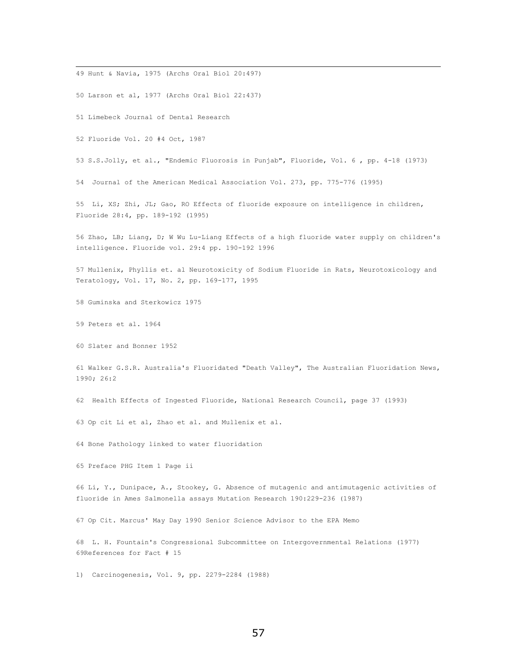49 Hunt & Navia, 1975 (Archs Oral Biol 20:497)

50 Larson et al, 1977 (Archs Oral Biol 22:437)

51 Limebeck Journal of Dental Research

52 Fluoride Vol. 20 #4 Oct, 1987

53 S.S.Jolly, et al., "Endemic Fluorosis in Punjab", Fluoride, Vol. 6 , pp. 4-18 (1973)

54 Journal of the American Medical Association Vol. 273, pp. 775-776 (1995)

55 Li, XS; Zhi, JL; Gao, RO Effects of fluoride exposure on intelligence in children, Fluoride 28:4, pp. 189-192 (1995)

56 Zhao, LB; Liang, D; W Wu Lu-Liang Effects of a high fluoride water supply on children's intelligence. Fluoride vol. 29:4 pp. 190-192 1996

57 Mullenix, Phyllis et. al Neurotoxicity of Sodium Fluoride in Rats, Neurotoxicology and Teratology, Vol. 17, No. 2, pp. 169-177, 1995

58 Guminska and Sterkowicz 1975

59 Peters et al. 1964

60 Slater and Bonner 1952

61 Walker G.S.R. Australia's Fluoridated "Death Valley", The Australian Fluoridation News, 1990; 26:2

62 Health Effects of Ingested Fluoride, National Research Council, page 37 (1993)

63 Op cit Li et al, Zhao et al. and Mullenix et al.

64 Bone Pathology linked to water fluoridation

65 Preface PHG Item 1 Page ii

66 Li, Y., Dunipace, A., Stookey, G. Absence of mutagenic and antimutagenic activities of fluoride in Ames Salmonella assays Mutation Research 190:229-236 (1987)

67 Op Cit. Marcus' May Day 1990 Senior Science Advisor to the EPA Memo

68 L. H. Fountain's Congressional Subcommittee on Intergovernmental Relations (1977) 69References for Fact # 15

1) Carcinogenesis, Vol. 9, pp. 2279-2284 (1988)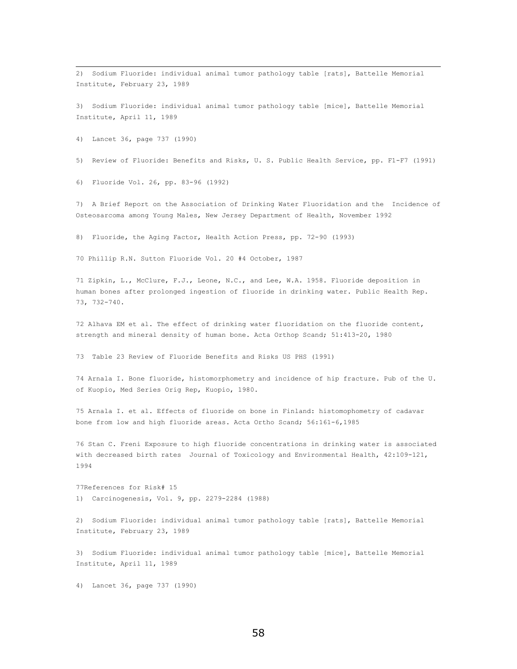2) Sodium Fluoride: individual animal tumor pathology table [rats], Battelle Memorial Institute, February 23, 1989

3) Sodium Fluoride: individual animal tumor pathology table [mice], Battelle Memorial Institute, April 11, 1989

4) Lancet 36, page 737 (1990)

5) Review of Fluoride: Benefits and Risks, U. S. Public Health Service, pp. F1-F7 (1991)

6) Fluoride Vol. 26, pp. 83-96 (1992)

7) A Brief Report on the Association of Drinking Water Fluoridation and the Incidence of Osteosarcoma among Young Males, New Jersey Department of Health, November 1992

8) Fluoride, the Aging Factor, Health Action Press, pp. 72-90 (1993)

70 Phillip R.N. Sutton Fluoride Vol. 20 #4 October, 1987

71 Zipkin, L., McClure, F.J., Leone, N.C., and Lee, W.A. 1958. Fluoride deposition in human bones after prolonged ingestion of fluoride in drinking water. Public Health Rep. 73, 732-740.

72 Alhava EM et al. The effect of drinking water fluoridation on the fluoride content, strength and mineral density of human bone. Acta Orthop Scand; 51:413-20, 1980

73 Table 23 Review of Fluoride Benefits and Risks US PHS (1991)

74 Arnala I. Bone fluoride, histomorphometry and incidence of hip fracture. Pub of the U. of Kuopio, Med Series Orig Rep, Kuopio, 1980.

75 Arnala I. et al. Effects of fluoride on bone in Finland: histomophometry of cadavar bone from low and high fluoride areas. Acta Ortho Scand; 56:161-6,1985

76 Stan C. Freni Exposure to high fluoride concentrations in drinking water is associated with decreased birth rates Journal of Toxicology and Environmental Health, 42:109-121, 1994

77References for Risk# 15 1) Carcinogenesis, Vol. 9, pp. 2279-2284 (1988)

2) Sodium Fluoride: individual animal tumor pathology table [rats], Battelle Memorial Institute, February 23, 1989

3) Sodium Fluoride: individual animal tumor pathology table [mice], Battelle Memorial Institute, April 11, 1989

4) Lancet 36, page 737 (1990)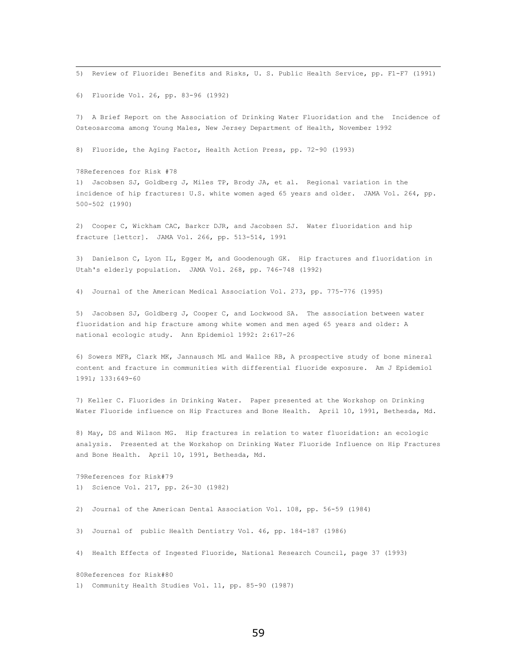5) Review of Fluoride: Benefits and Risks, U. S. Public Health Service, pp. F1-F7 (1991)

6) Fluoride Vol. 26, pp. 83-96 (1992)

7) A Brief Report on the Association of Drinking Water Fluoridation and the Incidence of Osteosarcoma among Young Males, New Jersey Department of Health, November 1992

8) Fluoride, the Aging Factor, Health Action Press, pp. 72-90 (1993)

78References for Risk #78 1) Jacobsen SJ, Goldberg J, Miles TP, Brody JA, et al. Regional variation in the incidence of hip fractures: U.S. white women aged 65 years and older. JAMA Vol. 264, pp. 500-502 (1990)

2) Cooper C, Wickham CAC, Barkcr DJR, and Jacobsen SJ. Water fluoridation and hip fracture [lettcr]. JAMA Vol. 266, pp. 513-514, 1991

3) Danielson C, Lyon IL, Egger M, and Goodenough GK. Hip fractures and fluoridation in Utah's elderly population. JAMA Vol. 268, pp. 746-748 (1992)

4) Journal of the American Medical Association Vol. 273, pp. 775-776 (1995)

5) Jacobsen SJ, Goldberg J, Cooper C, and Lockwood SA. The association between water fluoridation and hip fracture among white women and men aged 65 years and older: A national ecologic study. Ann Epidemiol 1992: 2:617-26

6) Sowers MFR, Clark MK, Jannausch ML and Wallce RB, A prospective study of bone mineral content and fracture in communities with differential fluoride exposure. Am J Epidemiol 1991; 133:649-60

7) Keller C. Fluorides in Drinking Water. Paper presented at the Workshop on Drinking Water Fluoride influence on Hip Fractures and Bone Health. April 10, 1991, Bethesda, Md.

8) May, DS and Wilson MG. Hip fractures in relation to water fluoridation: an ecologic analysis. Presented at the Workshop on Drinking Water Fluoride Influence on Hip Fractures and Bone Health. April 10, 1991, Bethesda, Md.

79References for Risk#79 1) Science Vol. 217, pp. 26-30 (1982)

2) Journal of the American Dental Association Vol. 108, pp. 56-59 (1984)

3) Journal of public Health Dentistry Vol. 46, pp. 184-187 (1986)

4) Health Effects of Ingested Fluoride, National Research Council, page 37 (1993)

80References for Risk#80 1) Community Health Studies Vol. 11, pp. 85-90 (1987)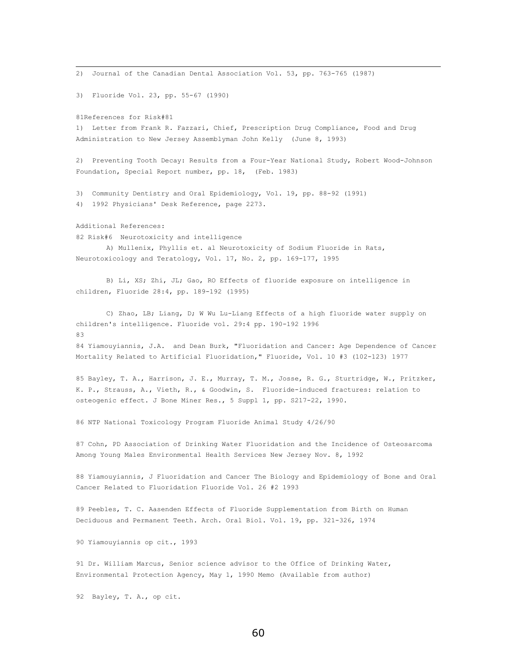2) Journal of the Canadian Dental Association Vol. 53, pp. 763-765 (1987) 3) Fluoride Vol. 23, pp. 55-67 (1990) 81References for Risk#81 1) Letter from Frank R. Fazzari, Chief, Prescription Drug Compliance, Food and Drug Administration to New Jersey Assemblyman John Kelly (June 8, 1993) 2) Preventing Tooth Decay: Results from a Four-Year National Study, Robert Wood-Johnson Foundation, Special Report number, pp. 18, (Feb. 1983) 3) Community Dentistry and Oral Epidemiology, Vol. 19, pp. 88-92 (1991) 4) 1992 Physicians' Desk Reference, page 2273. Additional References: 82 Risk#6 Neurotoxicity and intelligence A) Mullenix, Phyllis et. al Neurotoxicity of Sodium Fluoride in Rats, Neurotoxicology and Teratology, Vol. 17, No. 2, pp. 169-177, 1995 B) Li, XS; Zhi, JL; Gao, RO Effects of fluoride exposure on intelligence in children, Fluoride 28:4, pp. 189-192 (1995) C) Zhao, LB; Liang, D; W Wu Lu-Liang Effects of a high fluoride water supply on children's intelligence. Fluoride vol. 29:4 pp. 190-192 1996 83 84 Yiamouyiannis, J.A. and Dean Burk, "Fluoridation and Cancer: Age Dependence of Cancer Mortality Related to Artificial Fluoridation," Fluoride, Vol. 10 #3 (102-123) 1977 85 Bayley, T. A., Harrison, J. E., Murray, T. M., Josse, R. G., Sturtridge, W., Pritzker, K. P., Strauss, A., Vieth, R., & Goodwin, S. Fluoride-induced fractures: relation to osteogenic effect. J Bone Miner Res., 5 Suppl 1, pp. S217-22, 1990. 86 NTP National Toxicology Program Fluoride Animal Study 4/26/90 87 Cohn, PD Association of Drinking Water Fluoridation and the Incidence of Osteosarcoma Among Young Males Environmental Health Services New Jersey Nov. 8, 1992 88 Yiamouyiannis, J Fluoridation and Cancer The Biology and Epidemiology of Bone and Oral Cancer Related to Fluoridation Fluoride Vol. 26 #2 1993 89 Peebles, T. C. Aasenden Effects of Fluoride Supplementation from Birth on Human Deciduous and Permanent Teeth. Arch. Oral Biol. Vol. 19, pp. 321-326, 1974 90 Yiamouyiannis op cit., 1993 91 Dr. William Marcus, Senior science advisor to the Office of Drinking Water, Environmental Protection Agency, May 1, 1990 Memo (Available from author) 92 Bayley, T. A., op cit.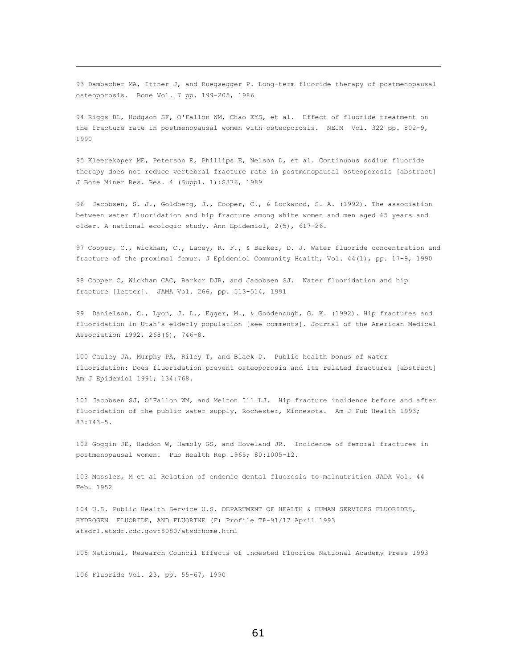93 Dambacher MA, Ittner J, and Ruegsegger P. Long-term fluoride therapy of postmenopausal osteoporosis. Bone Vol. 7 pp. 199-205, 1986

94 Riggs BL, Hodgson SF, O'Fallon WM, Chao EYS, et al. Effect of fluoride treatment on the fracture rate in postmenopausal women with osteoporosis. NEJM Vol. 322 pp. 802-9, 1990

95 Kleerekoper ME, Peterson E, Phillips E, Nelson D, et al. Continuous sodium fluoride therapy does not reduce vertebral fracture rate in postmenopausal osteoporosis [abstract] J Bone Miner Res. Res. 4 (Suppl. 1):S376, 1989

96 Jacobsen, S. J., Goldberg, J., Cooper, C., & Lockwood, S. A. (1992). The association between water fluoridation and hip fracture among white women and men aged 65 years and older. A national ecologic study. Ann Epidemiol, 2(5), 617-26.

97 Cooper, C., Wickham, C., Lacey, R. F., & Barker, D. J. Water fluoride concentration and fracture of the proximal femur. J Epidemiol Community Health, Vol. 44(1), pp. 17-9, 1990

98 Cooper C, Wickham CAC, Barkcr DJR, and Jacobsen SJ. Water fluoridation and hip fracture [lettcr]. JAMA Vol. 266, pp. 513-514, 1991

99 Danielson, C., Lyon, J. L., Egger, M., & Goodenough, G. K. (1992). Hip fractures and fluoridation in Utah's elderly population [see comments]. Journal of the American Medical Association 1992, 268(6), 746-8.

100 Cauley JA, Murphy PA, Riley T, and Black D. Public health bonus of water fluoridation: Does fluoridation prevent osteoporosis and its related fractures [abstract] Am J Epidemiol 1991; 134:768.

101 Jacobsen SJ, O'Fallon WM, and Melton Ill LJ. Hip fracture incidence before and after fluoridation of the public water supply, Rochester, Minnesota. Am J Pub Health 1993; 83:743-5.

102 Goggin JE, Haddon W, Hambly GS, and Hoveland JR. Incidence of femoral fractures in postmenopausal women. Pub Health Rep 1965; 80:1005-12.

103 Massler, M et al Relation of endemic dental fluorosis to malnutrition JADA Vol. 44 Feb. 1952

104 U.S. Public Health Service U.S. DEPARTMENT OF HEALTH & HUMAN SERVICES FLUORIDES, HYDROGEN FLUORIDE, AND FLUORINE (F) Profile TP-91/17 April 1993 atsdr1.atsdr.cdc.gov:8080/atsdrhome.html

105 National, Research Council Effects of Ingested Fluoride National Academy Press 1993

106 Fluoride Vol. 23, pp. 55-67, 1990

 $\overline{\phantom{0}}$ 

61